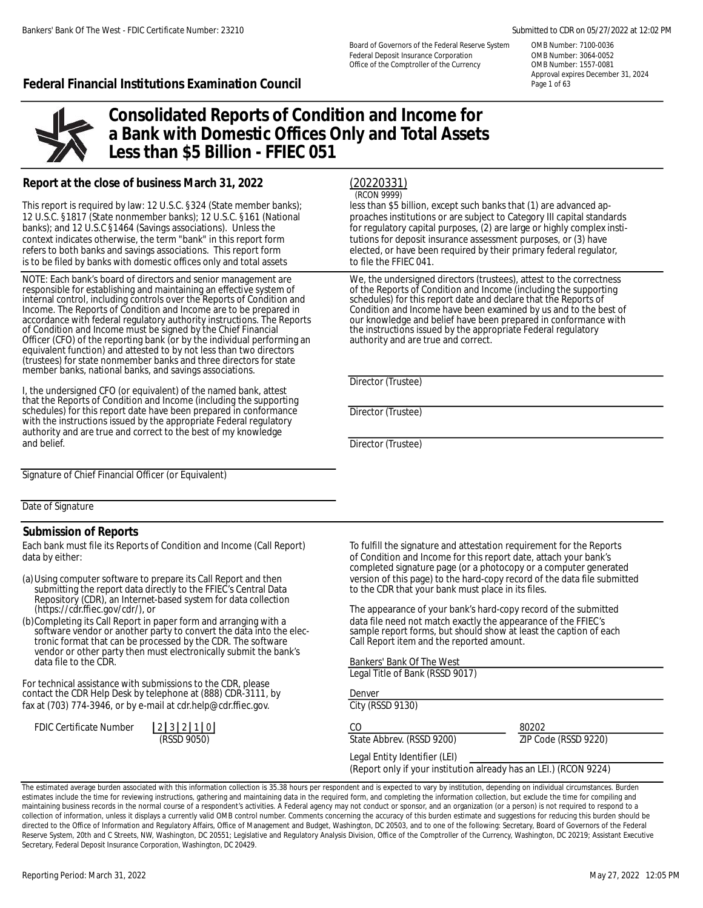Board of Governors of the Federal Reserve System OMB Number: 7100-0036 Federal Deposit Insurance Corporation **Comband COMB** Number: 3064-0052 Office of the Comptroller of the Currency OMB Number: 1557-0081

Approval expires December 31, 2024

### **Federal Financial Institutions Examination Council Page 101 Second Page 1 of 63**



# **Consolidated Reports of Condition and Income for a Bank with Domestic Offices Only and Total Assets Less than \$5 Billion - FFIEC 051**

### **Report at the close of business March 31, 2022**

This report is required by law: 12 U.S.C. §324 (State member banks); less than \$5 billion, except such banks that (1) are advanced ap-12 U.S.C. §1817 (State nonmember banks); 12 U.S.C. §161 (National proaches institutions or are subject to Category III capital standards banks); and 12 U.S.C §1464 (Savings associations). Unless the for regulatory capital purposes, (2) are large or highly complex insticontext indicates otherwise, the term "bank" in this report form tutions for deposit insurance assessment purposes, or (3) have<br>refers to both banks and savings associations. This report form elected, or have been required is to be filed by banks with domestic offices only and total assets to file the FFIEC 041.

NOTE: Each bank's board of directors and senior management are We, the undersigned directors (trustees), attest to the correctness<br>responsible for establishing and maintaining an effective system of of the Reports of Condi responsible for establishing and maintaining an effective system of of the Reports of Condition and Income (including the supporting the supporting the supporting the supporting the supporting the supports of condition and internal control, including controls over the Reports of Condition and schedules) for this report date and declare that the Reports of  $\overline{\phantom{a}}$ <br>Income. The Reports of Condition and Income are to be prepared in Condition Income. The Reports of Condition and Income are to be prepared in Condition and Income have been examined by us and to the best of accordance with federal regulatory authority instructions. The Reports our knowledge and be accordance with federal regulatory authority instructions. The Reports of Condition and Income must be signed by the Chief Financial Officer (CFO) of the reporting bank (or by the individual performing an authority and are true and correct. equivalent function) and attested to by not less than two directors (trustees) for state nonmember banks and three directors for state member banks, national banks, and savings associations.

I, the undersigned CFO (or equivalent) of the named bank, attest that the Reports of Condition and Income (including the supporting schedules) for this report date have been prepared in conformance Director (Trustee) with the instructions issued by the appropriate Federal regulatory authority and are true and correct to the best of my knowledge and belief. Director (Trustee)

Signature of Chief Financial Officer (or Equivalent)

Date of Signature

#### **Submission of Reports**

Each bank must file its Reports of Condition and Income (Call Report) To fulfill the signature and attestation requirement for the Reports data by either: of Condition and Income for this report date, attach your bank's

| (a) Using computer software to prepare its Call Report and then |
|-----------------------------------------------------------------|
| submitting the report data directly to the FFIEC's Central Data |
| Repository (CDR), an Internet-based system for data collection  |
| (https://cdr.ffiec.gov/cdr/), or                                |

(b)Completing its Call Report in paper form and arranging with a data file need not match exactly the appearance of the FFIEC's<br>software vendor or another party to convert the data into the elec-<br>sample report forms, but s tronic format that can be processed by the CDR. The software vendor or other party then must electronically submit the bank's data file to the CDR.

For technical assistance with submissions to the CDR, please contact the CDR Help Desk by telephone at (888) CDR-3111, by fax at (703) 774-3946, or by e-mail at cdr.help@cdr.ffiec.gov. City (RSSD 9130)

| <b>FDIC Certificate Number</b> | 2 3 2 1 0 |             |  |
|--------------------------------|-----------|-------------|--|
|                                |           | (RSSD 9050) |  |

(20220331) (RCON 9999)

elected, or have been required by their primary federal regulator,

the instructions issued by the appropriate Federal regulatory

Director (Trustee)

completed signature page (or a photocopy or a computer generated version of this page) to the hard-copy record of the data file submitted to the CDR that your bank must place in its files.

The appearance of your bank's hard-copy record of the submitted sample report forms, but should show at least the caption of each<br>Call Report item and the reported amount.

|  |  |  | Bankers' Bank Of The West |  |
|--|--|--|---------------------------|--|
|--|--|--|---------------------------|--|

Legal Title of Bank (RSSD 9017)

Denver

CO 80202

State Abbrev. (RSSD 9200) **ZIP Code (RSSD 9220)** 

Legal Entity Identifier (LEI)

(Report only if your institution already has an LEI.) (RCON 9224)

The estimated average burden associated with this information collection is 35.38 hours per respondent and is expected to vary by institution, depending on individual circumstances. Burden estimates include the time for reviewing instructions, gathering and maintaining data in the required form, and completing the information collection, but exclude the time for compiling and maintaining business records in the normal course of a respondent's activities. A Federal agency may not conduct or sponsor, and an organization (or a person) is not required to respond to a collection of information, unless it displays a currently valid OMB control number. Comments concerning the accuracy of this burden estimate and suggestions for reducing this burden should be directed to the Office of Information and Regulatory Affairs, Office of Management and Budget, Washington, DC 20503, and to one of the following: Secretary, Board of Governors of the Federal Reserve System, 20th and C Streets, NW, Washington, DC 20551; Legislative and Regulatory Analysis Division, Office of the Comptroller of the Currency, Washington, DC 20219; Assistant Executive Secretary, Federal Deposit Insurance Corporation, Washington, DC 20429.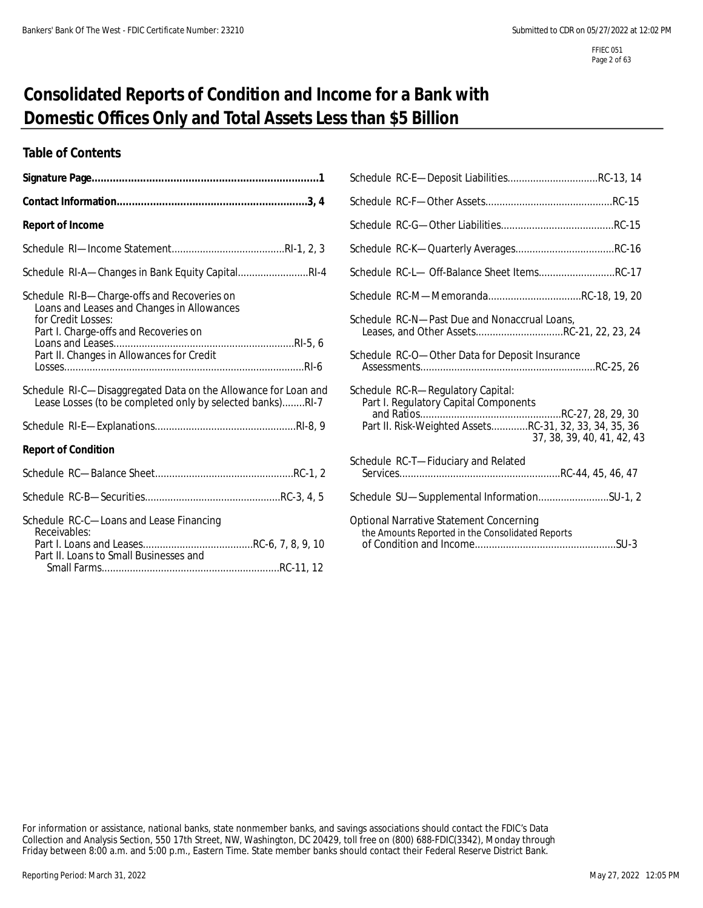# **Consolidated Reports of Condition and Income for a Bank with Domestic Offices Only and Total Assets Less than \$5 Billion**

### **Table of Contents**

| <b>Report of Income</b>                                                                                                     |                                                                                                    |
|-----------------------------------------------------------------------------------------------------------------------------|----------------------------------------------------------------------------------------------------|
|                                                                                                                             |                                                                                                    |
| Schedule RI-A-Changes in Bank Equity CapitalRI-4                                                                            | Schedule RC-L- Off-Balance Sheet ItemsRC-17                                                        |
| Schedule RI-B-Charge-offs and Recoveries on<br>Loans and Leases and Changes in Allowances<br>for Credit Losses:             | Schedule RC-M-MemorandaRC-18, 19, 20<br>Schedule RC-N-- Past Due and Nonaccrual Loans,             |
| Part I. Charge-offs and Recoveries on<br>Part II. Changes in Allowances for Credit                                          | Leases, and Other AssetsRC-21, 22, 23, 24<br>Schedule RC-O-Other Data for Deposit Insurance        |
| Schedule RI-C-Disaggregated Data on the Allowance for Loan and<br>Lease Losses (to be completed only by selected banks)RI-7 | Schedule RC-R-Regulatory Capital:<br>Part I. Regulatory Capital Components                         |
|                                                                                                                             | Part II. Risk-Weighted AssetsRC-31, 32, 33, 34, 35, 36<br>37, 38, 39, 40, 41, 42, 43               |
| <b>Report of Condition</b>                                                                                                  |                                                                                                    |
|                                                                                                                             | Schedule RC-T-Fiduciary and Related                                                                |
|                                                                                                                             | Schedule SU-Supplemental InformationSU-1, 2                                                        |
| Schedule RC-C-Loans and Lease Financing<br>Receivables:<br>Part II. Loans to Small Businesses and                           | <b>Optional Narrative Statement Concerning</b><br>the Amounts Reported in the Consolidated Reports |

| Schedule RC-L- Off-Balance Sheet ItemsRC-17                                                                                                                        |
|--------------------------------------------------------------------------------------------------------------------------------------------------------------------|
| Schedule RC-M-MemorandaRC-18, 19, 20                                                                                                                               |
| Schedule RC-N-Past Due and Nonaccrual Loans,<br>Leases, and Other AssetsRC-21, 22, 23, 24                                                                          |
| Schedule RC-O-Other Data for Deposit Insurance                                                                                                                     |
| Schedule RC-R-Regulatory Capital:<br>Part I. Regulatory Capital Components<br>Part II. Risk-Weighted AssetsRC-31, 32, 33, 34, 35, 36<br>37, 38, 39, 40, 41, 42, 43 |
| Schedule RC-T-Fiduciary and Related                                                                                                                                |
| Schedule SU-Supplemental InformationSU-1, 2                                                                                                                        |
| Optional Narrative Statement Concerning<br>the Amounts Reported in the Consolidated Reports                                                                        |

For information or assistance, national banks, state nonmember banks, and savings associations should contact the FDIC's Data Collection and Analysis Section, 550 17th Street, NW, Washington, DC 20429, toll free on (800) 688-FDIC(3342), Monday through Friday between 8:00 a.m. and 5:00 p.m., Eastern Time. State member banks should contact their Federal Reserve District Bank.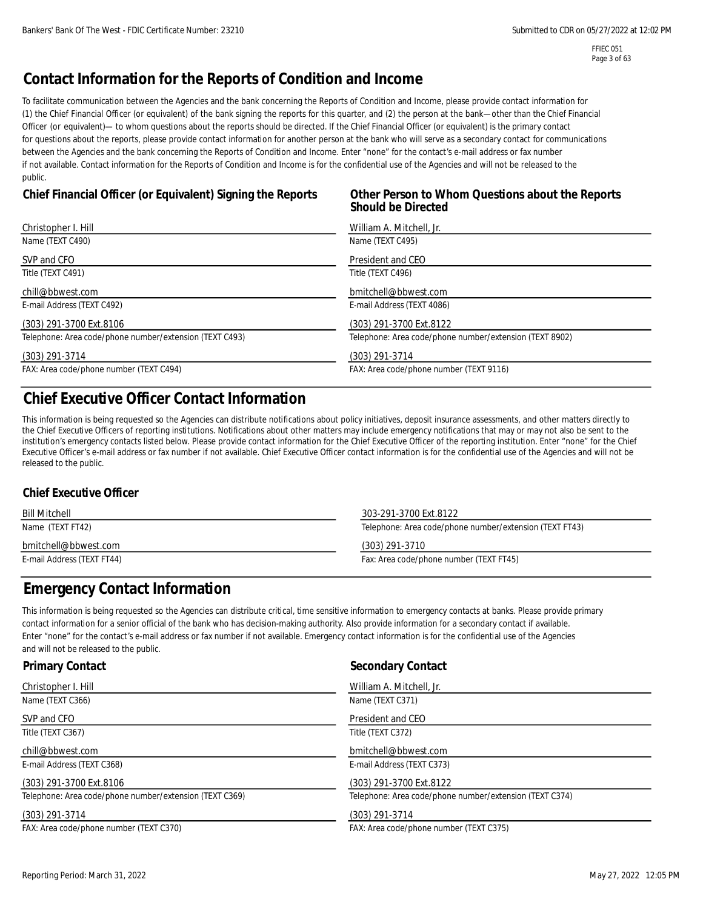FFIEC 051 Page 3 of 63

# **Contact Information for the Reports of Condition and Income**

To facilitate communication between the Agencies and the bank concerning the Reports of Condition and Income, please provide contact information for (1) the Chief Financial Officer (or equivalent) of the bank signing the reports for this quarter, and (2) the person at the bank—other than the Chief Financial Officer (or equivalent)— to whom questions about the reports should be directed. If the Chief Financial Officer (or equivalent) is the primary contact for questions about the reports, please provide contact information for another person at the bank who will serve as a secondary contact for communications between the Agencies and the bank concerning the Reports of Condition and Income. Enter "none" for the contact's e-mail address or fax number if not available. Contact information for the Reports of Condition and Income is for the confidential use of the Agencies and will not be released to the public.

## **Chief Financial Officer (or Equivalent) Signing the Reports Other Person to Whom Questions about the Reports**

# **Should be Directed**

| Christopher I. Hill                                     | William A. Mitchell, Jr.                                |
|---------------------------------------------------------|---------------------------------------------------------|
| Name (TEXT C490)                                        | Name (TEXT C495)                                        |
| SVP and CFO                                             | President and CEO                                       |
| Title (TEXT C491)                                       | Title (TEXT C496)                                       |
| chill@bbwest.com                                        | bmitchell@bbwest.com                                    |
| E-mail Address (TEXT C492)                              | E-mail Address (TEXT 4086)                              |
| (303) 291-3700 Ext.8106                                 | (303) 291-3700 Ext.8122                                 |
| Telephone: Area code/phone number/extension (TEXT C493) | Telephone: Area code/phone number/extension (TEXT 8902) |
| (303) 291-3714                                          | $(303)$ 291-3714                                        |
| FAX: Area code/phone number (TEXT C494)                 | FAX: Area code/phone number (TEXT 9116)                 |

# **Chief Executive Officer Contact Information**

This information is being requested so the Agencies can distribute notifications about policy initiatives, deposit insurance assessments, and other matters directly to the Chief Executive Officers of reporting institutions. Notifications about other matters may include emergency notifications that may or may not also be sent to the institution's emergency contacts listed below. Please provide contact information for the Chief Executive Officer of the reporting institution. Enter "none" for the Chief Executive Officer's e-mail address or fax number if not available. Chief Executive Officer contact information is for the confidential use of the Agencies and will not be released to the public.

### **Chief Executive Officer**

| <b>Bill Mitchell</b>       | 303-291-3700 Ext.8122                                   |
|----------------------------|---------------------------------------------------------|
| Name (TEXT FT42)           | Telephone: Area code/phone number/extension (TEXT FT43) |
| bmitchell@bbwest.com       | (303) 291-3710                                          |
| E-mail Address (TEXT FT44) | Fax: Area code/phone number (TEXT FT45)                 |

# **Emergency Contact Information**

This information is being requested so the Agencies can distribute critical, time sensitive information to emergency contacts at banks. Please provide primary contact information for a senior official of the bank who has decision-making authority. Also provide information for a secondary contact if available. Enter "none" for the contact's e-mail address or fax number if not available. Emergency contact information is for the confidential use of the Agencies and will not be released to the public.

| <b>Primary Contact</b>                                  | <b>Secondary Contact</b>                                |
|---------------------------------------------------------|---------------------------------------------------------|
| Christopher I. Hill                                     | William A. Mitchell, Jr.                                |
| Name (TEXT C366)                                        | Name (TEXT C371)                                        |
| SVP and CFO                                             | President and CEO                                       |
| Title (TEXT C367)                                       | Title (TEXT C372)                                       |
| chill@bbwest.com                                        | bmitchell@bbwest.com                                    |
| E-mail Address (TEXT C368)                              | E-mail Address (TEXT C373)                              |
| (303) 291-3700 Ext.8106                                 | (303) 291-3700 Ext.8122                                 |
| Telephone: Area code/phone number/extension (TEXT C369) | Telephone: Area code/phone number/extension (TEXT C374) |
| (303) 291-3714                                          | $(303)$ 291-3714                                        |
| FAX: Area code/phone number (TEXT C370)                 | FAX: Area code/phone number (TEXT C375)                 |

Reporting Period: March 31, 2022 12:05 PM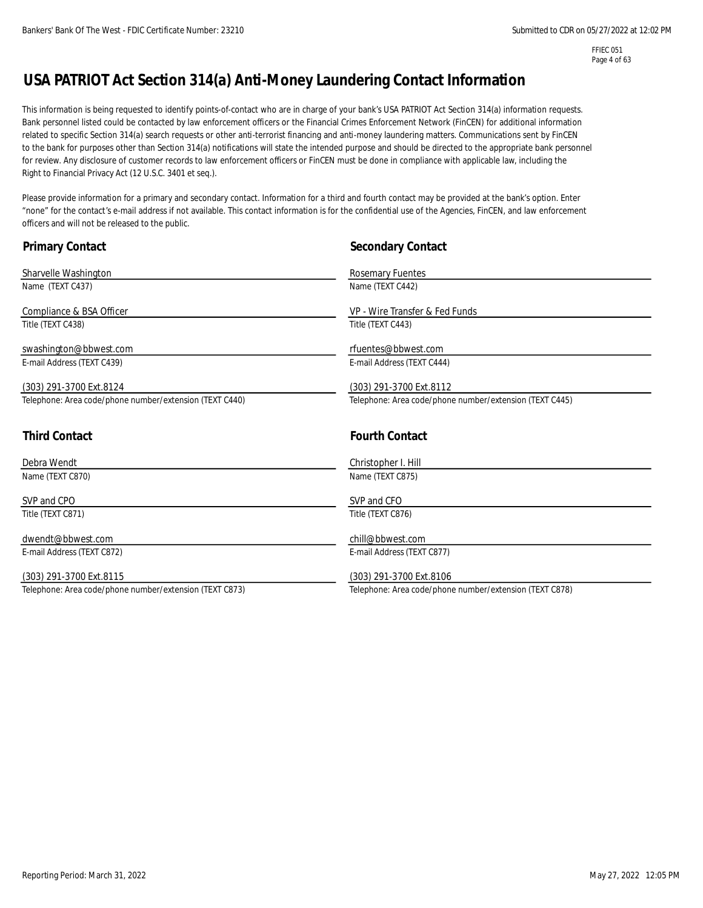FFIEC 051 Page 4 of 63

# **USA PATRIOT Act Section 314(a) Anti-Money Laundering Contact Information**

This information is being requested to identify points-of-contact who are in charge of your bank's USA PATRIOT Act Section 314(a) information requests. Bank personnel listed could be contacted by law enforcement officers or the Financial Crimes Enforcement Network (FinCEN) for additional information related to specific Section 314(a) search requests or other anti-terrorist financing and anti-money laundering matters. Communications sent by FinCEN to the bank for purposes other than Section 314(a) notifications will state the intended purpose and should be directed to the appropriate bank personnel for review. Any disclosure of customer records to law enforcement officers or FinCEN must be done in compliance with applicable law, including the Right to Financial Privacy Act (12 U.S.C. 3401 et seq.).

Please provide information for a primary and secondary contact. Information for a third and fourth contact may be provided at the bank's option. Enter "none" for the contact's e-mail address if not available. This contact information is for the confidential use of the Agencies, FinCEN, and law enforcement officers and will not be released to the public.

| <b>Primary Contact</b>                                  | <b>Secondary Contact</b>                                |  |
|---------------------------------------------------------|---------------------------------------------------------|--|
| Sharvelle Washington                                    | Rosemary Fuentes                                        |  |
| Name (TEXT C437)                                        | Name (TEXT C442)                                        |  |
| Compliance & BSA Officer                                | VP - Wire Transfer & Fed Funds                          |  |
| Title (TEXT C438)                                       | Title (TEXT C443)                                       |  |
| swashington@bbwest.com                                  | rfuentes@bbwest.com                                     |  |
| E-mail Address (TEXT C439)                              | E-mail Address (TEXT C444)                              |  |
| (303) 291-3700 Ext.8124                                 | (303) 291-3700 Ext.8112                                 |  |
| Telephone: Area code/phone number/extension (TEXT C440) | Telephone: Area code/phone number/extension (TEXT C445) |  |
|                                                         |                                                         |  |
|                                                         |                                                         |  |
| <b>Third Contact</b>                                    | <b>Fourth Contact</b>                                   |  |
| Debra Wendt                                             | Christopher I. Hill                                     |  |
| Name (TEXT C870)                                        | Name (TEXT C875)                                        |  |
| SVP and CPO                                             | SVP and CFO                                             |  |
| Title (TEXT C871)                                       | Title (TEXT C876)                                       |  |
| dwendt@bbwest.com                                       | chill@bbwest.com                                        |  |
| E-mail Address (TEXT C872)                              | E-mail Address (TEXT C877)                              |  |
| (303) 291-3700 Ext.8115                                 | (303) 291-3700 Ext.8106                                 |  |
| Telephone: Area code/phone number/extension (TEXT C873) | Telephone: Area code/phone number/extension (TEXT C878) |  |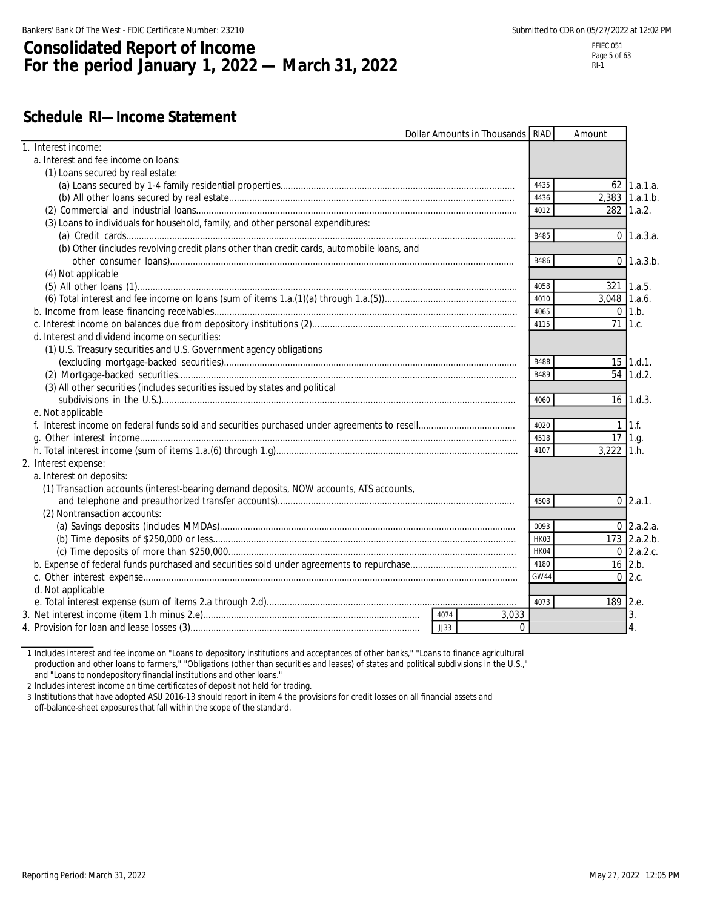# **Consolidated Report of Income For the period January 1, 2022 — March 31, 2022**

# **Schedule RI—Income Statement**

| Dollar Amounts in Thousands RIAD                                                          |             | Amount         |                       |
|-------------------------------------------------------------------------------------------|-------------|----------------|-----------------------|
| 1. Interest income:                                                                       |             |                |                       |
| a. Interest and fee income on loans:                                                      |             |                |                       |
| (1) Loans secured by real estate:                                                         |             |                |                       |
|                                                                                           | 4435        |                | 62 1.a.1.a.           |
|                                                                                           | 4436        |                | 2,383 1.a.1.b.        |
|                                                                                           | 4012        |                | 282 1.a.2.            |
| (3) Loans to individuals for household, family, and other personal expenditures:          |             |                |                       |
|                                                                                           | B485        |                | $0 \, 1.a.3.a.$       |
| (b) Other (includes revolving credit plans other than credit cards, automobile loans, and |             |                |                       |
|                                                                                           | B486        |                | $0 \, 1.a.3.b.$       |
| (4) Not applicable                                                                        |             |                |                       |
|                                                                                           | 4058        |                | 321 1.a.5.            |
|                                                                                           | 4010        | $3,048$ 1.a.6. |                       |
|                                                                                           | 4065        |                | $0 \mid 1.b.$         |
|                                                                                           | 4115        | 71 1.c.        |                       |
| d. Interest and dividend income on securities:                                            |             |                |                       |
| (1) U.S. Treasury securities and U.S. Government agency obligations                       |             |                |                       |
|                                                                                           | <b>B488</b> |                | $15$ 1.d.1.           |
|                                                                                           | B489        |                | 54 1.d.2.             |
| (3) All other securities (includes securities issued by states and political              |             |                |                       |
|                                                                                           | 4060        |                | $16$ 1.d.3.           |
| e. Not applicable                                                                         |             |                |                       |
|                                                                                           | 4020        |                | $1 \vert 1 \cdot f$ . |
|                                                                                           | 4518        | $17$ 1.g.      |                       |
|                                                                                           | 4107        | $3,222$ 1.h.   |                       |
| 2. Interest expense:                                                                      |             |                |                       |
| a. Interest on deposits:                                                                  |             |                |                       |
| (1) Transaction accounts (interest-bearing demand deposits, NOW accounts, ATS accounts,   |             |                |                       |
|                                                                                           | 4508        |                | $0$ 2.a.1.            |
| (2) Nontransaction accounts:                                                              |             |                |                       |
|                                                                                           | 0093        |                | $0$ 2.a.2.a.          |
|                                                                                           | HK03        |                | 173 2.a.2.b.          |
|                                                                                           | HK04        |                | $0$ 2.a.2.c.          |
|                                                                                           | 4180        | $16$ 2.b.      |                       |
|                                                                                           | GW44        |                | $0\,$ 2.c.            |
| d. Not applicable                                                                         |             |                |                       |
|                                                                                           | 4073        | 189 2.e.       |                       |
| 4074<br>3,033                                                                             |             |                | 3.                    |
| JJ33<br>$\Omega$                                                                          |             |                | 4.                    |
|                                                                                           |             |                |                       |

1 Includes interest and fee income on "Loans to depository institutions and acceptances of other banks," "Loans to finance agricultural production and other loans to farmers," "Obligations (other than securities and leases) of states and political subdivisions in the U.S.," and "Loans to nondepository financial institutions and other loans."

2 Includes interest income on time certificates of deposit not held for trading.

3 Institutions that have adopted ASU 2016-13 should report in item 4 the provisions for credit losses on all financial assets and off-balance-sheet exposures that fall within the scope of the standard.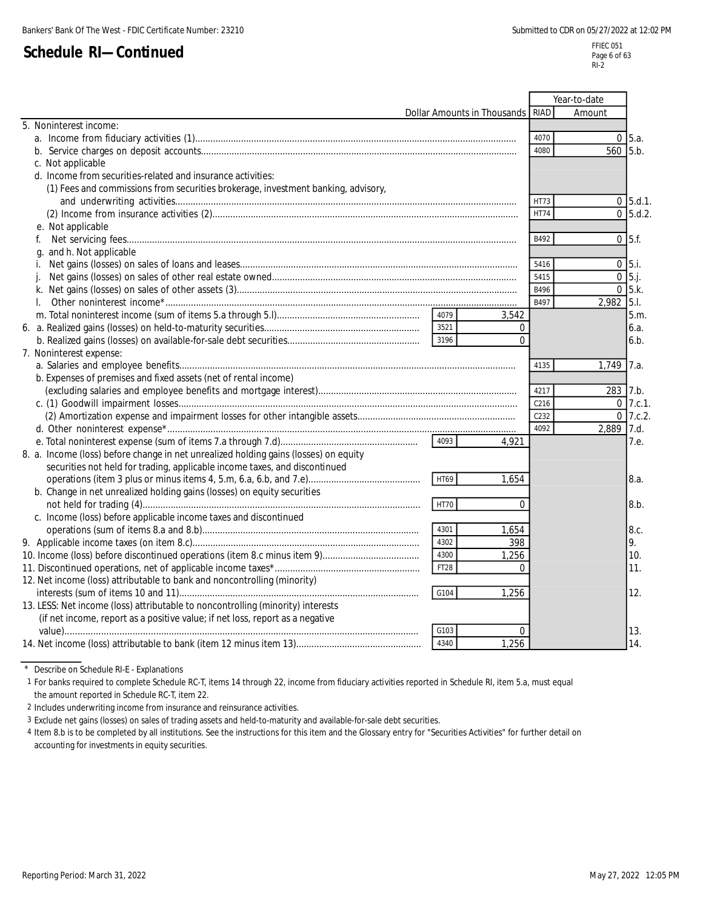FFIEC 051 Page 6 of 63  $RI-2$ 

|                                                                                      |                  | Year-to-date |                      |
|--------------------------------------------------------------------------------------|------------------|--------------|----------------------|
| Dollar Amounts in Thousands RIAD                                                     |                  | Amount       |                      |
| 5. Noninterest income:                                                               |                  |              |                      |
|                                                                                      | 4070             |              | $0 \,$ 5.a.          |
|                                                                                      | 4080             | 560          | 5.b.                 |
| c. Not applicable                                                                    |                  |              |                      |
| d. Income from securities-related and insurance activities:                          |                  |              |                      |
| (1) Fees and commissions from securities brokerage, investment banking, advisory,    |                  |              |                      |
|                                                                                      | HT73             |              | $0$ 5.d.1.           |
|                                                                                      | <b>HT74</b>      |              | $0\,$ 5.d.2.         |
| e. Not applicable                                                                    |                  |              |                      |
|                                                                                      | B492             |              | $0 \,   \, 5 \, .f.$ |
| g. and h. Not applicable                                                             |                  |              |                      |
| İ.                                                                                   | 5416             |              | $0\,$ 5.i.           |
|                                                                                      | 5415             |              | $0\,$ 5.j.           |
|                                                                                      | B496             |              | $0$ 5.k.             |
| $\mathbf{L}$                                                                         | B497             | 2,982 5.1.   |                      |
| 4079<br>3,542                                                                        |                  |              | 5.m.                 |
| 3521<br>0                                                                            |                  |              | 6.a.                 |
| 3196<br>$\Omega$                                                                     |                  |              | 6.b.                 |
| 7. Noninterest expense:                                                              |                  |              |                      |
|                                                                                      | 4135             | 1,749        | 7.a.                 |
| b. Expenses of premises and fixed assets (net of rental income)                      |                  |              |                      |
|                                                                                      | 4217             | 283 7.b.     |                      |
|                                                                                      | C <sub>216</sub> |              | $0$ 7.c.1.           |
|                                                                                      | C232             |              | $0$ 7.c.2.           |
|                                                                                      | 4092             | 2,889 7.d.   |                      |
| 4093<br>4.921                                                                        |                  |              | 7.e.                 |
| 8. a. Income (loss) before change in net unrealized holding gains (losses) on equity |                  |              |                      |
| securities not held for trading, applicable income taxes, and discontinued           |                  |              |                      |
| HT69<br>1,654                                                                        |                  |              | 8.a.                 |
| b. Change in net unrealized holding gains (losses) on equity securities              |                  |              |                      |
| <b>HT70</b><br>$\Omega$                                                              |                  |              | 8.b.                 |
| c. Income (loss) before applicable income taxes and discontinued                     |                  |              |                      |
| 4301<br>1,654                                                                        |                  |              | 8.c.                 |
| 4302<br>398                                                                          |                  |              | 9.                   |
| 1,256<br>4300                                                                        |                  |              | 10.                  |
| FT <sub>28</sub><br>$\Omega$                                                         |                  |              | 11.                  |
| 12. Net income (loss) attributable to bank and noncontrolling (minority)             |                  |              |                      |
| G104<br>1,256                                                                        |                  |              | 12.                  |
| 13. LESS: Net income (loss) attributable to noncontrolling (minority) interests      |                  |              |                      |
| (if net income, report as a positive value; if net loss, report as a negative        |                  |              |                      |
| G103<br>$\mathbf 0$                                                                  |                  |              | 13.                  |
| 4340<br>1,256                                                                        |                  |              | 14.                  |

\* Describe on Schedule RI-E - Explanations

1 For banks required to complete Schedule RC-T, items 14 through 22, income from fiduciary activities reported in Schedule RI, item 5.a, must equal the amount reported in Schedule RC-T, item 22.

2 Includes underwriting income from insurance and reinsurance activities.

3 Exclude net gains (losses) on sales of trading assets and held-to-maturity and available-for-sale debt securities.

4 Item 8.b is to be completed by all institutions. See the instructions for this item and the Glossary entry for "Securities Activities" for further detail on accounting for investments in equity securities.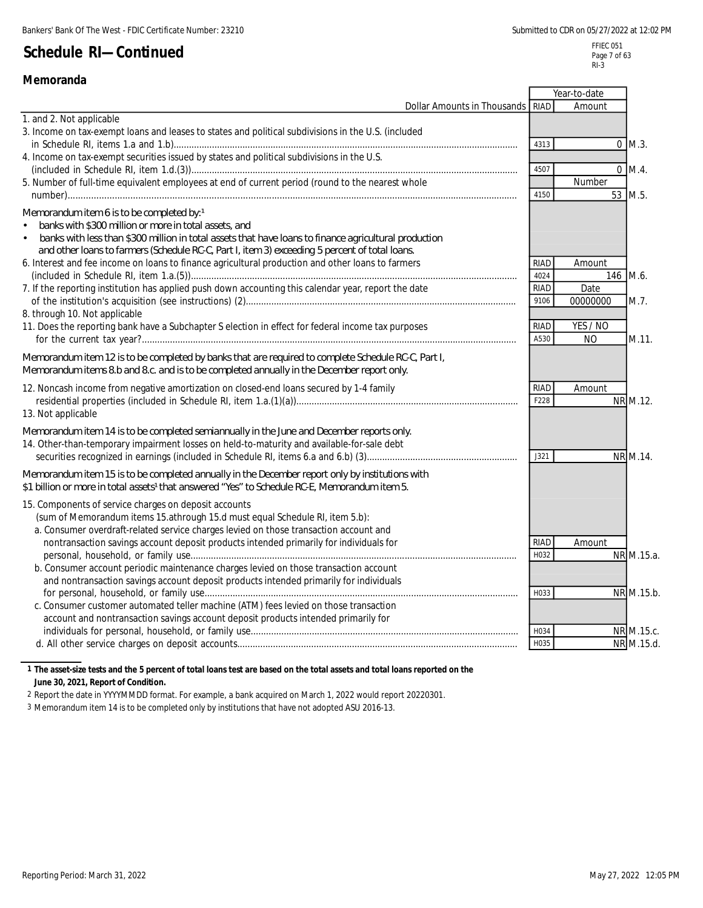FFIEC 051 Page 7 of 63 RI-3

|                                                                                                                                                                                                                                                                                                                                                                                                                                  |                             | Year-to-date                 |                          |
|----------------------------------------------------------------------------------------------------------------------------------------------------------------------------------------------------------------------------------------------------------------------------------------------------------------------------------------------------------------------------------------------------------------------------------|-----------------------------|------------------------------|--------------------------|
| Dollar Amounts in Thousands                                                                                                                                                                                                                                                                                                                                                                                                      | RIAD                        | Amount                       |                          |
| 1. and 2. Not applicable                                                                                                                                                                                                                                                                                                                                                                                                         |                             |                              |                          |
| 3. Income on tax-exempt loans and leases to states and political subdivisions in the U.S. (included                                                                                                                                                                                                                                                                                                                              | 4313                        |                              | $0$ M.3.                 |
| 4. Income on tax-exempt securities issued by states and political subdivisions in the U.S.                                                                                                                                                                                                                                                                                                                                       | 4507                        |                              | $0 \; M.4.$              |
| 5. Number of full-time equivalent employees at end of current period (round to the nearest whole                                                                                                                                                                                                                                                                                                                                 | 4150                        | Number                       | 53 M.5.                  |
| Memorandum item 6 is to be completed by: 1<br>banks with \$300 million or more in total assets, and<br>banks with less than \$300 million in total assets that have loans to finance agricultural production<br>$\bullet$<br>and other loans to farmers (Schedule RC-C, Part I, item 3) exceeding 5 percent of total loans.<br>6. Interest and fee income on loans to finance agricultural production and other loans to farmers | <b>RIAD</b>                 | Amount                       |                          |
| 7. If the reporting institution has applied push down accounting this calendar year, report the date<br>8. through 10. Not applicable                                                                                                                                                                                                                                                                                            | 4024<br><b>RIAD</b><br>9106 | 146 M.6.<br>Date<br>00000000 | M.7.                     |
| 11. Does the reporting bank have a Subchapter S election in effect for federal income tax purposes                                                                                                                                                                                                                                                                                                                               | RIAD<br>A530                | YES / NO<br>N <sub>O</sub>   | M.11.                    |
| Memorandum item 12 is to be completed by banks that are required to complete Schedule RC-C, Part I,<br>Memorandum items 8.b and 8.c and is to be completed annually in the December report only.                                                                                                                                                                                                                                 |                             |                              |                          |
| 12. Noncash income from negative amortization on closed-end loans secured by 1-4 family<br>13. Not applicable                                                                                                                                                                                                                                                                                                                    | <b>RIAD</b><br>F228         | Amount                       | NR M.12.                 |
| Memorandum item 14 is to be completed semiannually in the June and December reports only.<br>14. Other-than-temporary impairment losses on held-to-maturity and available-for-sale debt                                                                                                                                                                                                                                          | J321                        |                              | NR M.14.                 |
| Memorandum item 15 is to be completed annually in the December report only by institutions with<br>\$1 billion or more in total assets <sup>1</sup> that answered "Yes" to Schedule RC-E, Memorandum item 5.                                                                                                                                                                                                                     |                             |                              |                          |
| 15. Components of service charges on deposit accounts<br>(sum of Memorandum items 15.athrough 15.d must equal Schedule RI, item 5.b):<br>a. Consumer overdraft-related service charges levied on those transaction account and<br>nontransaction savings account deposit products intended primarily for individuals for                                                                                                         | <b>RIAD</b>                 | Amount                       |                          |
| b. Consumer account periodic maintenance charges levied on those transaction account<br>and nontransaction savings account deposit products intended primarily for individuals                                                                                                                                                                                                                                                   | H032                        |                              | NR M.15.a.               |
| c. Consumer customer automated teller machine (ATM) fees levied on those transaction<br>account and nontransaction savings account deposit products intended primarily for                                                                                                                                                                                                                                                       | H033                        |                              | NR M.15.b.               |
|                                                                                                                                                                                                                                                                                                                                                                                                                                  | H034<br>H035                |                              | NR M.15.c.<br>NR M.15.d. |

#### **1 The asset-size tests and the 5 percent of total loans test are based on the total assets and total loans reported on the June 30, 2021, Report of Condition.**

2 Report the date in YYYYMMDD format. For example, a bank acquired on March 1, 2022 would report 20220301.

3 Memorandum item 14 is to be completed only by institutions that have not adopted ASU 2016-13.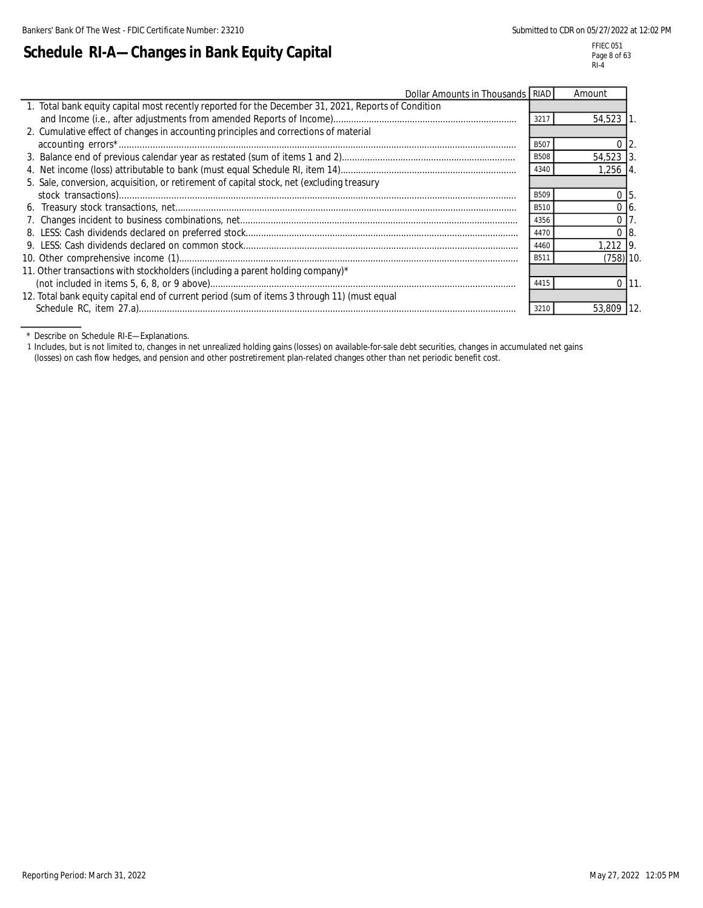L

#### FFIEC 051 Page 8 of 63 RI-4

| Schedule RI-A—Changes in Bank Equity Capital |  |  |  |
|----------------------------------------------|--|--|--|
|                                              |  |  |  |

| Dollar Amounts in Thousands RIAD                                                                    |             | Amount         |      |
|-----------------------------------------------------------------------------------------------------|-------------|----------------|------|
| 1. Total bank equity capital most recently reported for the December 31, 2021, Reports of Condition |             |                |      |
|                                                                                                     | 3217        | 54,523 1       |      |
| 2. Cumulative effect of changes in accounting principles and corrections of material                |             |                |      |
|                                                                                                     | B507        | $\Omega$       |      |
|                                                                                                     | <b>B508</b> | $54.523$ 3     |      |
|                                                                                                     | 4340        | 1,256 4.       |      |
| 5. Sale, conversion, acquisition, or retirement of capital stock, net (excluding treasury           |             |                |      |
|                                                                                                     | <b>B509</b> | 0 <sub>5</sub> |      |
|                                                                                                     | <b>B510</b> | $0\,$ 16.      |      |
|                                                                                                     | 4356        | $\overline{0}$ |      |
|                                                                                                     | 4470        | 0 <sub>8</sub> |      |
|                                                                                                     | 4460        | 1,212 9.       |      |
|                                                                                                     | B511        | $(758)$ 10.    |      |
| 11. Other transactions with stockholders (including a parent holding company)*                      |             |                |      |
|                                                                                                     | 4415        |                | 0111 |
| 12. Total bank equity capital end of current period (sum of items 3 through 11) (must equal         |             |                |      |
|                                                                                                     |             | 53,809         |      |

\* Describe on Schedule RI-E—Explanations.

1 Includes, but is not limited to, changes in net unrealized holding gains (losses) on available-for-sale debt securities, changes in accumulated net gains (losses) on cash flow hedges, and pension and other postretirement plan-related changes other than net periodic benefit cost.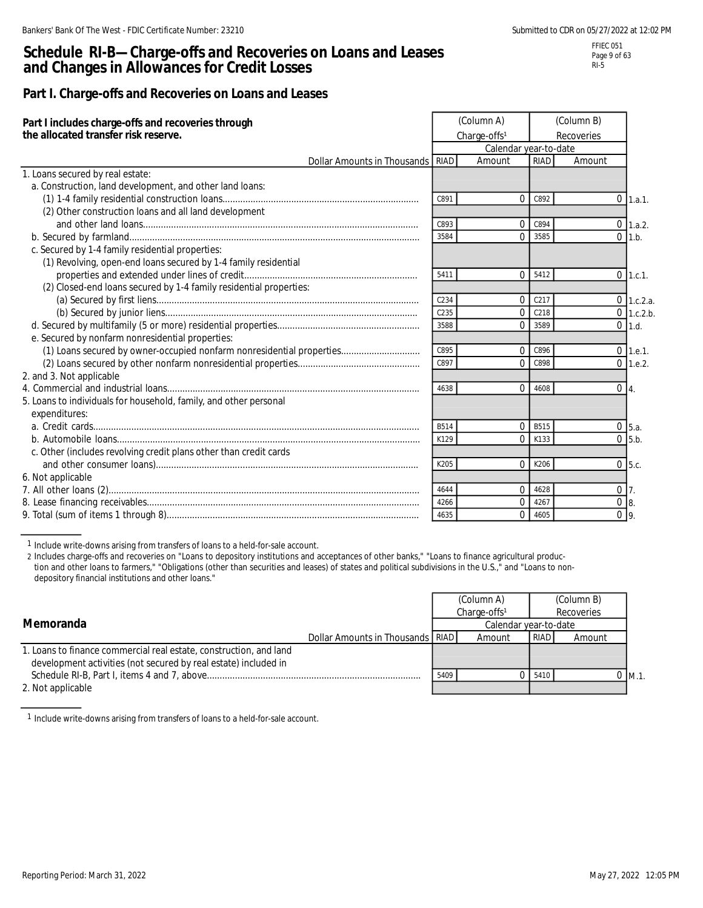### **Schedule RI-B—Charge-offs and Recoveries on Loans and Leases and Changes in Allowances for Credit Losses**

### **Part I. Charge-offs and Recoveries on Loans and Leases**

| Part I includes charge-offs and recoveries through<br>the allocated transfer risk reserve. |             | (Column A)<br>Charge-offs <sup>1</sup><br>Calendar year-to-date |             | (Column B)<br>Recoveries |                  |
|--------------------------------------------------------------------------------------------|-------------|-----------------------------------------------------------------|-------------|--------------------------|------------------|
| Dollar Amounts in Thousands RIAD                                                           |             | Amount                                                          | <b>RIAD</b> | Amount                   |                  |
| 1. Loans secured by real estate:                                                           |             |                                                                 |             |                          |                  |
| a. Construction, land development, and other land loans:                                   |             |                                                                 |             |                          |                  |
|                                                                                            | C891        | $\Omega$                                                        | C892        |                          | $0$ 1.a.1.       |
| (2) Other construction loans and all land development                                      |             |                                                                 |             |                          |                  |
|                                                                                            | C893        | $\mathbf 0$                                                     | C894        |                          | $0 \quad 1.a.2.$ |
|                                                                                            | 3584        | $\Omega$                                                        | 3585        |                          | $0$ 1.b.         |
| c. Secured by 1-4 family residential properties:                                           |             |                                                                 |             |                          |                  |
| (1) Revolving, open-end loans secured by 1-4 family residential                            |             |                                                                 |             |                          |                  |
|                                                                                            | 5411        | $\Omega$                                                        | 5412        |                          | $0$ 1.c.1.       |
| (2) Closed-end loans secured by 1-4 family residential properties:                         |             |                                                                 |             |                          |                  |
|                                                                                            | C234        | $\mathbf{0}$                                                    | C217        |                          | $0$ 1.c.2.a.     |
|                                                                                            | C235        | $\Omega$                                                        | C218        |                          | $0$ 1.c.2.b.     |
|                                                                                            | 3588        | $\Omega$                                                        | 3589        |                          | $0$ 1.d.         |
| e. Secured by nonfarm nonresidential properties:                                           |             |                                                                 |             |                          |                  |
| (1) Loans secured by owner-occupied nonfarm nonresidential properties                      | C895        | $\Omega$                                                        | C896        |                          | $0$ 1.e.1.       |
|                                                                                            | C897        | $\Omega$                                                        | C898        |                          | $0$ 1.e.2.       |
| 2. and 3. Not applicable                                                                   |             |                                                                 |             |                          |                  |
|                                                                                            | 4638        | $\Omega$                                                        | 4608        | $0\vert 4.$              |                  |
| 5. Loans to individuals for household, family, and other personal                          |             |                                                                 |             |                          |                  |
| expenditures:                                                                              |             |                                                                 |             |                          |                  |
|                                                                                            | <b>B514</b> | $\Omega$                                                        | <b>B515</b> |                          | $0$ 5.a.         |
|                                                                                            | K129        | $\Omega$                                                        | K133        |                          | $0\,$ 5.b.       |
| c. Other (includes revolving credit plans other than credit cards                          |             |                                                                 |             |                          |                  |
|                                                                                            | K205        | $\Omega$                                                        | K206        |                          | $0\,$ 5.c.       |
| 6. Not applicable                                                                          |             |                                                                 |             |                          |                  |
|                                                                                            | 4644        | $\overline{0}$                                                  | 4628        | $0\vert 7.$              |                  |
|                                                                                            | 4266        | $\mathbf 0$                                                     | 4267        | $0 \quad 8.$             |                  |
|                                                                                            | 4635        | $\Omega$                                                        | 4605        | 0 <sub>9</sub>           |                  |

1 Include write-downs arising from transfers of loans to a held-for-sale account.

2 Includes charge-offs and recoveries on "Loans to depository institutions and acceptances of other banks," "Loans to finance agricultural production and other loans to farmers," "Obligations (other than securities and leases) of states and political subdivisions in the U.S.," and "Loans to nondepository financial institutions and other loans."

| Memoranda                                                                                                                             |                                  |                       | (Column A)<br>Charge-offs <sup>1</sup> |             | (Column B)<br>Recoveries |     |
|---------------------------------------------------------------------------------------------------------------------------------------|----------------------------------|-----------------------|----------------------------------------|-------------|--------------------------|-----|
|                                                                                                                                       |                                  | Calendar year-to-date |                                        |             |                          |     |
|                                                                                                                                       | Dollar Amounts in Thousands RIAD |                       | Amount                                 | <b>RIAD</b> | Amount                   |     |
| 1. Loans to finance commercial real estate, construction, and land<br>development activities (not secured by real estate) included in |                                  |                       |                                        |             |                          |     |
|                                                                                                                                       |                                  | 5409                  |                                        | 0.5410      |                          | M.1 |
| 2. Not applicable                                                                                                                     |                                  |                       |                                        |             |                          |     |

1 Include write-downs arising from transfers of loans to a held-for-sale account.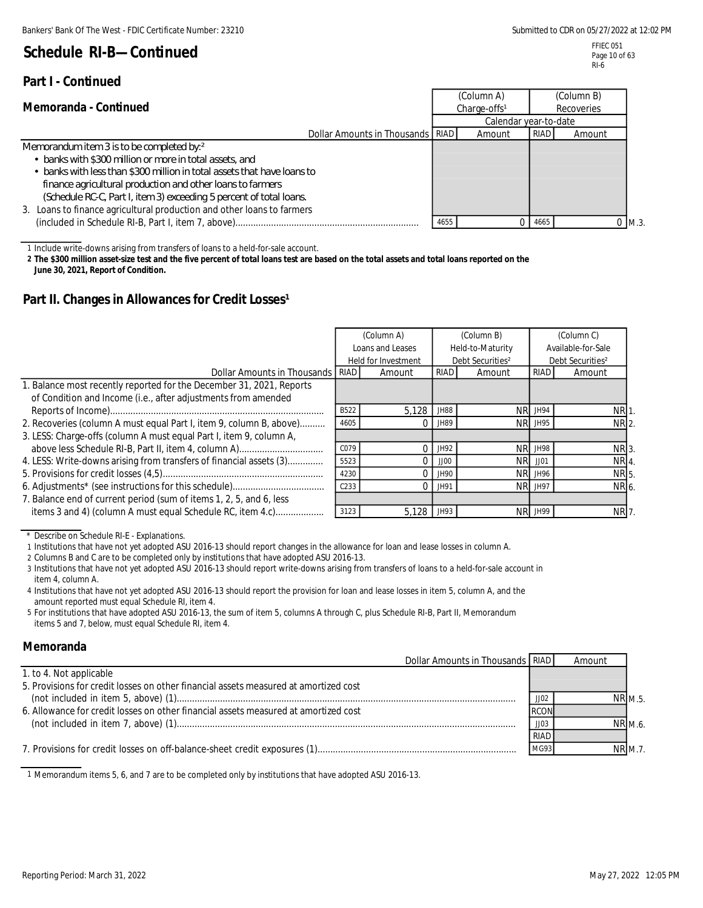### **Part I - Continued**

FFIEC 051 Page 10 of 63 RI-6

|                                                                         |                          | (Column A)            |      | (Column B) |     |            |  |
|-------------------------------------------------------------------------|--------------------------|-----------------------|------|------------|-----|------------|--|
| Memoranda - Continued                                                   | Charge-offs <sup>1</sup> |                       |      |            |     | Recoveries |  |
|                                                                         |                          | Calendar year-to-date |      |            |     |            |  |
| Dollar Amounts in Thousands   RIAD                                      |                          | Amount                | RIAD | Amount     |     |            |  |
| Memorandum item 3 is to be completed by:2                               |                          |                       |      |            |     |            |  |
| • banks with \$300 million or more in total assets, and                 |                          |                       |      |            |     |            |  |
| • banks with less than \$300 million in total assets that have loans to |                          |                       |      |            |     |            |  |
| finance agricultural production and other loans to farmers              |                          |                       |      |            |     |            |  |
| (Schedule RC-C, Part I, item 3) exceeding 5 percent of total loans.     |                          |                       |      |            |     |            |  |
| 3. Loans to finance agricultural production and other loans to farmers  |                          |                       |      |            |     |            |  |
|                                                                         | 4655                     |                       | 4665 |            | M.3 |            |  |

1 Include write-downs arising from transfers of loans to a held-for-sale account.

**2 The \$300 million asset-size test and the five percent of total loans test are based on the total assets and total loans reported on the June 30, 2021, Report of Condition.**

### Part II. Changes in Allowances for Credit Losses<sup>1</sup>

|                                                                                                                                       |                  | (Column A)<br>Loans and Leases |             | (Column B)<br>Held-to-Maturity |                | (Column C)<br>Available-for-Sale |
|---------------------------------------------------------------------------------------------------------------------------------------|------------------|--------------------------------|-------------|--------------------------------|----------------|----------------------------------|
|                                                                                                                                       |                  | Held for Investment            |             | Debt Securities <sup>2</sup>   |                | Debt Securities <sup>2</sup>     |
| Dollar Amounts in Thousands RIAD                                                                                                      |                  | Amount                         | <b>RIAD</b> | Amount                         | <b>RIAD</b>    | Amount                           |
| 1. Balance most recently reported for the December 31, 2021, Reports<br>of Condition and Income (i.e., after adjustments from amended |                  |                                |             |                                |                |                                  |
|                                                                                                                                       | B522             | 5,128                          | <b>JH88</b> |                                | NR JH94        | NR <sub>1</sub>                  |
| 2. Recoveries (column A must equal Part I, item 9, column B, above)                                                                   | 4605             |                                | JH89        |                                | <b>NR JH95</b> | NR 2.                            |
| 3. LESS: Charge-offs (column A must equal Part I, item 9, column A,                                                                   |                  |                                |             |                                |                |                                  |
| above less Schedule RI-B, Part II, item 4, column A)                                                                                  | C079             |                                | JH92        |                                | NR JH98        | NR 3.                            |
| 4. LESS: Write-downs arising from transfers of financial assets (3)                                                                   | 5523             |                                | JJOO        |                                | <b>NR</b> JJ01 | <b>NR 4</b>                      |
|                                                                                                                                       | 4230             |                                | JH90        |                                | NR JH96        | NR 5.                            |
|                                                                                                                                       | C <sub>233</sub> |                                | JH91        |                                | NR JH97        | NR 6.                            |
| 7. Balance end of current period (sum of items 1, 2, 5, and 6, less                                                                   |                  |                                |             |                                |                |                                  |
| items 3 and 4) (column A must equal Schedule RC, item 4.c)                                                                            | 3123             | 5.128                          | JH93        |                                | NR JH99        | <b>NR</b> 7                      |

\* Describe on Schedule RI-E - Explanations.

1 Institutions that have not yet adopted ASU 2016-13 should report changes in the allowance for loan and lease losses in column A.

2 Columns B and C are to be completed only by institutions that have adopted ASU 2016-13.

3 Institutions that have not yet adopted ASU 2016-13 should report write-downs arising from transfers of loans to a held-for-sale account in item 4, column A.

4 Institutions that have not yet adopted ASU 2016-13 should report the provision for loan and lease losses in item 5, column A, and the amount reported must equal Schedule RI, item 4.

5 For institutions that have adopted ASU 2016-13, the sum of item 5, columns A through C, plus Schedule RI-B, Part II, Memorandum items 5 and 7, below, must equal Schedule RI, item 4.

#### **Memoranda**

| Dollar Amounts in Thousands RIAD                                                     |             | Amount         |  |
|--------------------------------------------------------------------------------------|-------------|----------------|--|
| 1. to 4. Not applicable                                                              |             |                |  |
| 5. Provisions for credit losses on other financial assets measured at amortized cost |             |                |  |
|                                                                                      | JJ02        | <b>NR M.5.</b> |  |
| 6. Allowance for credit losses on other financial assets measured at amortized cost  | <b>RCON</b> |                |  |
|                                                                                      | JJO3        | NR M.6.        |  |
|                                                                                      | <b>RIAD</b> |                |  |
|                                                                                      | MG93        | <b>NR M.7.</b> |  |
|                                                                                      |             |                |  |

1 Memorandum items 5, 6, and 7 are to be completed only by institutions that have adopted ASU 2016-13.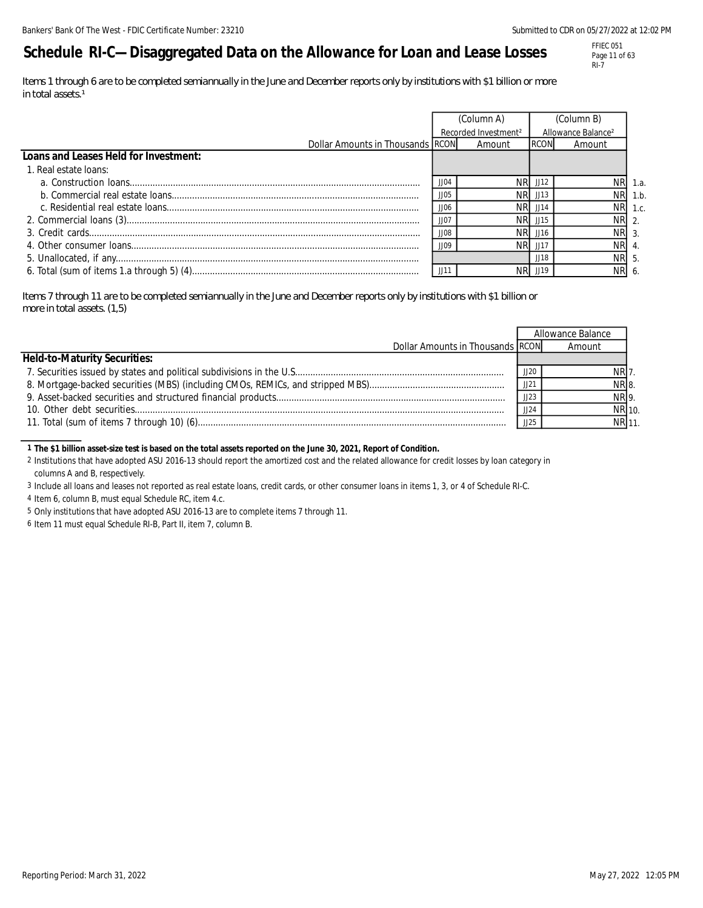# **Schedule RI-C—Disaggregated Data on the Allowance for Loan and Lease Losses**

FFIEC 051 Page 11 of 63 RI-7

*Items 1 through 6 are to be completed semiannually in the June and December reports only by institutions with \$1 billion or more in total assets.<sup>1</sup>* 

|                                       | (Column A)  |                                  |             | (Column B)                     |         |
|---------------------------------------|-------------|----------------------------------|-------------|--------------------------------|---------|
|                                       |             | Recorded Investment <sup>2</sup> |             | Allowance Balance <sup>2</sup> |         |
| Dollar Amounts in Thousands RCON      |             | Amount                           | <b>RCON</b> | Amount                         |         |
| Loans and Leases Held for Investment: |             |                                  |             |                                |         |
| 1. Real estate loans:                 |             |                                  |             |                                |         |
|                                       | JJOZ        |                                  | JJ12        |                                | NR 1.a. |
|                                       | 1105        | NRI.                             | JJ13        |                                | NR 1.b. |
|                                       | JJOf        | NRI                              | JJ14        |                                | NR 1.c. |
|                                       | JJO.        | NRL                              | JJ15        | NR 2.                          |         |
|                                       | <b>JJ08</b> | NR.                              | JJ16        | NR 3.                          |         |
|                                       | 1109        | NRI                              | $\pm 11$    | <b>NR</b>                      |         |
|                                       |             |                                  | .1118       | NR 5.                          |         |
|                                       | JJ1         |                                  | JJ19        | NR 6.                          |         |

*Items 7 through 11 are to be completed semiannually in the June and December reports only by institutions with \$1 billion or more in total assets. (1,5)*

|                                     |      | Allowance Balance |  |
|-------------------------------------|------|-------------------|--|
| Dollar Amounts in Thousands RCON    |      | Amount            |  |
| <b>Held-to-Maturity Securities:</b> |      |                   |  |
|                                     | JJ2C | NR 7.             |  |
|                                     | JJ21 | NR 8.             |  |
|                                     | 1123 | NR 9.             |  |
|                                     | JJ24 | NR 10.            |  |
|                                     | 1125 | NR 11.            |  |

#### **1 The \$1 billion asset-size test is based on the total assets reported on the June 30, 2021, Report of Condition.**

2 Institutions that have adopted ASU 2016-13 should report the amortized cost and the related allowance for credit losses by loan category in columns A and B, respectively.

3 Include all loans and leases not reported as real estate loans, credit cards, or other consumer loans in items 1, 3, or 4 of Schedule RI-C.

4 Item 6, column B, must equal Schedule RC, item 4.c.

5 Only institutions that have adopted ASU 2016-13 are to complete items 7 through 11.

6 Item 11 must equal Schedule RI-B, Part II, item 7, column B.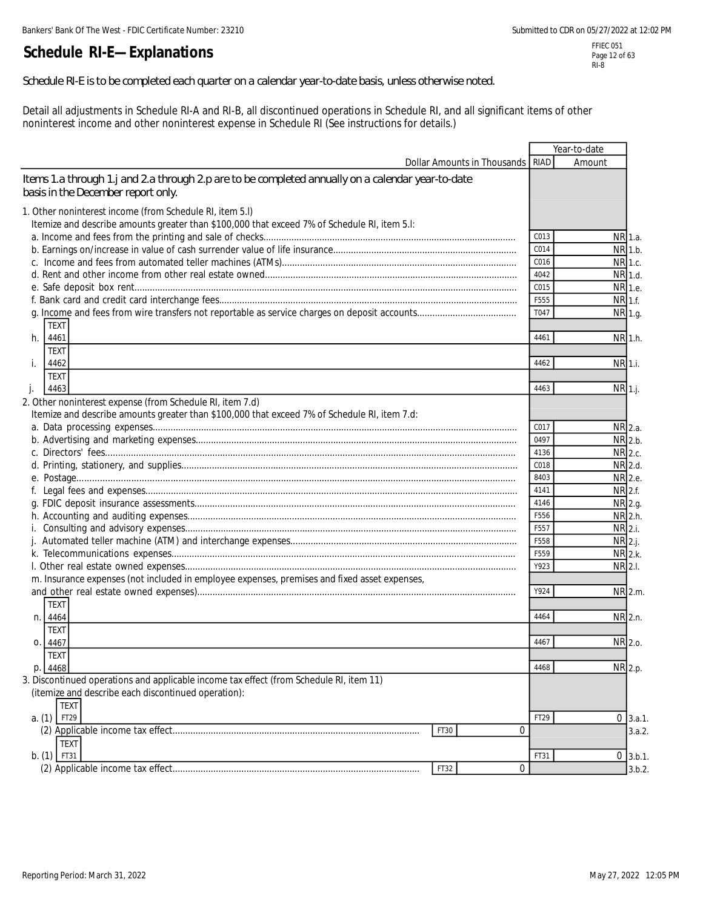# **Schedule RI-E—Explanations**

#### *Schedule RI-E is to be completed each quarter on a calendar year-to-date basis, unless otherwise noted.*

Detail all adjustments in Schedule RI-A and RI-B, all discontinued operations in Schedule RI, and all significant items of other noninterest income and other noninterest expense in Schedule RI (See instructions for details.)

|                                                                                                                                                           |                                    |              | Year-to-date  |
|-----------------------------------------------------------------------------------------------------------------------------------------------------------|------------------------------------|--------------|---------------|
|                                                                                                                                                           | Dollar Amounts in Thousands   RIAD |              | Amount        |
| Items 1.a through 1.j and 2a through 2p are to be completed annually on a calendar year-to-date<br>basis in the December report only.                     |                                    |              |               |
| 1. Other noninterest income (from Schedule RI, item 5.I)                                                                                                  |                                    |              |               |
| Itemize and describe amounts greater than \$100,000 that exceed 7% of Schedule RI, item 5.I:                                                              |                                    |              |               |
|                                                                                                                                                           |                                    | C013         | NR 1.a.       |
|                                                                                                                                                           |                                    | C014         | NR 1.b.       |
|                                                                                                                                                           |                                    | C016         | NR 1.c.       |
|                                                                                                                                                           |                                    | 4042         | NR 1.d.       |
|                                                                                                                                                           |                                    | C015         | NR 1.e.       |
|                                                                                                                                                           |                                    | F555         | NR 1.f.       |
|                                                                                                                                                           |                                    | T047         | NR 1.g.       |
| <b>TEXT</b>                                                                                                                                               |                                    |              |               |
| 4461<br>h.                                                                                                                                                |                                    | 4461         | NR 1.h.       |
| <b>TEXT</b>                                                                                                                                               |                                    |              |               |
| 4462<br>İ.                                                                                                                                                |                                    | 4462         | NR 1.i.       |
| <b>TEXT</b>                                                                                                                                               |                                    |              |               |
| 4463                                                                                                                                                      |                                    | 4463         | NR 1.j.       |
| $\cdot$                                                                                                                                                   |                                    |              |               |
| 2. Other noninterest expense (from Schedule RI, item 7.d)<br>Itemize and describe amounts greater than \$100,000 that exceed 7% of Schedule RI, item 7.d: |                                    |              |               |
|                                                                                                                                                           |                                    |              |               |
|                                                                                                                                                           |                                    | C017<br>0497 | NR 2.a.       |
|                                                                                                                                                           |                                    |              | NR 2.b.       |
|                                                                                                                                                           |                                    | 4136         | NR 2.c.       |
|                                                                                                                                                           |                                    | C018         | NR 2.d.       |
|                                                                                                                                                           |                                    | 8403         | NR 2.e.       |
|                                                                                                                                                           |                                    | 4141         | NR 2.f.       |
|                                                                                                                                                           |                                    | 4146         | NR 2.g.       |
|                                                                                                                                                           |                                    | F556         | NR 2.h.       |
|                                                                                                                                                           |                                    | F557         | NR 2.i.       |
|                                                                                                                                                           |                                    | F558         | $NR$ 2.j.     |
|                                                                                                                                                           |                                    | F559         | NR 2.k.       |
|                                                                                                                                                           |                                    | Y923         | NR 2.1.       |
| m. Insurance expenses (not included in employee expenses, premises and fixed asset expenses,                                                              |                                    |              |               |
|                                                                                                                                                           |                                    | Y924         | NR 2.m.       |
| <b>TEXT</b>                                                                                                                                               |                                    |              |               |
| n. 4464                                                                                                                                                   |                                    | 4464         | NR 2.n.       |
| TEXT                                                                                                                                                      |                                    |              |               |
| Ο.<br>4467                                                                                                                                                |                                    | 4467         | NR 2.0.       |
| <b>TEXT</b>                                                                                                                                               |                                    |              |               |
| p. 4468                                                                                                                                                   |                                    | 4468         | NR 2.p.       |
| 3. Discontinued operations and applicable income tax effect (from Schedule RI, item 11)                                                                   |                                    |              |               |
| (itemize and describe each discontinued operation):                                                                                                       |                                    |              |               |
| <b>TEXT</b>                                                                                                                                               |                                    |              |               |
| FT29<br>a. (1)                                                                                                                                            |                                    | FT29         | $0 \, 3.a.1.$ |
|                                                                                                                                                           | 0<br>FT30                          |              | 3.a.2.        |
| <b>TEXT</b>                                                                                                                                               |                                    |              |               |
| $b. (1)$ FT31                                                                                                                                             |                                    | FT31         | $0$ 3.b.1.    |
|                                                                                                                                                           | 0<br>FT32                          |              | 3.b.2.        |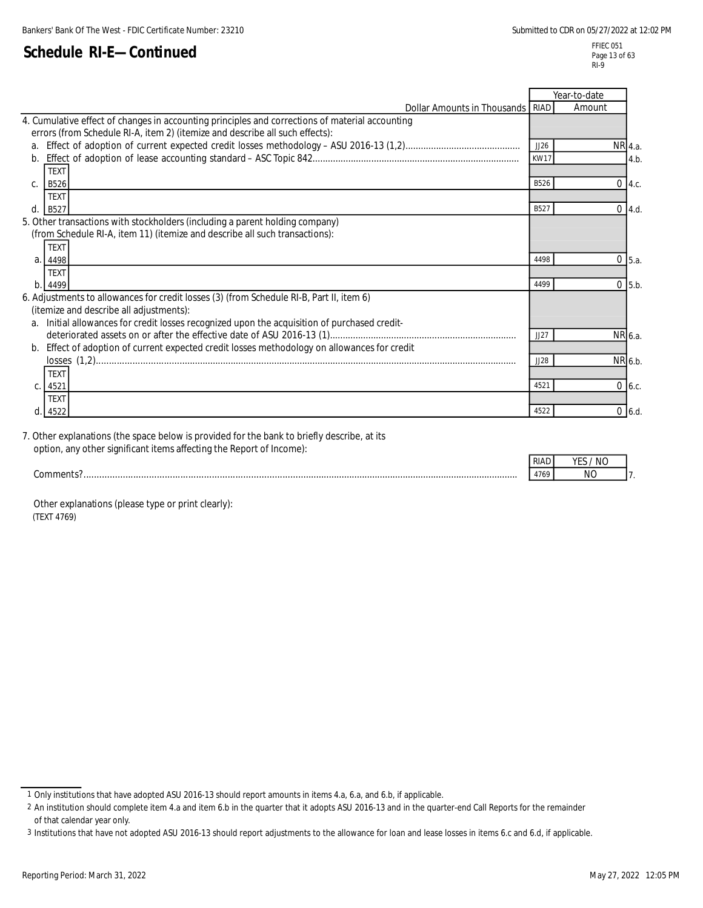FFIEC 051 Page 13 of 63 RI-9

|                                                                                                 |                  | Year-to-date |            |
|-------------------------------------------------------------------------------------------------|------------------|--------------|------------|
| Dollar Amounts in Thousands RIAD                                                                |                  | Amount       |            |
| 4. Cumulative effect of changes in accounting principles and corrections of material accounting |                  |              |            |
| errors (from Schedule RI-A, item 2) (itemize and describe all such effects):                    |                  |              |            |
| a <sub>1</sub>                                                                                  | JJ26             | NR 4.a.      |            |
| $h_{-}$                                                                                         | <b>KW17</b>      |              | 4.b        |
| <b>TEXT</b>                                                                                     |                  |              |            |
| <b>B526</b><br>$C_{1}$                                                                          | B526             |              | $0$ 4.c.   |
| <b>TEXT</b>                                                                                     |                  |              |            |
| d<br><b>B527</b>                                                                                | B <sub>527</sub> |              | $0$ 4.d.   |
| 5. Other transactions with stockholders (including a parent holding company)                    |                  |              |            |
| (from Schedule RI-A, item 11) (itemize and describe all such transactions):                     |                  |              |            |
| <b>TEXT</b>                                                                                     |                  |              |            |
| a<br>4498                                                                                       | 4498             | 0            | 5.a.       |
| <b>TEXT</b>                                                                                     |                  |              |            |
| b<br>4499                                                                                       | 4499             |              | $0$ 5.b.   |
| 6. Adjustments to allowances for credit losses (3) (from Schedule RI-B, Part II, item 6)        |                  |              |            |
| (itemize and describe all adjustments):                                                         |                  |              |            |
| Initial allowances for credit losses recognized upon the acquisition of purchased credit-<br>a. |                  |              |            |
|                                                                                                 | JJ27             | NR 6.a.      |            |
| Effect of adoption of current expected credit losses methodology on allowances for credit<br>b. |                  |              |            |
|                                                                                                 | JJ28             | NR 6.b.      |            |
| <b>TEXT</b>                                                                                     |                  |              |            |
| 4521                                                                                            | 4521             |              | 06.c.      |
| <b>TFXT</b>                                                                                     |                  |              |            |
| 4522                                                                                            | 4522             |              | $0, 6$ .d. |

7. Other explanations (the space below is provided for the bank to briefly describe, at its option, any other significant items affecting the Report of Income):

| . . | NΙ |  |
|-----|----|--|
| .   | Νſ |  |

 Other explanations (please type or print clearly): (TEXT 4769)

<sup>1</sup> Only institutions that have adopted ASU 2016-13 should report amounts in items 4.a, 6.a, and 6.b, if applicable.

<sup>2</sup> An institution should complete item 4.a and item 6.b in the quarter that it adopts ASU 2016-13 and in the quarter-end Call Reports for the remainder of that calendar year only.

<sup>3</sup> Institutions that have not adopted ASU 2016-13 should report adjustments to the allowance for loan and lease losses in items 6.c and 6.d, if applicable.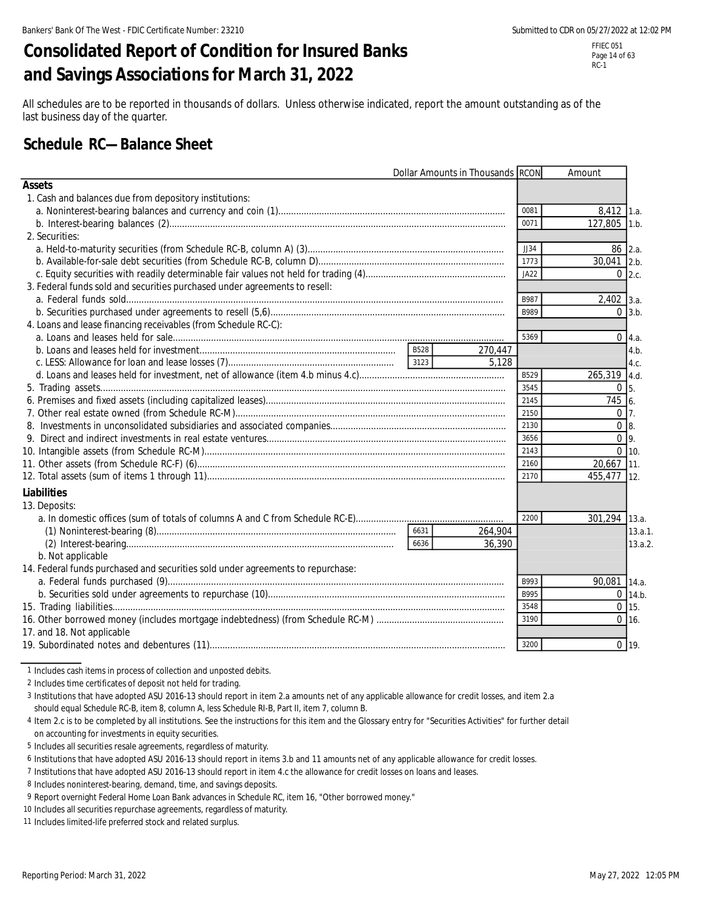# **Consolidated Report of Condition for Insured Banks and Savings Associations for March 31, 2022**

RC-1

All schedules are to be reported in thousands of dollars. Unless otherwise indicated, report the amount outstanding as of the last business day of the quarter.

# **Schedule RC—Balance Sheet**

|                                                                                 | Dollar Amounts in Thousands RCON |         |             | Amount            |                |
|---------------------------------------------------------------------------------|----------------------------------|---------|-------------|-------------------|----------------|
| <b>Assets</b>                                                                   |                                  |         |             |                   |                |
| 1. Cash and balances due from depository institutions:                          |                                  |         |             |                   |                |
|                                                                                 |                                  |         | 0081        | $8,412$ 1.a.      |                |
|                                                                                 |                                  |         | 0071        | 127,805 1.b.      |                |
| 2. Securities:                                                                  |                                  |         |             |                   |                |
|                                                                                 |                                  |         | JJ34        | 86 2.a.           |                |
|                                                                                 |                                  |         | 1773        | 30,041 2.b.       |                |
|                                                                                 |                                  |         | JA22        | 0 <sub>2.c.</sub> |                |
| 3. Federal funds sold and securities purchased under agreements to resell:      |                                  |         |             |                   |                |
|                                                                                 |                                  |         | B987        | $2,402$ 3.a.      |                |
|                                                                                 |                                  |         | <b>B989</b> |                   | $0 \vert 3.b.$ |
| 4. Loans and lease financing receivables (from Schedule RC-C):                  |                                  |         |             |                   |                |
|                                                                                 |                                  |         | 5369        |                   | $0 \, 4.a.$    |
|                                                                                 | <b>B528</b>                      | 270,447 |             |                   | 4.b.           |
|                                                                                 |                                  | 5.128   |             |                   | 4.c.           |
|                                                                                 |                                  |         | B529        | 265,319 4.d.      |                |
|                                                                                 |                                  |         | 3545        | $\Omega$          | 5.             |
|                                                                                 |                                  |         | 2145        | 745 6.            |                |
|                                                                                 |                                  |         | 2150        | 0 <sub>17</sub>   |                |
|                                                                                 |                                  |         | 2130        | $\overline{0}$ 8. |                |
|                                                                                 |                                  |         | 3656        | 0 <sup>q</sup>    |                |
|                                                                                 |                                  |         | 2143        | $0 \mid 10.$      |                |
|                                                                                 |                                  |         | 2160        | 20,667 11.        |                |
|                                                                                 |                                  |         | 2170        | 455,477 12.       |                |
| Liabilities                                                                     |                                  |         |             |                   |                |
| 13. Deposits:                                                                   |                                  |         |             |                   |                |
|                                                                                 |                                  |         | 2200        | 301,294 13.a.     |                |
|                                                                                 | 6631                             | 264.904 |             |                   | 13.a.1.        |
|                                                                                 | 6636                             | 36,390  |             |                   | 13.a.2.        |
| b. Not applicable                                                               |                                  |         |             |                   |                |
| 14. Federal funds purchased and securities sold under agreements to repurchase: |                                  |         |             |                   |                |
|                                                                                 |                                  |         | B993        | 90,081 14.a.      |                |
|                                                                                 |                                  |         | <b>B995</b> |                   | $0$ 14.b.      |
|                                                                                 |                                  |         | 3548        | $0$ 15.           |                |
|                                                                                 |                                  |         | 3190        | $0$ 16.           |                |
| 17. and 18. Not applicable                                                      |                                  |         |             |                   |                |
|                                                                                 |                                  |         | 3200        | $0$ 19.           |                |

1 Includes cash items in process of collection and unposted debits.

2 Includes time certificates of deposit not held for trading.

3 Institutions that have adopted ASU 2016-13 should report in item 2.a amounts net of any applicable allowance for credit losses, and item 2.a should equal Schedule RC-B, item 8, column A, less Schedule RI-B, Part II, item 7, column B.

4 Item 2.c is to be completed by all institutions. See the instructions for this item and the Glossary entry for "Securities Activities" for further detail on accounting for investments in equity securities.

5 Includes all securities resale agreements, regardless of maturity.

6 Institutions that have adopted ASU 2016-13 should report in items 3.b and 11 amounts net of any applicable allowance for credit losses.

7 Institutions that have adopted ASU 2016-13 should report in item 4.c the allowance for credit losses on loans and leases.

8 Includes noninterest-bearing, demand, time, and savings deposits.

9 Report overnight Federal Home Loan Bank advances in Schedule RC, item 16, "Other borrowed money."

10 Includes all securities repurchase agreements, regardless of maturity.

11 Includes limited-life preferred stock and related surplus.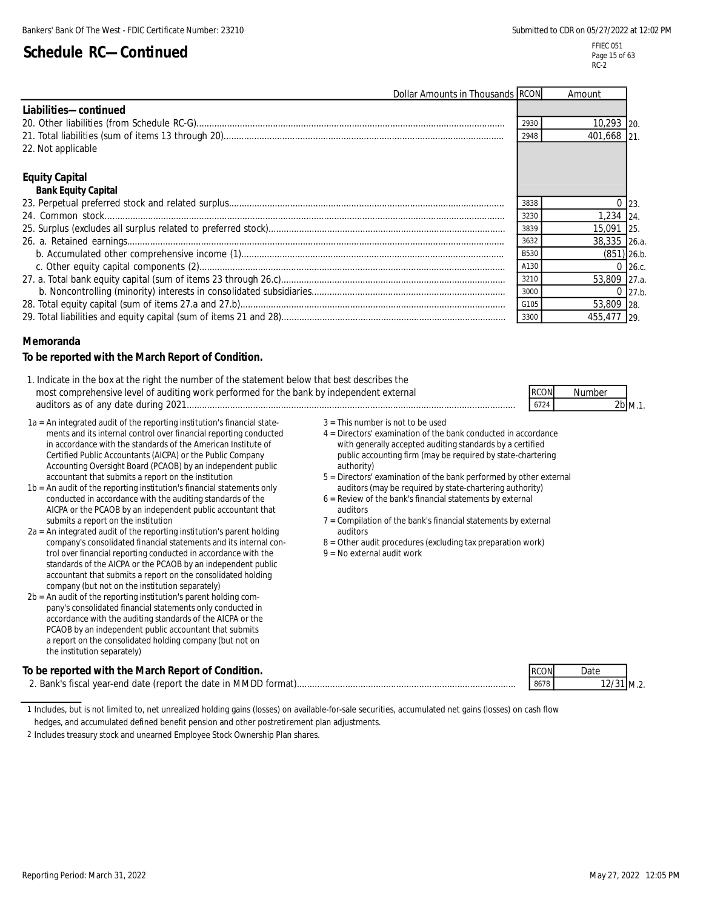M.1.

| Dollar Amounts in Thousands RCON |             | Amount        |             |
|----------------------------------|-------------|---------------|-------------|
| Liabilities-continued            |             |               |             |
|                                  | 2930        | 10,293 20.    |             |
|                                  | 2948        | 401,668 21.   |             |
| 22. Not applicable               |             |               |             |
|                                  |             |               |             |
| <b>Equity Capital</b>            |             |               |             |
| <b>Bank Equity Capital</b>       |             |               |             |
|                                  | 3838        |               |             |
|                                  | 3230        | 1.234 24.     |             |
|                                  | 3839        | 15,091 25.    |             |
|                                  | 3632        | 38,335 26.a.  |             |
|                                  | <b>B530</b> | $(851)$ 26.b. |             |
|                                  | A130        |               | $0\,$ 26.c. |
|                                  | 3210        | 53,809 27.a.  |             |
|                                  | 3000        |               | $0\,$ 27.b. |
|                                  | G105        | 53,809 28.    |             |
|                                  | 3300        | 455,477 29.   |             |

### **Memoranda**

#### **To be reported with the March Report of Condition.**

| 1. Indicate in the box at the right the number of the statement below that best describes the |             |        |
|-----------------------------------------------------------------------------------------------|-------------|--------|
| most comprehensive level of auditing work performed for the bank by independent external      | <b>RCON</b> | Number |
| auditors as of any date during 2021                                                           | 6724        | 2b     |

| 1a = An integrated audit of the reporting institution's financial state- | $3 =$ This numb  |
|--------------------------------------------------------------------------|------------------|
| ments and its internal control over financial reporting conducted        | $4 =$ Directors' |
| in accordance with the standards of the American Institute of            | with gene        |
| Certified Public Accountants (AICPA) or the Public Company               | public acc       |
| Accounting Oversight Board (PCAOB) by an independent public              | authority)       |
| accountant that submits a report on the institution                      | $5 =$ Directors' |

| 1b = An audit of the reporting institution's financial statements only | auditors     |
|------------------------------------------------------------------------|--------------|
| conducted in accordance with the auditing standards of the             | $6$ = Review |
| AICPA or the PCAOB by an independent public accountant that            | auditors     |
| submits a report on the institution                                    | 7 = Compila  |

| $2a = An integrated audit of the reporting institution's parent holding$ | auditors       |
|--------------------------------------------------------------------------|----------------|
| company's consolidated financial statements and its internal con-        | $8 =$ Other au |
| trol over financial reporting conducted in accordance with the           | $9 = No$ exter |
| standards of the AICPA or the PCAOB by an independent public             |                |
| accountant that submits a report on the consolidated holding             |                |
| company (but not on the institution separately)                          |                |
|                                                                          |                |

2b = An audit of the reporting institution's parent holding company's consolidated financial statements only conducted in accordance with the auditing standards of the AICPA or the PCAOB by an independent public accountant that submits a report on the consolidated holding company (but not on the institution separately)

- $3$  = This number is not to be used
- 4 = Directors' examination of the bank conducted in accordance with generally accepted auditing standards by a certified public accounting firm (may be required by state-chartering
- accountant that submits a report on the institution 5 = Directors' examination of the bank performed by other external auditors (may be required by state-chartering authority)
	- $6$  = Review of the bank's financial statements by external
	- $7$  = Compilation of the bank's financial statements by external
	- 8 = Other audit procedures (excluding tax preparation work)
	- $9 = No$  external audit work

| To be reported with the March Report of Condition.               | <b>RCON</b> | Dato |          |
|------------------------------------------------------------------|-------------|------|----------|
| 2. Bank's fiscal vear-end date (report the date in MMDD format). | 8678        |      | '31 M.2. |

<sup>1</sup> Includes, but is not limited to, net unrealized holding gains (losses) on available-for-sale securities, accumulated net gains (losses) on cash flow

hedges, and accumulated defined benefit pension and other postretirement plan adjustments.

<sup>2</sup> Includes treasury stock and unearned Employee Stock Ownership Plan shares.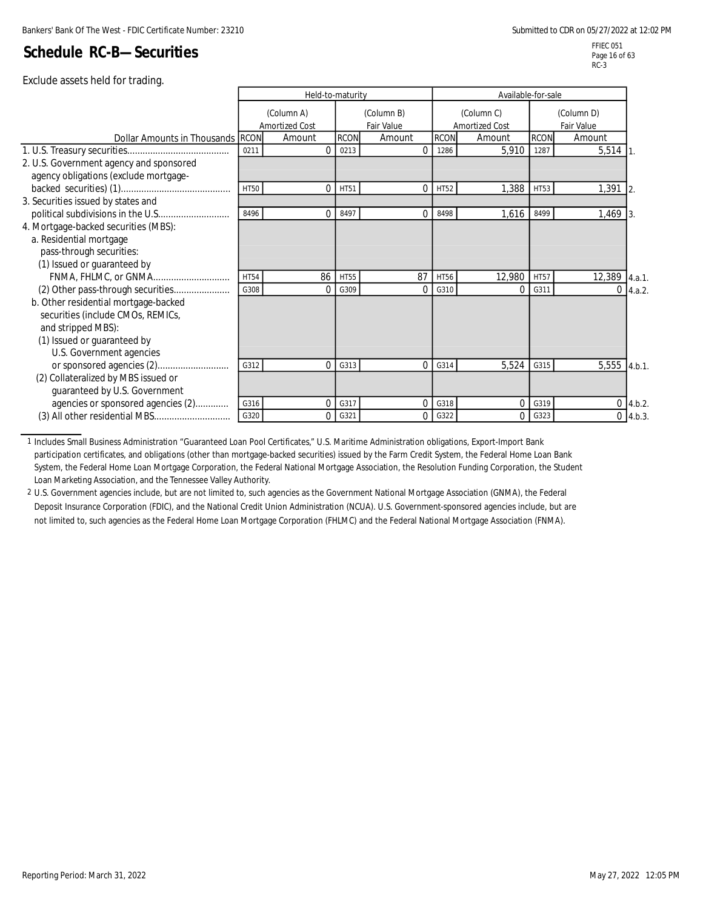FFIEC 051 Page 16 of 63 RC-3

|                                                                                                                                                            |             | Held-to-maturity             |             |                          | Available-for-sale |                                     |             |                          |                              |
|------------------------------------------------------------------------------------------------------------------------------------------------------------|-------------|------------------------------|-------------|--------------------------|--------------------|-------------------------------------|-------------|--------------------------|------------------------------|
|                                                                                                                                                            |             | (Column A)<br>Amortized Cost |             | (Column B)<br>Fair Value |                    | (Column C)<br><b>Amortized Cost</b> |             | (Column D)<br>Fair Value |                              |
| Dollar Amounts in Thousands RCON                                                                                                                           |             | Amount                       | <b>RCON</b> | Amount                   | <b>RCON</b>        | Amount                              | <b>RCON</b> | Amount                   |                              |
|                                                                                                                                                            | 0211        | $\Omega$                     | 0213        | 0                        | 1286               | 5,910                               | 1287        | 5,514                    |                              |
| 2. U.S. Government agency and sponsored<br>agency obligations (exclude mortgage-                                                                           |             |                              |             |                          |                    |                                     |             |                          |                              |
|                                                                                                                                                            | <b>HT50</b> | $\Omega$                     | HT51        | 0                        | HT52               | 1,388                               | HT53        | 1,391                    | 12.                          |
| 3. Securities issued by states and                                                                                                                         |             |                              |             |                          |                    |                                     |             |                          |                              |
|                                                                                                                                                            | 8496        | $\Omega$                     | 8497        | 0                        | 8498               | 1,616                               | 8499        | 1,469                    |                              |
| 4. Mortgage-backed securities (MBS):<br>a. Residential mortgage<br>pass-through securities:<br>(1) Issued or guaranteed by                                 |             |                              |             |                          |                    |                                     |             |                          |                              |
| FNMA, FHLMC, or GNMA                                                                                                                                       | <b>HT54</b> | 86                           | <b>HT55</b> | 87                       | <b>HT56</b>        | 12,980                              | <b>HT57</b> | 12,389                   | 4.a.1.                       |
| (2) Other pass-through securities                                                                                                                          | G308        | 0                            | G309        | 0                        | G310               | $\Omega$                            | G311        | $\Omega$                 | 4.a.2.                       |
| b. Other residential mortgage-backed<br>securities (include CMOs, REMICs,<br>and stripped MBS):<br>(1) Issued or guaranteed by<br>U.S. Government agencies |             |                              |             |                          |                    |                                     |             |                          |                              |
|                                                                                                                                                            | G312        | $\Omega$                     | G313        | $\overline{0}$           | G314               | 5,524                               | G315        | 5,555                    | 4.b.1.                       |
| (2) Collateralized by MBS issued or<br>guaranteed by U.S. Government                                                                                       | G316        | $\overline{0}$               | G317        | $\Omega$                 | G318               | $\mathbf 0$                         | G319        |                          |                              |
| agencies or sponsored agencies (2)<br>(3) All other residential MBS                                                                                        | G320        | $\Omega$                     | G321        | 0                        | G322               | $\Omega$                            | G323        |                          | $0\,$ 4.b.2.<br>$0\,$ 4.b.3. |
|                                                                                                                                                            |             |                              |             |                          |                    |                                     |             |                          |                              |

1 Includes Small Business Administration "Guaranteed Loan Pool Certificates," U.S. Maritime Administration obligations, Export-Import Bank participation certificates, and obligations (other than mortgage-backed securities) issued by the Farm Credit System, the Federal Home Loan Bank System, the Federal Home Loan Mortgage Corporation, the Federal National Mortgage Association, the Resolution Funding Corporation, the Student Loan Marketing Association, and the Tennessee Valley Authority.

2 U.S. Government agencies include, but are not limited to, such agencies as the Government National Mortgage Association (GNMA), the Federal Deposit Insurance Corporation (FDIC), and the National Credit Union Administration (NCUA). U.S. Government-sponsored agencies include, but are not limited to, such agencies as the Federal Home Loan Mortgage Corporation (FHLMC) and the Federal National Mortgage Association (FNMA).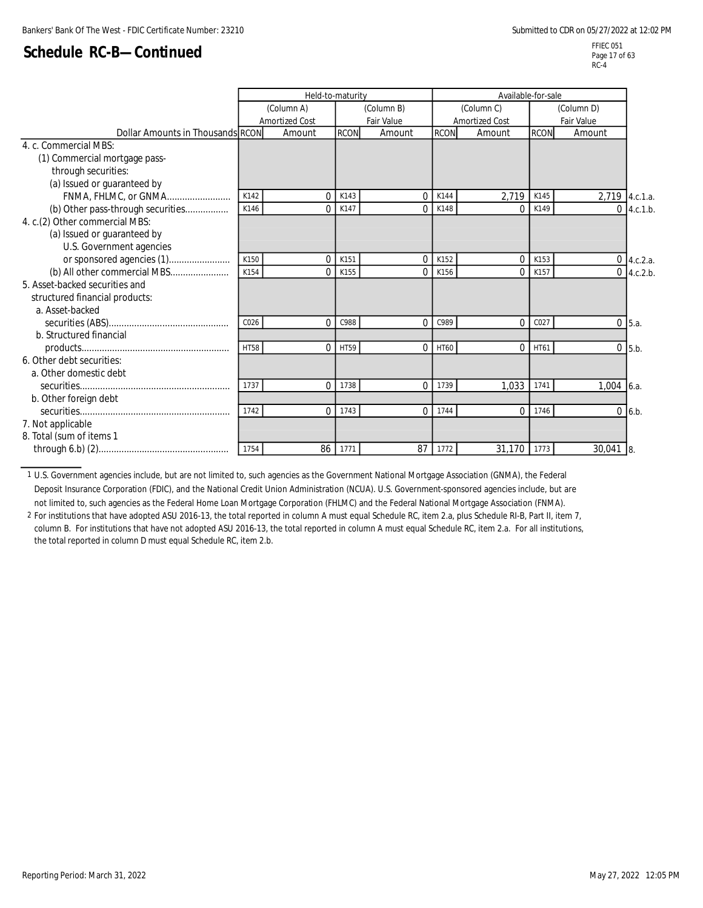FFIEC 051 Page 17 of 63  $RC-4$ 

|                                   |                  | Held-to-maturity      |             |                          | Available-for-sale |                |             |                |                 |
|-----------------------------------|------------------|-----------------------|-------------|--------------------------|--------------------|----------------|-------------|----------------|-----------------|
|                                   |                  | (Column A)            |             | (Column C)<br>(Column B) |                    |                |             | (Column D)     |                 |
|                                   |                  | <b>Amortized Cost</b> |             | Fair Value               |                    | Amortized Cost |             | Fair Value     |                 |
| Dollar Amounts in Thousands RCON  |                  | Amount                | <b>RCON</b> | Amount                   | <b>RCON</b>        | Amount         | <b>RCON</b> | Amount         |                 |
| 4. c. Commercial MBS:             |                  |                       |             |                          |                    |                |             |                |                 |
| (1) Commercial mortgage pass-     |                  |                       |             |                          |                    |                |             |                |                 |
| through securities:               |                  |                       |             |                          |                    |                |             |                |                 |
| (a) Issued or guaranteed by       |                  |                       |             |                          |                    |                |             |                |                 |
| FNMA, FHLMC, or GNMA              | K142             | 0                     | K143        | $\Omega$                 | K144               | 2,719          | K145        | 2,719 4.c.1.a. |                 |
| (b) Other pass-through securities | K146             | $\Omega$              | K147        | $\Omega$                 | K148               | $\Omega$       | K149        |                | $0\,$ 4.c.1.b.  |
| 4. c.(2) Other commercial MBS:    |                  |                       |             |                          |                    |                |             |                |                 |
| (a) Issued or guaranteed by       |                  |                       |             |                          |                    |                |             |                |                 |
| U.S. Government agencies          |                  |                       |             |                          |                    |                |             |                |                 |
|                                   | K150             | $\Omega$              | K151        | $\Omega$                 | K152               | $\Omega$       | K153        |                | $0$ 4.c.2.a.    |
| (b) All other commercial MBS      | K154             | $\Omega$              | K155        |                          | K156               | $\Omega$       | K157        |                | $0 \,$ 4.c.2.b. |
| 5. Asset-backed securities and    |                  |                       |             |                          |                    |                |             |                |                 |
| structured financial products:    |                  |                       |             |                          |                    |                |             |                |                 |
| a. Asset-backed                   |                  |                       |             |                          |                    |                |             |                |                 |
|                                   | CO <sub>26</sub> | $\Omega$              | C988        | $\Omega$                 | C989               | $\Omega$       | C027        |                | $0 \,$ 5.a.     |
| b. Structured financial           |                  |                       |             |                          |                    |                |             |                |                 |
|                                   | <b>HT58</b>      | $\Omega$              | <b>HT59</b> | $\Omega$                 | HT60               | $\Omega$       | HT61        |                | $0$ 5.b.        |
| 6. Other debt securities:         |                  |                       |             |                          |                    |                |             |                |                 |
| a. Other domestic debt            |                  |                       |             |                          |                    |                |             |                |                 |
|                                   | 1737             | $\Omega$              | 1738        | $\Omega$                 | 1739               | 1.033          | 1741        | $1.004$ 6.a.   |                 |
| b. Other foreign debt             |                  |                       |             |                          |                    |                |             |                |                 |
|                                   | 1742             | $\mathbf 0$           | 1743        | $\Omega$                 | 1744               | $\Omega$       | 1746        |                | $0\,$ 6.b.      |
| 7. Not applicable                 |                  |                       |             |                          |                    |                |             |                |                 |
| 8. Total (sum of items 1          |                  |                       |             |                          |                    |                |             |                |                 |
|                                   | 1754             | 86                    | 1771        | 87                       | 1772               | 31,170         | 1773        | $30,041$ 8     |                 |

1 U.S. Government agencies include, but are not limited to, such agencies as the Government National Mortgage Association (GNMA), the Federal Deposit Insurance Corporation (FDIC), and the National Credit Union Administration (NCUA). U.S. Government-sponsored agencies include, but are not limited to, such agencies as the Federal Home Loan Mortgage Corporation (FHLMC) and the Federal National Mortgage Association (FNMA).

2 For institutions that have adopted ASU 2016-13, the total reported in column A must equal Schedule RC, item 2.a, plus Schedule RI-B, Part II, item 7, column B. For institutions that have not adopted ASU 2016-13, the total reported in column A must equal Schedule RC, item 2.a. For all institutions, the total reported in column D must equal Schedule RC, item 2.b.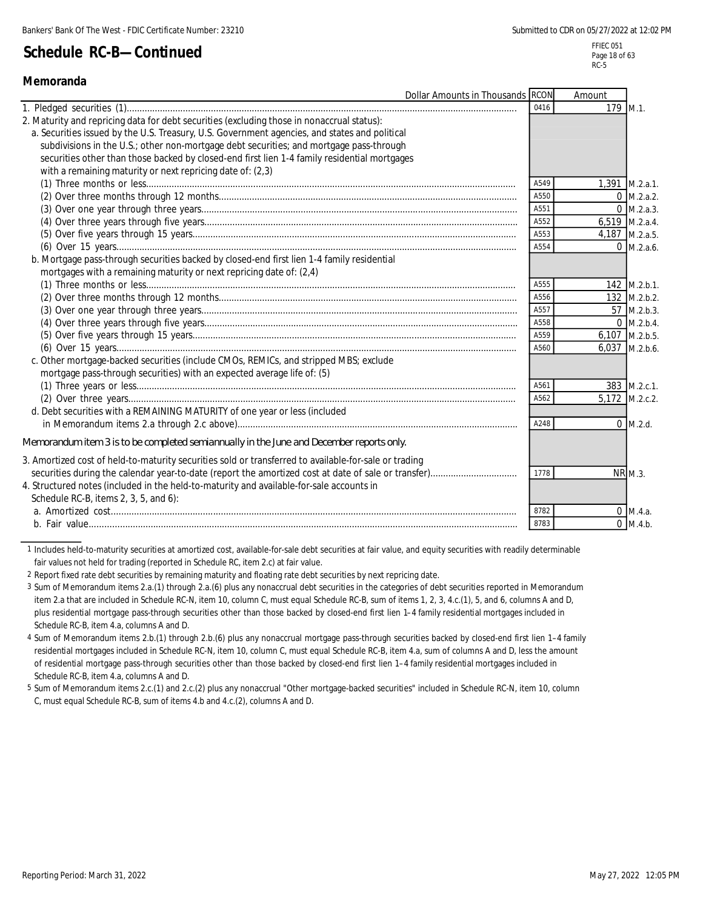FFIEC 051 Page 18 of 63 RC-5

### **Memoranda**

|                                                                                                       | Dollar Amounts in Thousands RCON |      | Amount   |                      |
|-------------------------------------------------------------------------------------------------------|----------------------------------|------|----------|----------------------|
|                                                                                                       |                                  | 0416 | 179 M.1. |                      |
| 2. Maturity and repricing data for debt securities (excluding those in nonaccrual status):            |                                  |      |          |                      |
| a. Securities issued by the U.S. Treasury, U.S. Government agencies, and states and political         |                                  |      |          |                      |
| subdivisions in the U.S.; other non-mortgage debt securities; and mortgage pass-through               |                                  |      |          |                      |
| securities other than those backed by closed-end first lien 1-4 family residential mortgages          |                                  |      |          |                      |
| with a remaining maturity or next repricing date of: (2,3)                                            |                                  |      |          |                      |
|                                                                                                       |                                  | A549 |          | 1,391 M.2.a.1.       |
|                                                                                                       |                                  | A550 |          | $0$ M.2.a.2.         |
|                                                                                                       |                                  | A551 |          | $0 \text{ M.2.a.3.}$ |
|                                                                                                       |                                  | A552 |          | 6,519 M.2.a.4.       |
|                                                                                                       |                                  | A553 |          | 4,187 M.2.a.5.       |
|                                                                                                       |                                  | A554 |          | $0$ M.2.a.6.         |
| b. Mortgage pass-through securities backed by closed-end first lien 1-4 family residential            |                                  |      |          |                      |
| mortgages with a remaining maturity or next repricing date of: (2,4)                                  |                                  |      |          |                      |
|                                                                                                       |                                  | A555 |          | 142 M.2.b.1.         |
|                                                                                                       |                                  | A556 |          | 132 M.2.b.2.         |
|                                                                                                       |                                  | A557 |          | 57 M.2.b.3.          |
|                                                                                                       |                                  | A558 |          | $0$ M.2.b.4.         |
|                                                                                                       |                                  | A559 |          | 6,107 M.2.b.5.       |
|                                                                                                       |                                  | A560 |          | 6,037 M.2.b.6.       |
| c. Other mortgage-backed securities (include CMOs, REMICs, and stripped MBS; exclude                  |                                  |      |          |                      |
| mortgage pass-through securities) with an expected average life of: (5)                               |                                  |      |          |                      |
|                                                                                                       |                                  | A561 |          | 383 M.2.c.1.         |
|                                                                                                       |                                  | A562 |          | 5,172 M.2.c.2        |
| d. Debt securities with a REMAINING MATURITY of one year or less (included                            |                                  |      |          |                      |
|                                                                                                       |                                  | A248 |          | $0$ M.2.d.           |
| Memorandum item 3 is to be completed semiannually in the June and December reports only.              |                                  |      |          |                      |
| 3. Amortized cost of held-to-maturity securities sold or transferred to available-for-sale or trading |                                  |      |          |                      |
|                                                                                                       |                                  | 1778 |          | NR M.3.              |
| 4. Structured notes (included in the held-to-maturity and available-for-sale accounts in              |                                  |      |          |                      |
| Schedule RC-B, items 2, 3, 5, and 6):                                                                 |                                  |      |          |                      |
|                                                                                                       |                                  | 8782 |          | $0$ M.4.a.           |
|                                                                                                       |                                  | 8783 |          | $0$ M.4.b.           |
|                                                                                                       |                                  |      |          |                      |

1 Includes held-to-maturity securities at amortized cost, available-for-sale debt securities at fair value, and equity securities with readily determinable fair values not held for trading (reported in Schedule RC, item 2.c) at fair value.

2 Report fixed rate debt securities by remaining maturity and floating rate debt securities by next repricing date.

3 Sum of Memorandum items 2.a.(1) through 2.a.(6) plus any nonaccrual debt securities in the categories of debt securities reported in Memorandum item 2.a that are included in Schedule RC-N, item 10, column C, must equal Schedule RC-B, sum of items 1, 2, 3, 4.c.(1), 5, and 6, columns A and D, plus residential mortgage pass-through securities other than those backed by closed-end first lien 1–4 family residential mortgages included in Schedule RC-B, item 4.a, columns A and D.

4 Sum of Memorandum items 2.b.(1) through 2.b.(6) plus any nonaccrual mortgage pass-through securities backed by closed-end first lien 1–4 family residential mortgages included in Schedule RC-N, item 10, column C, must equal Schedule RC-B, item 4.a, sum of columns A and D, less the amount of residential mortgage pass-through securities other than those backed by closed-end first lien 1–4 family residential mortgages included in Schedule RC-B, item 4.a, columns A and D.

5 Sum of Memorandum items 2.c.(1) and 2.c.(2) plus any nonaccrual "Other mortgage-backed securities" included in Schedule RC-N, item 10, column C, must equal Schedule RC-B, sum of items 4.b and 4.c.(2), columns A and D.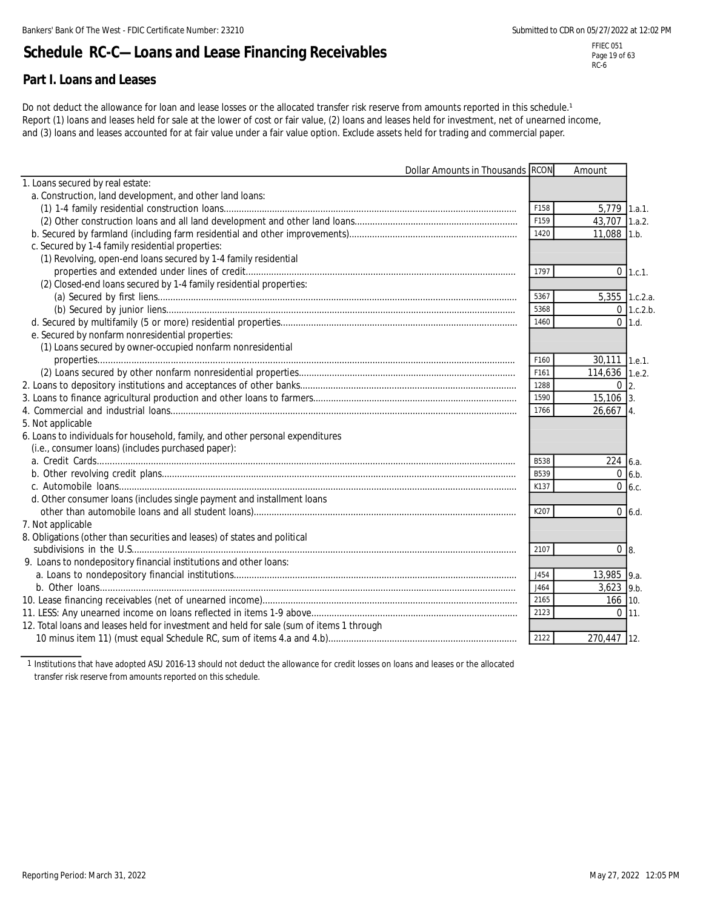# **Schedule RC-C—Loans and Lease Financing Receivables**

### **Part I. Loans and Leases**

Do not deduct the allowance for loan and lease losses or the allocated transfer risk reserve from amounts reported in this schedule.<sup>1</sup> Report (1) loans and leases held for sale at the lower of cost or fair value, (2) loans and leases held for investment, net of unearned income, and (3) loans and leases accounted for at fair value under a fair value option. Exclude assets held for trading and commercial paper.

|                                                                                          | Dollar Amounts in Thousands RCON |             | Amount                      |              |
|------------------------------------------------------------------------------------------|----------------------------------|-------------|-----------------------------|--------------|
| 1. Loans secured by real estate:                                                         |                                  |             |                             |              |
| a. Construction, land development, and other land loans:                                 |                                  |             |                             |              |
|                                                                                          |                                  | F158        | 5,779 1.a.1.                |              |
|                                                                                          |                                  | F159        | 43,707 1.a.2.               |              |
|                                                                                          |                                  | 1420        | 11,088 1.b.                 |              |
| c. Secured by 1-4 family residential properties:                                         |                                  |             |                             |              |
| (1) Revolving, open-end loans secured by 1-4 family residential                          |                                  |             |                             |              |
|                                                                                          |                                  | 1797        |                             | $0$ 1.c.1.   |
| (2) Closed-end loans secured by 1-4 family residential properties:                       |                                  |             |                             |              |
|                                                                                          |                                  | 5367        | 5,355 1.c.2.a.              |              |
|                                                                                          |                                  | 5368        |                             | $0$ 1.c.2.b. |
|                                                                                          |                                  | 1460        |                             | $0$ 1.d.     |
| e. Secured by nonfarm nonresidential properties:                                         |                                  |             |                             |              |
| (1) Loans secured by owner-occupied nonfarm nonresidential                               |                                  |             |                             |              |
|                                                                                          |                                  | F160        | 30,111 1.e.1.               |              |
|                                                                                          |                                  | F161        | $\overline{114,636}$ 1.e.2. |              |
|                                                                                          |                                  | 1288        | $0\,$ 2.                    |              |
|                                                                                          |                                  | 1590        | $15,106$ 3.                 |              |
|                                                                                          |                                  | 1766        | $26.667$ 4.                 |              |
| 5. Not applicable                                                                        |                                  |             |                             |              |
| 6. Loans to individuals for household, family, and other personal expenditures           |                                  |             |                             |              |
| (i.e., consumer loans) (includes purchased paper):                                       |                                  |             |                             |              |
|                                                                                          |                                  | <b>B538</b> | 224 6.a.                    |              |
|                                                                                          |                                  | B539        |                             | $0\,6.b.$    |
|                                                                                          |                                  | K137        |                             | $0\,$ 6.c.   |
| d. Other consumer loans (includes single payment and installment loans                   |                                  |             |                             |              |
|                                                                                          |                                  | K207        |                             | $0\,$ 6.d.   |
| 7. Not applicable                                                                        |                                  |             |                             |              |
| 8. Obligations (other than securities and leases) of states and political                |                                  |             |                             |              |
|                                                                                          |                                  | 2107        | 0 <sub>8</sub>              |              |
| 9. Loans to nondepository financial institutions and other loans:                        |                                  |             |                             |              |
|                                                                                          |                                  | J454        | 13,985 9.a.                 |              |
|                                                                                          |                                  | J464        | $3,623$ 9.b.                |              |
|                                                                                          |                                  | 2165        | $166$ 10.                   |              |
|                                                                                          |                                  | 2123        |                             | $0 \mid 11.$ |
| 12. Total loans and leases held for investment and held for sale (sum of items 1 through |                                  |             |                             |              |
|                                                                                          |                                  | 2122        | 270,447 12.                 |              |

1 Institutions that have adopted ASU 2016-13 should not deduct the allowance for credit losses on loans and leases or the allocated transfer risk reserve from amounts reported on this schedule.

FFIEC 051 Page 19 of 63 RC-6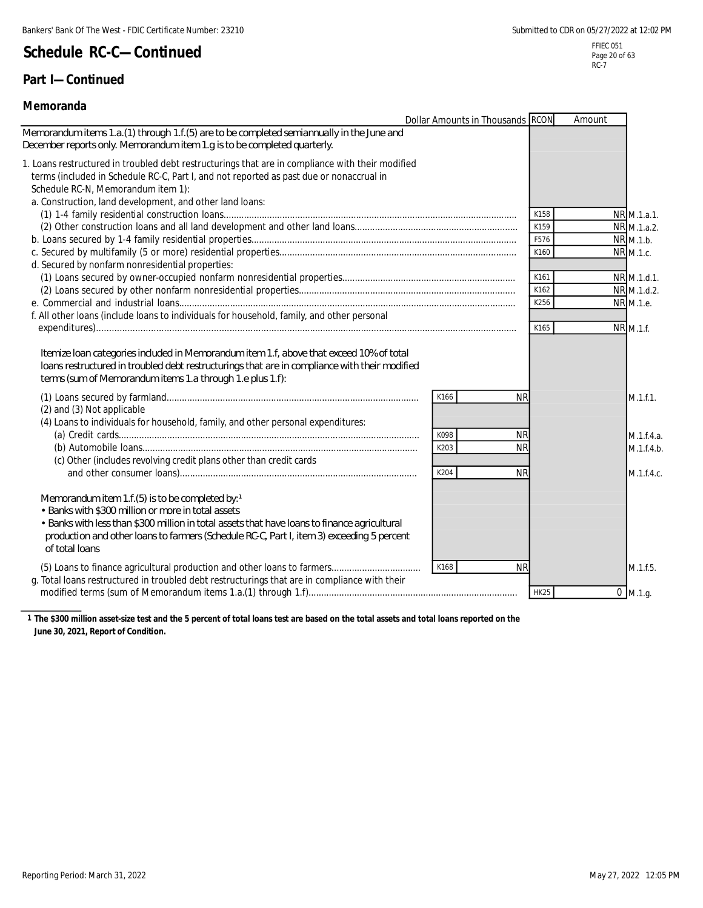### **Part I—Continued**

#### **Memoranda**

|                                                                                                                                                                                                                                                                                                                          | Dollar Amounts in Thousands RCON       | Amount               |                                         |
|--------------------------------------------------------------------------------------------------------------------------------------------------------------------------------------------------------------------------------------------------------------------------------------------------------------------------|----------------------------------------|----------------------|-----------------------------------------|
| Memorandum items 1.a. (1) through 1.f. (5) are to be completed semiannually in the June and<br>December reports only. Memorandum item 1.g is to be completed quarterly.                                                                                                                                                  |                                        |                      |                                         |
| 1. Loans restructured in troubled debt restructurings that are in compliance with their modified<br>terms (included in Schedule RC-C, Part I, and not reported as past due or nonaccrual in<br>Schedule RC-N, Memorandum item 1):<br>a. Construction, land development, and other land loans:                            |                                        |                      |                                         |
|                                                                                                                                                                                                                                                                                                                          |                                        | K158<br>K159<br>F576 | NR M.1.a.1.<br>NR M.1.a.2.<br>NR M.1.b. |
| d. Secured by nonfarm nonresidential properties:                                                                                                                                                                                                                                                                         |                                        | K160                 | NR M.1.c.                               |
|                                                                                                                                                                                                                                                                                                                          |                                        | K161<br>K162<br>K256 | NR M.1.d.1.<br>NR M.1.d.2.<br>NR M.1.e. |
| f. All other loans (include loans to individuals for household, family, and other personal                                                                                                                                                                                                                               |                                        | K165                 | NR M.1.f.                               |
| Itemize Ioan categories induded in Memorandum item 1.f, above that exceed 10% of total<br>loans restructured in troubled debt restructurings that are in compliance with their modified<br>terms (sum of Memorandum items 1.a through 1.e plus 1.f):                                                                     |                                        |                      |                                         |
| (2) and (3) Not applicable<br>(4) Loans to individuals for household, family, and other personal expenditures:                                                                                                                                                                                                           | <b>NR</b><br>K166                      |                      | M.1.f.1.                                |
| (c) Other (includes revolving credit plans other than credit cards                                                                                                                                                                                                                                                       | K098<br><b>NR</b><br>K203<br><b>NR</b> |                      | M.1.f.4.a.<br>M.1.f.4.h.                |
|                                                                                                                                                                                                                                                                                                                          | K204<br><b>NR</b>                      |                      | M.1.f.4.c.                              |
| Memorandum item 1.f. (5) is to be completed by: $1$<br>• Banks with \$300 million or more in total assets<br>• Banks with less than \$300 million in total assets that have loans to finance agricultural<br>production and other loans to farmers (Schedule RC-C, Part I, item 3) exceeding 5 percent<br>of total loans |                                        |                      |                                         |
| g. Total loans restructured in troubled debt restructurings that are in compliance with their                                                                                                                                                                                                                            | <b>NR</b><br>K168                      | <b>HK25</b>          | M.1.f.5.<br>$0$ M.1.g.                  |

**1 The \$300 million asset-size test and the 5 percent of total loans test are based on the total assets and total loans reported on the June 30, 2021, Report of Condition.**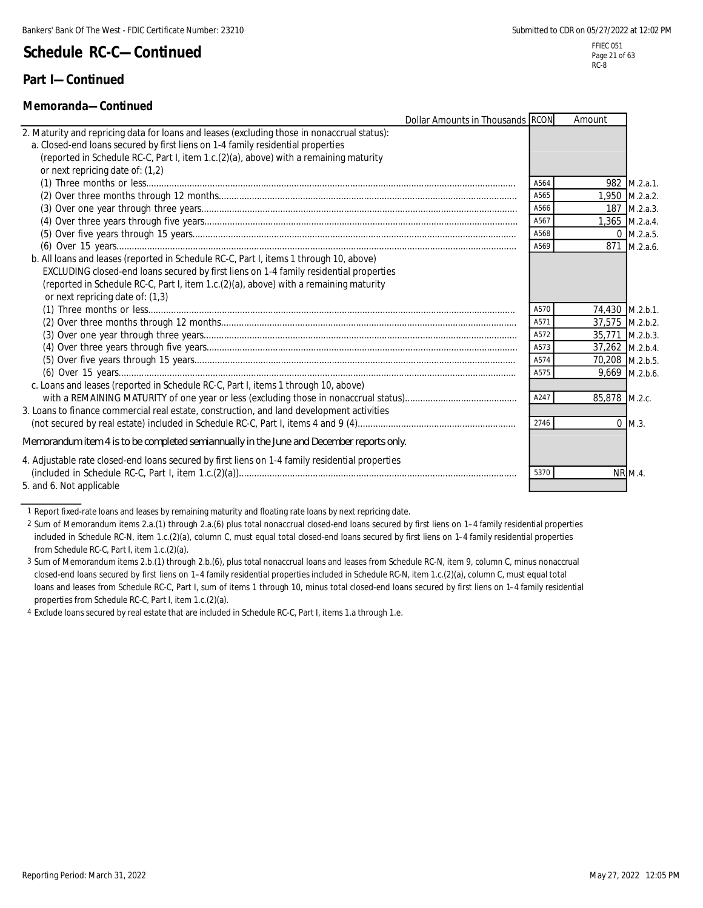### **Part I—Continued**

### **Memoranda—Continued**

| iviciilui aliua—vultullucu                                                                      |                                  |      |                 |                |
|-------------------------------------------------------------------------------------------------|----------------------------------|------|-----------------|----------------|
|                                                                                                 | Dollar Amounts in Thousands RCON |      | Amount          |                |
| 2. Maturity and repricing data for loans and leases (excluding those in nonaccrual status):     |                                  |      |                 |                |
| a. Closed-end loans secured by first liens on 1-4 family residential properties                 |                                  |      |                 |                |
| (reported in Schedule RC-C, Part I, item 1.c.(2)(a), above) with a remaining maturity           |                                  |      |                 |                |
| or next repricing date of: (1,2)                                                                |                                  |      |                 |                |
|                                                                                                 |                                  | A564 |                 | 982 M.2.a.1.   |
|                                                                                                 |                                  | A565 |                 | 1,950 M.2.a.2. |
|                                                                                                 |                                  | A566 |                 | 187 M.2.a.3.   |
|                                                                                                 |                                  | A567 |                 | 1.365 M.2.a.4. |
|                                                                                                 |                                  | A568 |                 | $0$ M.2.a.5.   |
|                                                                                                 |                                  | A569 |                 | 871 M.2.a.6.   |
| b. All loans and leases (reported in Schedule RC-C, Part I, items 1 through 10, above)          |                                  |      |                 |                |
| EXCLUDING closed-end loans secured by first liens on 1-4 family residential properties          |                                  |      |                 |                |
| (reported in Schedule RC-C, Part I, item 1.c.(2)(a), above) with a remaining maturity           |                                  |      |                 |                |
| or next repricing date of: (1,3)                                                                |                                  |      |                 |                |
|                                                                                                 |                                  | A570 | 74,430 M.2.b.1. |                |
|                                                                                                 |                                  | A571 | 37,575 M.2.b.2. |                |
|                                                                                                 |                                  | A572 | 35,771 M.2.b.3. |                |
|                                                                                                 |                                  | A573 | 37,262 M.2.b.4. |                |
|                                                                                                 |                                  | A574 | 70,208 M.2.b.5. |                |
|                                                                                                 |                                  | A575 |                 | 9,669 M.2.b.6. |
| c. Loans and leases (reported in Schedule RC-C, Part I, items 1 through 10, above)              |                                  |      |                 |                |
|                                                                                                 |                                  | A247 | 85,878 M.2.c.   |                |
| 3. Loans to finance commercial real estate, construction, and land development activities       |                                  |      |                 |                |
|                                                                                                 |                                  | 2746 |                 | $0$ M.3.       |
| Memorandum item 4 is to be completed semiannually in the June and December reports only.        |                                  |      |                 |                |
| 4. Adjustable rate closed-end loans secured by first liens on 1-4 family residential properties |                                  |      |                 |                |
|                                                                                                 |                                  | 5370 |                 | <b>NR M.4.</b> |
| 5. and 6. Not applicable                                                                        |                                  |      |                 |                |
|                                                                                                 |                                  |      |                 |                |

1 Report fixed-rate loans and leases by remaining maturity and floating rate loans by next repricing date.

2 Sum of Memorandum items 2.a.(1) through 2.a.(6) plus total nonaccrual closed-end loans secured by first liens on 1–4 family residential properties included in Schedule RC-N, item 1.c.(2)(a), column C, must equal total closed-end loans secured by first liens on 1–4 family residential properties from Schedule RC-C, Part I, item 1.c.(2)(a).

3 Sum of Memorandum items 2.b.(1) through 2.b.(6), plus total nonaccrual loans and leases from Schedule RC-N, item 9, column C, minus nonaccrual closed-end loans secured by first liens on 1–4 family residential properties included in Schedule RC-N, item 1.c.(2)(a), column C, must equal total loans and leases from Schedule RC-C, Part I, sum of items 1 through 10, minus total closed-end loans secured by first liens on 1-4 family residential properties from Schedule RC-C, Part I, item 1.c.(2)(a).

4 Exclude loans secured by real estate that are included in Schedule RC-C, Part I, items 1.a through 1.e.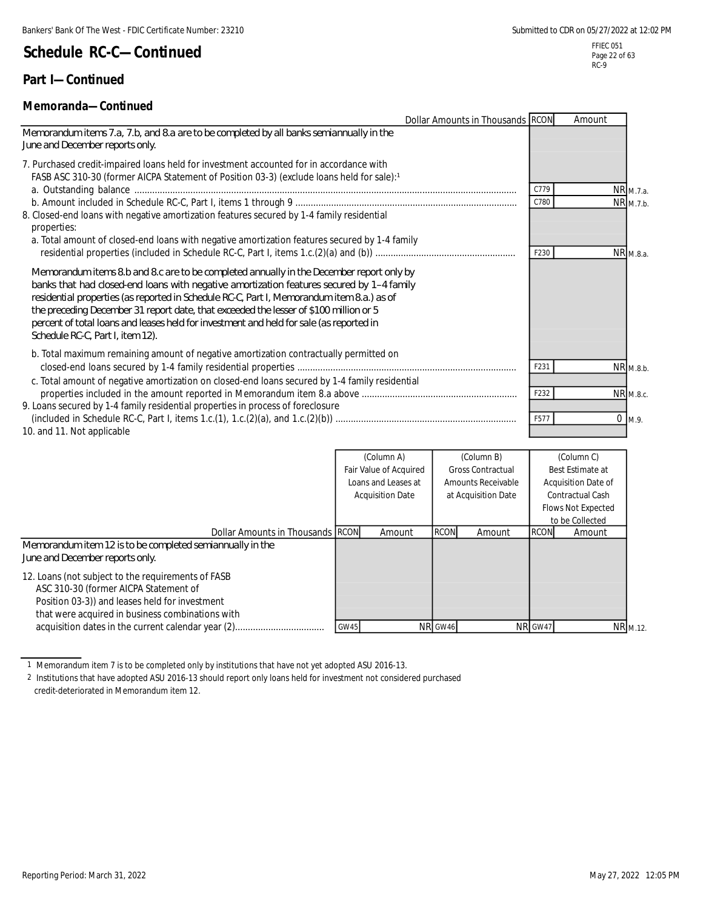### **Part I—Continued**

### **Memoranda—Continued**

|                                                                                                                                                                                                                                                                                                                                                                                                                                                                                                          | Dollar Amounts in Thousands RCON |      | Amount      |           |
|----------------------------------------------------------------------------------------------------------------------------------------------------------------------------------------------------------------------------------------------------------------------------------------------------------------------------------------------------------------------------------------------------------------------------------------------------------------------------------------------------------|----------------------------------|------|-------------|-----------|
| Memorandum items 7.a, 7.b, and 8.a are to be completed by all banks semiannually in the<br>June and December reports only.                                                                                                                                                                                                                                                                                                                                                                               |                                  |      |             |           |
| 7. Purchased credit-impaired loans held for investment accounted for in accordance with<br>FASB ASC 310-30 (former AICPA Statement of Position 03-3) (exclude loans held for sale):1                                                                                                                                                                                                                                                                                                                     |                                  | C779 | NR M.7.a.   |           |
|                                                                                                                                                                                                                                                                                                                                                                                                                                                                                                          |                                  | C780 | NR M.7.b.   |           |
| 8. Closed-end loans with negative amortization features secured by 1-4 family residential<br>properties:<br>a. Total amount of closed-end loans with negative amortization features secured by 1-4 family                                                                                                                                                                                                                                                                                                |                                  | F230 |             | NR M.8.a. |
| Memorandum items 8b and 8c are to be completed annually in the December report only by<br>banks that had closed-end loans with negative amortization features secured by 1-4 family<br>residential properties (as reported in Schedule RC-C, Part I, Memorandum item 8.a.) as of<br>the preceding December 31 report date, that exceeded the lesser of \$100 million or 5<br>percent of total loans and leases held for investment and held for sale (as reported in<br>Schedule RC-C, Part I, item 12). |                                  |      |             |           |
| b. Total maximum remaining amount of negative amortization contractually permitted on                                                                                                                                                                                                                                                                                                                                                                                                                    |                                  | F231 |             |           |
| c. Total amount of negative amortization on closed-end loans secured by 1-4 family residential                                                                                                                                                                                                                                                                                                                                                                                                           |                                  |      | NR M.8.b.   |           |
|                                                                                                                                                                                                                                                                                                                                                                                                                                                                                                          |                                  | F232 | NR M.8.c.   |           |
| 9. Loans secured by 1-4 family residential properties in process of foreclosure                                                                                                                                                                                                                                                                                                                                                                                                                          |                                  |      |             |           |
|                                                                                                                                                                                                                                                                                                                                                                                                                                                                                                          |                                  | F577 | $0 \, M.9.$ |           |
| 10. and 11. Not applicable                                                                                                                                                                                                                                                                                                                                                                                                                                                                               |                                  |      |             |           |

|                                                                                                                                                                                                   |             | (Column A)              |             | (Column B)               |             | (Column C)                |
|---------------------------------------------------------------------------------------------------------------------------------------------------------------------------------------------------|-------------|-------------------------|-------------|--------------------------|-------------|---------------------------|
|                                                                                                                                                                                                   |             | Fair Value of Acquired  |             | <b>Gross Contractual</b> |             | Best Estimate at          |
|                                                                                                                                                                                                   |             | Loans and Leases at     |             | Amounts Receivable       |             | Acquisition Date of       |
|                                                                                                                                                                                                   |             | <b>Acquisition Date</b> |             | at Acquisition Date      |             | Contractual Cash          |
|                                                                                                                                                                                                   |             |                         |             |                          |             | <b>Flows Not Expected</b> |
|                                                                                                                                                                                                   |             |                         |             |                          |             | to be Collected           |
| Dollar Amounts in Thousands RCON                                                                                                                                                                  |             | Amount                  | <b>RCON</b> | Amount                   | <b>RCON</b> | Amount                    |
| Memorandum item 12 is to be completed semiannually in the<br>June and December reports only.                                                                                                      |             |                         |             |                          |             |                           |
| 12. Loans (not subject to the requirements of FASB<br>ASC 310-30 (former AICPA Statement of<br>Position 03-3)) and leases held for investment<br>that were acquired in business combinations with |             |                         |             |                          |             |                           |
|                                                                                                                                                                                                   | <b>GW45</b> |                         | NR GW46     |                          | NR GW47     | NR <sub>M.12</sub>        |

1 Memorandum item 7 is to be completed only by institutions that have not yet adopted ASU 2016-13.

2 Institutions that have adopted ASU 2016-13 should report only loans held for investment not considered purchased credit-deteriorated in Memorandum item 12.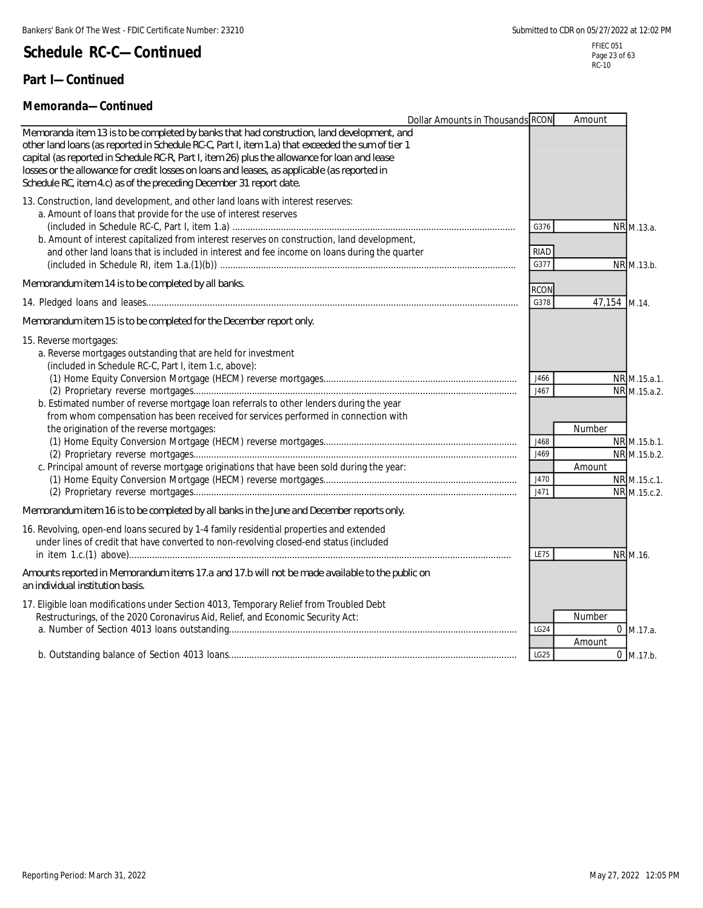### **Part I—Continued**

#### **Memoranda—Continued**

|                                                                                                                                                                                                                                                                                                                                                                                                                                                                             | Dollar Amounts in Thousands RCON             | Amount           |                                                                                              |
|-----------------------------------------------------------------------------------------------------------------------------------------------------------------------------------------------------------------------------------------------------------------------------------------------------------------------------------------------------------------------------------------------------------------------------------------------------------------------------|----------------------------------------------|------------------|----------------------------------------------------------------------------------------------|
| Memoranda item 13 is to be completed by banks that had construction, land development, and<br>other land loans (as reported in Schedule RC-C, Part I, item 1.a) that exceeded the sum of tier 1<br>capital (as reported in Schedule RC-R, Part I, item 26) plus the allowance for loan and lease<br>losses or the allowance for credit losses on loans and leases, as applicable (as reported in<br>Schedule RC, item 4.c) as of the preceding December 31 report date.     |                                              |                  |                                                                                              |
| 13. Construction, land development, and other land loans with interest reserves:<br>a. Amount of loans that provide for the use of interest reserves<br>b. Amount of interest capitalized from interest reserves on construction, land development,<br>and other land loans that is included in interest and fee income on loans during the quarter                                                                                                                         | G376<br><b>RIAD</b><br>G377                  |                  | NR M.13.a.<br>NR M.13.b.                                                                     |
| Memorandum item 14 is to be completed by all banks.                                                                                                                                                                                                                                                                                                                                                                                                                         | <b>RCON</b>                                  |                  |                                                                                              |
|                                                                                                                                                                                                                                                                                                                                                                                                                                                                             | G378                                         | 47,154 M.14.     |                                                                                              |
| Memorandum item 15 is to be completed for the December report only.                                                                                                                                                                                                                                                                                                                                                                                                         |                                              |                  |                                                                                              |
| 15. Reverse mortgages:<br>a. Reverse mortgages outstanding that are held for investment<br>(included in Schedule RC-C, Part I, item 1.c, above):<br>b. Estimated number of reverse mortgage loan referrals to other lenders during the year<br>from whom compensation has been received for services performed in connection with<br>the origination of the reverse mortgages:<br>c. Principal amount of reverse mortgage originations that have been sold during the year: | J466<br>J467<br>J468<br>J469<br>J470<br>J471 | Number<br>Amount | NR M.15.a.1.<br>NR M.15.a.2.<br>NR M.15.b.1.<br>NR M.15.b.2.<br>NR M.15.c.1.<br>NR M.15.c.2. |
| Memorandum item 16 is to be completed by all banks in the June and December reports only.                                                                                                                                                                                                                                                                                                                                                                                   |                                              |                  |                                                                                              |
| 16. Revolving, open-end loans secured by 1-4 family residential properties and extended<br>under lines of credit that have converted to non-revolving closed-end status (included                                                                                                                                                                                                                                                                                           | <b>LE75</b>                                  |                  | NR M.16.                                                                                     |
| Amounts reported in Memorandum items 17.a and 17.b will not be made available to the public on<br>an individual institution basis.                                                                                                                                                                                                                                                                                                                                          |                                              |                  |                                                                                              |
| 17. Eligible Ioan modifications under Section 4013, Temporary Relief from Troubled Debt<br>Restructurings, of the 2020 Coronavirus Aid, Relief, and Economic Security Act:                                                                                                                                                                                                                                                                                                  | LG24                                         | Number<br>Amount | $0$ M.17.a.                                                                                  |
|                                                                                                                                                                                                                                                                                                                                                                                                                                                                             | LG25                                         |                  | $0$ M.17.b.                                                                                  |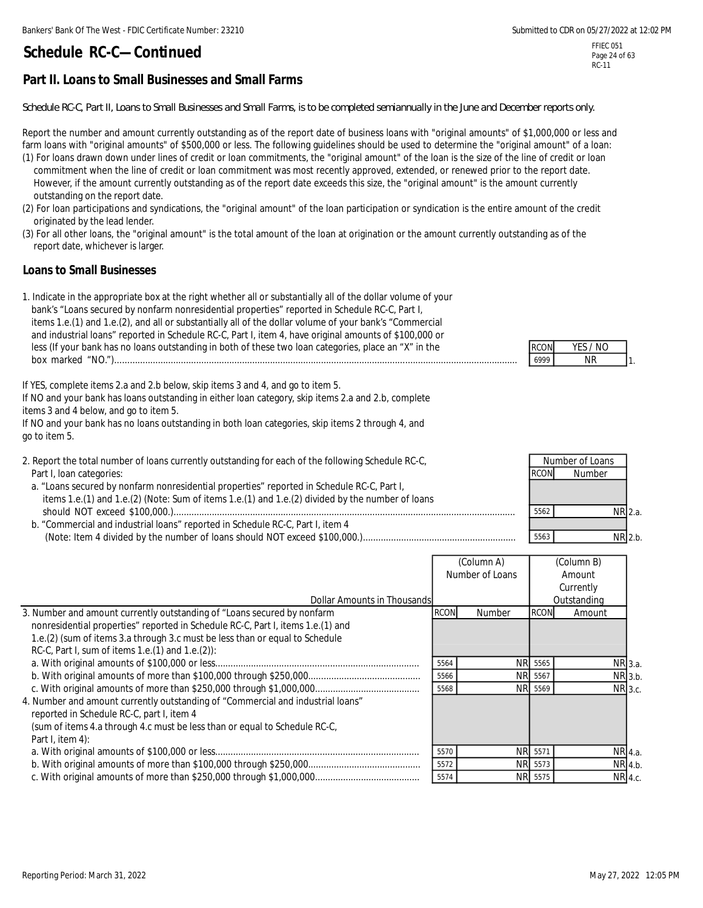### FFIEC 051 Page 24 of 63 RC-11

# **Part II. Loans to Small Businesses and Small Farms**

*Schedule RC-C, Part II, Loans to Small Businesses and Small Farms, is to be completed semiannually in the June and December reports only.*

Report the number and amount currently outstanding as of the report date of business loans with "original amounts" of \$1,000,000 or less and farm loans with "original amounts" of \$500,000 or less. The following guidelines should be used to determine the "original amount" of a loan:

- (1) For loans drawn down under lines of credit or loan commitments, the "original amount" of the loan is the size of the line of credit or loan commitment when the line of credit or loan commitment was most recently approved, extended, or renewed prior to the report date. However, if the amount currently outstanding as of the report date exceeds this size, the "original amount" is the amount currently outstanding on the report date.
- (2) For loan participations and syndications, the "original amount" of the loan participation or syndication is the entire amount of the credit originated by the lead lender.
- (3) For all other loans, the "original amount" is the total amount of the loan at origination or the amount currently outstanding as of the report date, whichever is larger.

### **Loans to Small Businesses**

1. Indicate in the appropriate box at the right whether all or substantially all of the dollar volume of your bank's "Loans secured by nonfarm nonresidential properties" reported in Schedule RC-C, Part I, items 1.e.(1) and 1.e.(2), and all or substantially all of the dollar volume of your bank's "Commercial and industrial loans" reported in Schedule RC-C, Part I, item 4, have original amounts of \$100,000 or less (If your bank has no loans outstanding in both of these two loan categories, place an "X" in the box marked "NO.").............................................................................................................................................................. 6999 NR

If YES, complete items 2.a and 2.b below, skip items 3 and 4, and go to item 5. If NO and your bank has loans outstanding in either loan category, skip items 2.a and 2.b, complete items 3 and 4 below, and go to item 5. If NO and your bank has no loans outstanding in both loan categories, skip items 2 through 4, and

go to item 5.

- 2. Report the total number of loans currently outstanding for each of the following Schedule RC-C, Part I, loan categories:
- a. "Loans secured by nonfarm nonresidential properties" reported in Schedule RC-C, Part I, items 1.e.(1) and 1.e.(2) (Note: Sum of items 1.e.(1) and 1.e.(2) divided by the number of loans should NOT exceed \$100,000.)...................................................................................................................................... 5562 NR
- b. "Commercial and industrial loans" reported in Schedule RC-C, Part I, item 4 (Note: Item 4 divided by the number of loans should NOT exceed \$100,000.)............................................................ 5563 NR

|                                                                                 |             | (Column A)      |             | (Column B)  |
|---------------------------------------------------------------------------------|-------------|-----------------|-------------|-------------|
|                                                                                 |             | Number of Loans |             | Amount      |
|                                                                                 |             |                 |             | Currently   |
| Dollar Amounts in Thousands                                                     |             |                 |             | Outstanding |
| 3. Number and amount currently outstanding of "Loans secured by nonfarm         | <b>RCON</b> | Number          | <b>RCON</b> | Amount      |
| nonresidential properties" reported in Schedule RC-C, Part I, items 1.e.(1) and |             |                 |             |             |
| 1.e.(2) (sum of items 3.a through 3.c must be less than or equal to Schedule    |             |                 |             |             |
| RC-C, Part I, sum of items 1.e. $(1)$ and 1.e. $(2)$ :                          |             |                 |             |             |
|                                                                                 | 5564        |                 | NR 5565     | NR 3.a.     |
|                                                                                 | 5566        |                 | NR 5567     | NR 3.b.     |
|                                                                                 | 5568        |                 | NR 5569     | NR 3.c.     |
| 4. Number and amount currently outstanding of "Commercial and industrial loans" |             |                 |             |             |
| reported in Schedule RC-C, part I, item 4                                       |             |                 |             |             |
| (sum of items 4.a through 4.c must be less than or equal to Schedule RC-C,      |             |                 |             |             |
| Part I, item $4$ ):                                                             |             |                 |             |             |
|                                                                                 | 5570        |                 | NR 5571     | NR 4.a.     |
|                                                                                 | 5572        |                 | NR 5573     | NR 4.b      |
|                                                                                 | 5574        |                 | NR 5575     | NR 4.c.     |

|  | -57<br>- 1 |  |
|--|------------|--|
|  |            |  |

|         | Number of Loans |             |
|---------|-----------------|-------------|
|         | Number          | <b>RCON</b> |
|         |                 |             |
|         |                 |             |
| NR 2.a. |                 | 5562        |
|         |                 |             |
| NR 2.b. |                 | 5563        |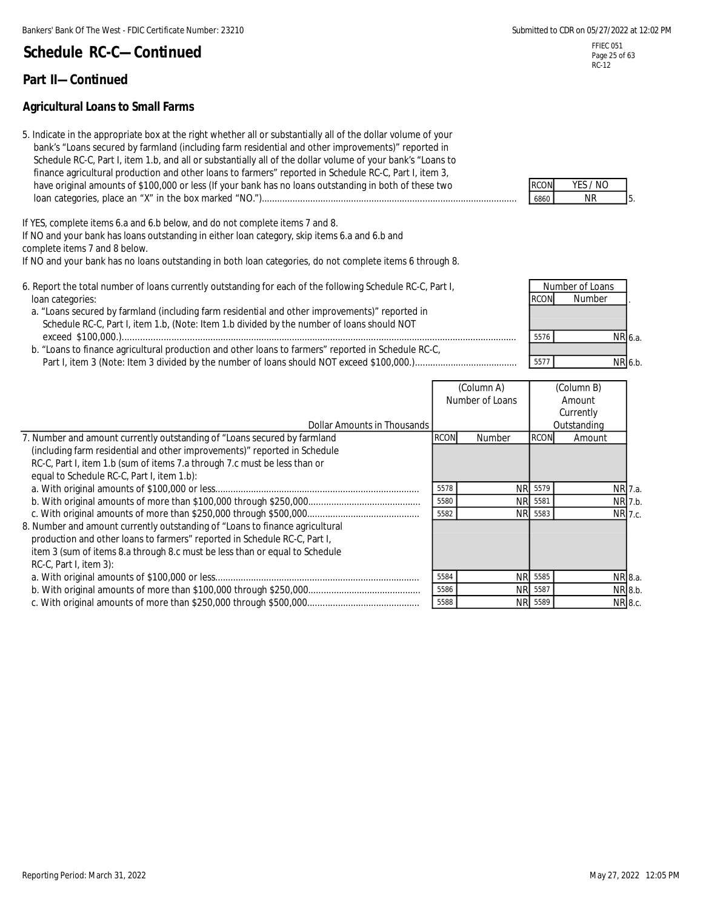### **Part II—Continued**

### **Agricultural Loans to Small Farms**

| 5. Indicate in the appropriate box at the right whether all or substantially all of the dollar volume of your |             |           |
|---------------------------------------------------------------------------------------------------------------|-------------|-----------|
| bank's "Loans secured by farmland (including farm residential and other improvements)" reported in            |             |           |
| Schedule RC-C, Part I, item 1.b, and all or substantially all of the dollar volume of your bank's "Loans to   |             |           |
| finance agricultural production and other loans to farmers" reported in Schedule RC-C, Part I, item 3,        |             |           |
| have original amounts of \$100,000 or less (If your bank has no loans outstanding in both of these two        | <b>RCON</b> | YES /     |
|                                                                                                               | 6860        | <b>NR</b> |

If YES, complete items 6.a and 6.b below, and do not complete items 7 and 8.

If NO and your bank has loans outstanding in either loan category, skip items 6.a and 6.b and complete items 7 and 8 below.

If NO and your bank has no loans outstanding in both loan categories, do not complete items 6 through 8.

- 6. Report the total number of loans currently outstanding for each of the following Schedule RC-C, Part I, loan categories: .
	- a. "Loans secured by farmland (including farm residential and other improvements)" reported in Schedule RC-C, Part I, item 1.b, (Note: Item 1.b divided by the number of loans should NOT exceed \$100,000.).......................................................................................................................................................... 5576 NR
- b. "Loans to finance agricultural production and other loans to farmers" reported in Schedule RC-C, Part I, item 3 (Note: Item 3 divided by the number of loans should NOT exceed \$100,000.)........................................ 5577 NR

| Dollar Amounts in Thousands<br>7. Number and amount currently outstanding of "Loans secured by farmland<br><b>RCON</b> | Number of Loans |             | Amount      |         |
|------------------------------------------------------------------------------------------------------------------------|-----------------|-------------|-------------|---------|
|                                                                                                                        |                 |             | Currently   |         |
|                                                                                                                        |                 |             | Outstanding |         |
|                                                                                                                        | Number          | <b>RCON</b> | Amount      |         |
| (including farm residential and other improvements)" reported in Schedule                                              |                 |             |             |         |
| RC-C, Part I, item 1.b (sum of items 7.a through 7.c must be less than or                                              |                 |             |             |         |
| equal to Schedule RC-C, Part I, item 1.b):                                                                             |                 |             |             |         |
| 5578                                                                                                                   | NR 5579         |             |             | NR 7.a. |
| 5580                                                                                                                   | NR 5581         |             |             | NR 7.b. |
| 5582                                                                                                                   | NR 5583         |             |             | NR 7.c. |
| 8. Number and amount currently outstanding of "Loans to finance agricultural                                           |                 |             |             |         |
| production and other loans to farmers" reported in Schedule RC-C, Part I,                                              |                 |             |             |         |
| item 3 (sum of items 8.a through 8.c must be less than or equal to Schedule                                            |                 |             |             |         |
| RC-C, Part I, item 3):                                                                                                 |                 |             |             |         |
| 5584                                                                                                                   | NR 5585         |             |             | NR 8.a. |
| 5586                                                                                                                   | NR 5587         |             |             | NR 8.b. |
| 5588                                                                                                                   | NR 5589         |             |             | NR 8.c. |

5. RCON YES / NO

6.a. 6.b. **Number of Loans**<br>RCON Number **Number** 

FFIEC 051 Page 25 of 63 RC-12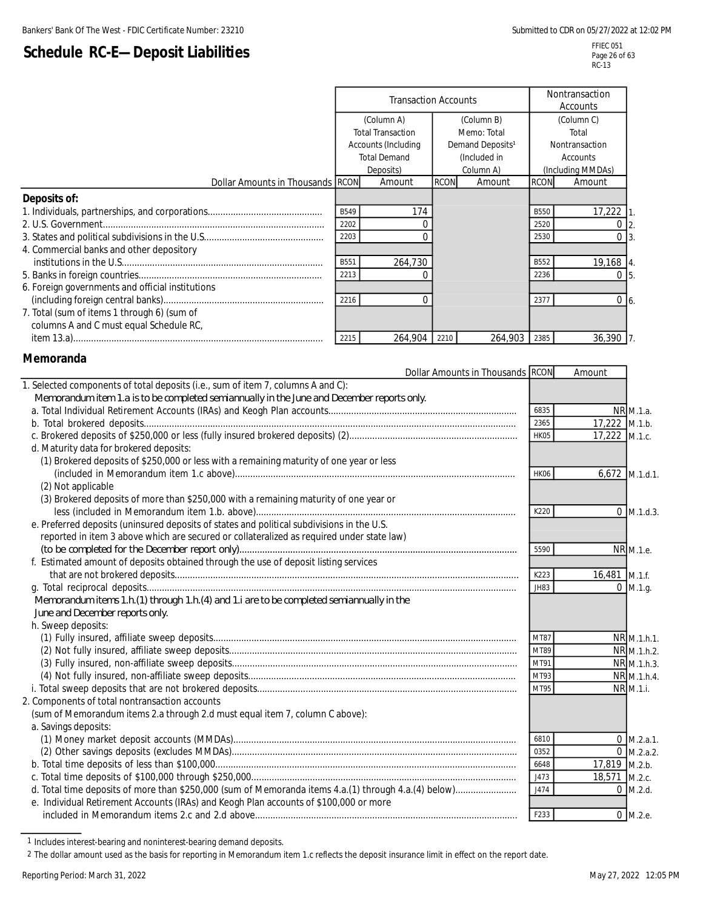# **Schedule RC-E—Deposit Liabilities**

|                                                  | <b>Transaction Accounts</b> |                          |             |                              | Nontransaction<br>Accounts |                   |
|--------------------------------------------------|-----------------------------|--------------------------|-------------|------------------------------|----------------------------|-------------------|
|                                                  | (Column A)                  |                          |             | (Column B)                   |                            | (Column C)        |
|                                                  |                             | <b>Total Transaction</b> |             | Memo: Total                  |                            | Total             |
|                                                  |                             | Accounts (Including      |             | Demand Deposits <sup>1</sup> |                            | Nontransaction    |
|                                                  |                             | <b>Total Demand</b>      |             | (Included in                 |                            | <b>Accounts</b>   |
|                                                  |                             | Deposits)                |             | Column A)                    |                            | (Including MMDAs) |
| Dollar Amounts in Thousands RCON                 |                             | Amount                   | <b>RCON</b> | Amount                       | <b>RCON</b>                | Amount            |
| Deposits of:                                     |                             |                          |             |                              |                            |                   |
|                                                  | B549                        | 174                      |             |                              | <b>B550</b>                | 17,222            |
|                                                  | 2202                        |                          |             |                              | 2520                       |                   |
|                                                  | 2203                        |                          |             |                              | 2530                       | 0 <sub>3</sub>    |
| 4. Commercial banks and other depository         |                             |                          |             |                              |                            |                   |
|                                                  | B551                        | 264,730                  |             |                              | <b>B552</b>                | 19,168 4.         |
|                                                  | 2213                        |                          |             |                              | 2236                       | $0\,$ 5.          |
| 6. Foreign governments and official institutions |                             |                          |             |                              |                            |                   |
|                                                  | 2216                        |                          |             |                              | 2377                       | $0\vert 6.$       |
| 7. Total (sum of items 1 through 6) (sum of      |                             |                          |             |                              |                            |                   |
| columns A and C must equal Schedule RC,          |                             |                          |             |                              |                            |                   |
|                                                  | 2215                        | 264,904                  | 2210        | 264,903                      | 2385                       | 36,390            |

### **Memoranda**

 $\overline{a}$ 

|                                                                                            | Dollar Amounts in Thousands RCON |             | Amount        |                      |
|--------------------------------------------------------------------------------------------|----------------------------------|-------------|---------------|----------------------|
| 1. Selected components of total deposits (i.e., sum of item 7, columns A and C):           |                                  |             |               |                      |
| Memorandum item 1.a is to be completed semiannually in the June and December reports only. |                                  |             |               |                      |
|                                                                                            |                                  | 6835        |               | NR M.1.a.            |
|                                                                                            |                                  | 2365        | 17,222 M.1.b. |                      |
|                                                                                            |                                  | HK05        | 17,222 M.1.c. |                      |
| d. Maturity data for brokered deposits:                                                    |                                  |             |               |                      |
| (1) Brokered deposits of \$250,000 or less with a remaining maturity of one year or less   |                                  |             |               |                      |
|                                                                                            |                                  | HK06        |               | $6,672$ M.1.d.1.     |
| (2) Not applicable                                                                         |                                  |             |               |                      |
| (3) Brokered deposits of more than \$250,000 with a remaining maturity of one year or      |                                  |             |               |                      |
|                                                                                            |                                  | K220        |               | $0$ M.1.d.3.         |
| e. Preferred deposits (uninsured deposits of states and political subdivisions in the U.S. |                                  |             |               |                      |
| reported in item 3 above which are secured or collateralized as required under state law)  |                                  |             |               |                      |
|                                                                                            |                                  | 5590        |               | NR M.1.e.            |
| f. Estimated amount of deposits obtained through the use of deposit listing services       |                                  |             |               |                      |
|                                                                                            |                                  | K223        | 16,481 M.1.f. |                      |
|                                                                                            |                                  | <b>JH83</b> |               | $0$ M.1.g.           |
| Memorandum items 1.h.(1) through 1.h.(4) and 1.i are to be completed semiannually in the   |                                  |             |               |                      |
| June and December reports only.                                                            |                                  |             |               |                      |
| h. Sweep deposits:                                                                         |                                  |             |               |                      |
|                                                                                            |                                  | MT87        |               | NR M.1.h.1.          |
|                                                                                            |                                  | MT89        |               | NR M.1.h.2           |
|                                                                                            |                                  | MT91        |               | NR M.1.h.3.          |
|                                                                                            |                                  | MT93        |               | NR M.1.h.4.          |
|                                                                                            |                                  | MT95        |               | NR M.1.i.            |
| 2. Components of total nontransaction accounts                                             |                                  |             |               |                      |
| (sum of Memorandum items 2.a through 2.d must equal item 7, column C above):               |                                  |             |               |                      |
| a. Savings deposits:                                                                       |                                  |             |               |                      |
|                                                                                            |                                  | 6810        |               | $0$ M.2.a.1.         |
|                                                                                            |                                  | 0352        |               | $0 \text{ M.2.a.2.}$ |
|                                                                                            |                                  | 6648        | 17,819 M.2.b. |                      |
|                                                                                            |                                  | J473        | 18,571 M.2.c. |                      |
|                                                                                            |                                  | J474        |               | $0$ M.2.d.           |
| e. Individual Retirement Accounts (IRAs) and Keogh Plan accounts of \$100,000 or more      |                                  |             |               |                      |
|                                                                                            |                                  | F233        |               | 0 M.2.e.             |
|                                                                                            |                                  |             |               |                      |

<sup>1</sup> Includes interest-bearing and noninterest-bearing demand deposits.

2 The dollar amount used as the basis for reporting in Memorandum item 1.c reflects the deposit insurance limit in effect on the report date.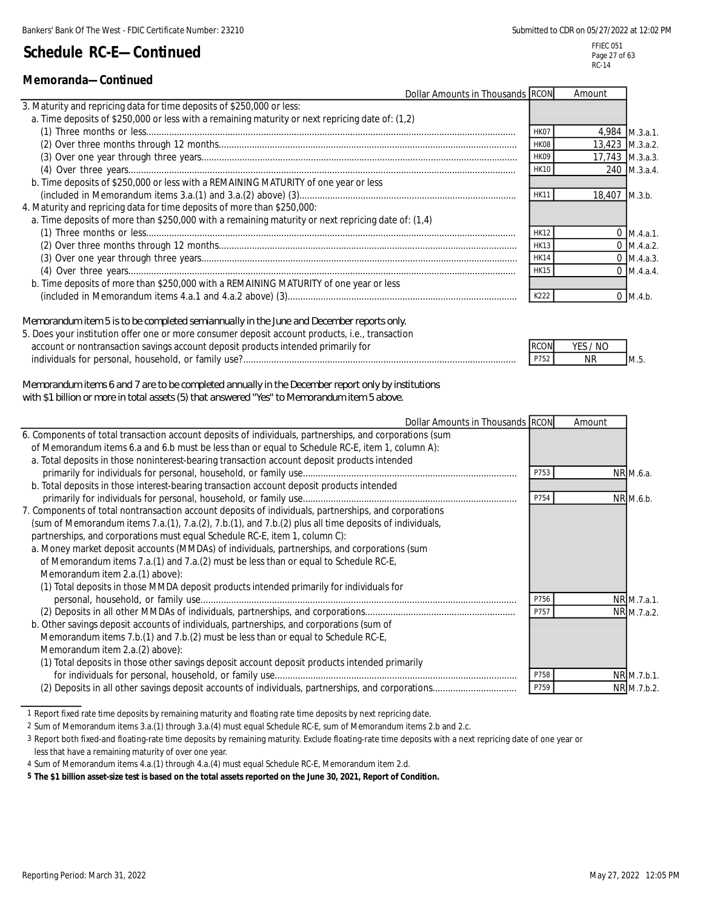### **Memoranda—Continued**

| 3. Maturity and repricing data for time deposits of \$250,000 or less:<br>a. Time deposits of \$250,000 or less with a remaining maturity or next repricing date of: (1,2)<br>4,984 M.3.a.1.<br>HK07<br>13,423 M.3.a.2.<br>HK08<br>17,743 M.3.a.3.<br>HK09 |                 |
|------------------------------------------------------------------------------------------------------------------------------------------------------------------------------------------------------------------------------------------------------------|-----------------|
|                                                                                                                                                                                                                                                            |                 |
|                                                                                                                                                                                                                                                            |                 |
|                                                                                                                                                                                                                                                            |                 |
|                                                                                                                                                                                                                                                            |                 |
|                                                                                                                                                                                                                                                            |                 |
| 240 M.3.a.4.<br><b>HK10</b>                                                                                                                                                                                                                                |                 |
| b. Time deposits of \$250,000 or less with a REMAINING MATURITY of one year or less                                                                                                                                                                        |                 |
| 18,407 M.3.b.                                                                                                                                                                                                                                              |                 |
| 4. Maturity and repricing data for time deposits of more than \$250,000:                                                                                                                                                                                   |                 |
| a. Time deposits of more than \$250,000 with a remaining maturity or next repricing date of: (1,4)                                                                                                                                                         |                 |
| HK12                                                                                                                                                                                                                                                       | $0 \,$ M.4.a.1. |
| <b>HK13</b>                                                                                                                                                                                                                                                | $0$ M.4.a.2.    |
| <b>HK14</b>                                                                                                                                                                                                                                                | $0 \, M.4.a.3.$ |
| <b>HK15</b>                                                                                                                                                                                                                                                | $0 \,$ M.4.a.4. |
| b. Time deposits of more than \$250,000 with a REMAINING MATURITY of one year or less                                                                                                                                                                      |                 |
| K222<br>$0 \, M.4.b.$                                                                                                                                                                                                                                      |                 |

*Memorandum item 5 is to be completed semiannually in the June and December reports only.*

| 5. Does your institution offer one or more consumer deposit account products, i.e., transaction |             |          |     |
|-------------------------------------------------------------------------------------------------|-------------|----------|-----|
| account or nontransaction savings account deposit products intended primarily for               | <b>RCON</b> | YES / NO |     |
| individuals for personal, household, or family use?                                             | P752        | ΝR       | M.5 |

*Memorandum items 6 and 7 are to be completed annually in the December report only by institutions with \$1 billion or more in total assets (5) that answered "Yes" to Memorandum item 5 above.*

| Dollar Amounts in Thousands RCON                                                                        |      | Amount |             |
|---------------------------------------------------------------------------------------------------------|------|--------|-------------|
| 6. Components of total transaction account deposits of individuals, partnerships, and corporations (sum |      |        |             |
| of Memorandum items 6.a and 6.b must be less than or equal to Schedule RC-E, item 1, column A):         |      |        |             |
| a. Total deposits in those noninterest-bearing transaction account deposit products intended            |      |        |             |
|                                                                                                         | P753 |        | NR M.6.a.   |
| b. Total deposits in those interest-bearing transaction account deposit products intended               |      |        |             |
|                                                                                                         | P754 |        | NR M.6.b.   |
| 7. Components of total nontransaction account deposits of individuals, partnerships, and corporations   |      |        |             |
| (sum of Memorandum items 7.a.(1), 7.a.(2), 7.b.(1), and 7.b.(2) plus all time deposits of individuals,  |      |        |             |
| partnerships, and corporations must equal Schedule RC-E, item 1, column C):                             |      |        |             |
| a. Money market deposit accounts (MMDAs) of individuals, partnerships, and corporations (sum            |      |        |             |
| of Memorandum items 7.a.(1) and 7.a.(2) must be less than or equal to Schedule RC-E,                    |      |        |             |
| Memorandum item 2.a.(1) above):                                                                         |      |        |             |
| (1) Total deposits in those MMDA deposit products intended primarily for individuals for                |      |        |             |
|                                                                                                         | P756 |        | NR M.7.a.1. |
|                                                                                                         | P757 |        | NR M.7.a.2. |
| b. Other savings deposit accounts of individuals, partnerships, and corporations (sum of                |      |        |             |
| Memorandum items 7.b.(1) and 7.b.(2) must be less than or equal to Schedule RC-E,                       |      |        |             |
| Memorandum item 2.a.(2) above):                                                                         |      |        |             |
| (1) Total deposits in those other savings deposit account deposit products intended primarily           |      |        |             |
|                                                                                                         | P758 |        | NR M.7.b.1. |
|                                                                                                         | P759 |        | NR M.7.b.2. |

<sup>1</sup> Report fixed rate time deposits by remaining maturity and floating rate time deposits by next repricing date.

3 Report both fixed-and floating-rate time deposits by remaining maturity. Exclude floating-rate time deposits with a next repricing date of one year or less that have a remaining maturity of over one year.

4 Sum of Memorandum items 4.a.(1) through 4.a.(4) must equal Schedule RC-E, Memorandum item 2.d.

**5 The \$1 billion asset-size test is based on the total assets reported on the June 30, 2021, Report of Condition.**

<sup>2</sup> Sum of Memorandum items 3.a.(1) through 3.a.(4) must equal Schedule RC-E, sum of Memorandum items 2.b and 2.c.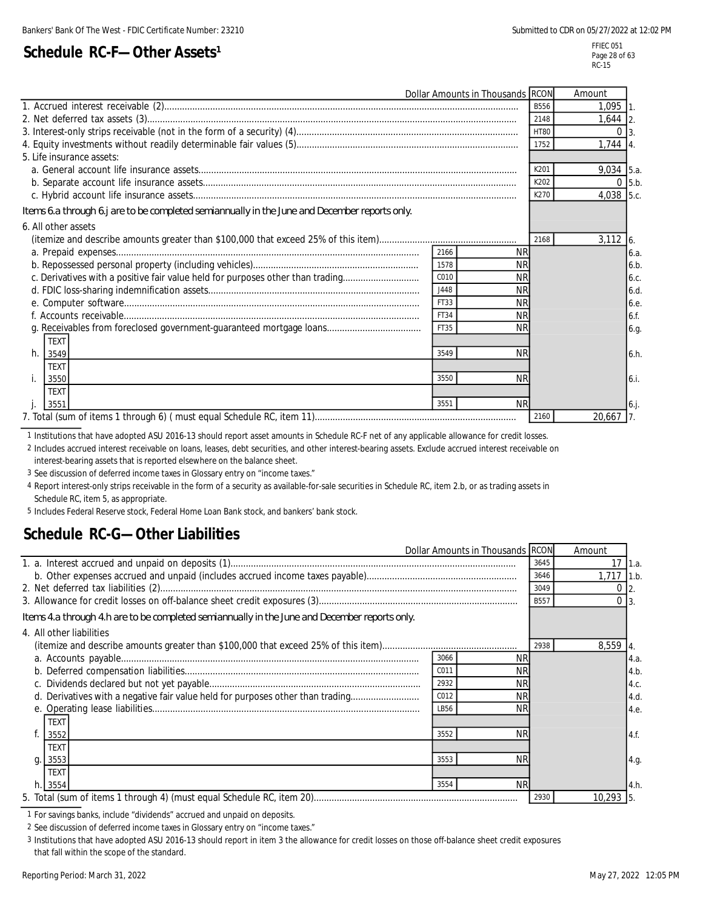# **Schedule RC-F-Other Assets<sup>1</sup>**

FFIEC 051 Page 28 of 63 RC-15

|                                                                                               | Dollar Amounts in Thousands RCON |             | Amount       |
|-----------------------------------------------------------------------------------------------|----------------------------------|-------------|--------------|
|                                                                                               |                                  | <b>B556</b> | $1.095$ 1    |
|                                                                                               |                                  | 2148        | $1,644$ 2.   |
|                                                                                               |                                  | <b>HT80</b> | $\Omega$     |
|                                                                                               |                                  | 1752        | $1,744$ 4.   |
| 5. Life insurance assets:                                                                     |                                  |             |              |
|                                                                                               |                                  | K201        | $9,034$ 5.a. |
|                                                                                               |                                  | K202        | $0$ 5.b.     |
|                                                                                               |                                  | K270        | 4,038 5.c.   |
| Items 6.a through 6.j are to be completed semiannually in the June and December reports only. |                                  |             |              |
| 6. All other assets                                                                           |                                  |             |              |
|                                                                                               |                                  | 2168        | $3.112$ 6.   |
|                                                                                               | <b>NR</b><br>2166                |             | 6.a.         |
|                                                                                               | 1578<br><b>NR</b>                |             | 6.b          |
| c. Derivatives with a positive fair value held for purposes other than trading                | C010<br><b>NR</b>                |             | 6.c.         |
|                                                                                               | J448<br><b>NR</b>                |             | 6.d          |
|                                                                                               | FT33<br><b>NR</b>                |             | 6.e          |
|                                                                                               | FT34<br><b>NR</b>                |             | 6.f.         |
|                                                                                               | FT35<br><b>NR</b>                |             | 6.g.         |
| <b>TEXT</b>                                                                                   |                                  |             |              |
| h. 3549                                                                                       | 3549<br><b>NR</b>                |             | 6.h.         |
| <b>TEXT</b>                                                                                   |                                  |             |              |
| 3550                                                                                          | 3550<br><b>NR</b>                |             | 6.i.         |
| <b>TEXT</b>                                                                                   |                                  |             |              |
| 3551                                                                                          | 3551<br><b>NR</b>                |             | $6.$ j.      |
|                                                                                               |                                  | 2160        | $20,667$ 7.  |

1 Institutions that have adopted ASU 2016-13 should report asset amounts in Schedule RC-F net of any applicable allowance for credit losses.

2 Includes accrued interest receivable on loans, leases, debt securities, and other interest-bearing assets. Exclude accrued interest receivable on

interest-bearing assets that is reported elsewhere on the balance sheet.

3 See discussion of deferred income taxes in Glossary entry on "income taxes."

4 Report interest-only strips receivable in the form of a security as available-for-sale securities in Schedule RC, item 2.b, or as trading assets in Schedule RC, item 5, as appropriate.

5 Includes Federal Reserve stock, Federal Home Loan Bank stock, and bankers' bank stock.

# **Schedule RC-G—Other Liabilities**

| Dollar Amounts in Thousands RCON                                                              |                   | Amount       |           |      |
|-----------------------------------------------------------------------------------------------|-------------------|--------------|-----------|------|
|                                                                                               | 3645              | 17           | 1.a.      |      |
|                                                                                               | 3646              | $1,717$ 1.b. |           |      |
|                                                                                               | 3049              | 0            |           |      |
|                                                                                               |                   | <b>B557</b>  |           |      |
| Items 4.a through 4.h are to be completed semiannually in the June and December reports only. |                   |              |           |      |
| 4. All other liabilities                                                                      |                   |              |           |      |
|                                                                                               |                   | 2938         | 8,559     |      |
|                                                                                               | <b>NR</b><br>3066 |              |           | 4.a. |
|                                                                                               | <b>NR</b><br>C011 |              |           | 4.b  |
|                                                                                               | <b>NR</b><br>2932 |              |           | 4.c. |
| d. Derivatives with a negative fair value held for purposes other than trading                | C012<br><b>NR</b> |              |           | 4.d. |
|                                                                                               | <b>NR</b><br>LB56 |              |           | 4.e. |
| <b>TEXT</b>                                                                                   |                   |              |           |      |
| 3552                                                                                          | <b>NR</b><br>3552 |              |           | 4.f. |
| <b>TEXT</b>                                                                                   |                   |              |           |      |
| 3553<br>q.                                                                                    | <b>NR</b><br>3553 |              |           | 4.g. |
| <b>TEXT</b>                                                                                   |                   |              |           |      |
| 3554<br>h.1                                                                                   | <b>NR</b><br>3554 |              |           | 4.h. |
|                                                                                               |                   | 2930         | 10,293 5. |      |

1 For savings banks, include "dividends" accrued and unpaid on deposits.

2 See discussion of deferred income taxes in Glossary entry on "income taxes."

3 Institutions that have adopted ASU 2016-13 should report in item 3 the allowance for credit losses on those off-balance sheet credit exposures that fall within the scope of the standard.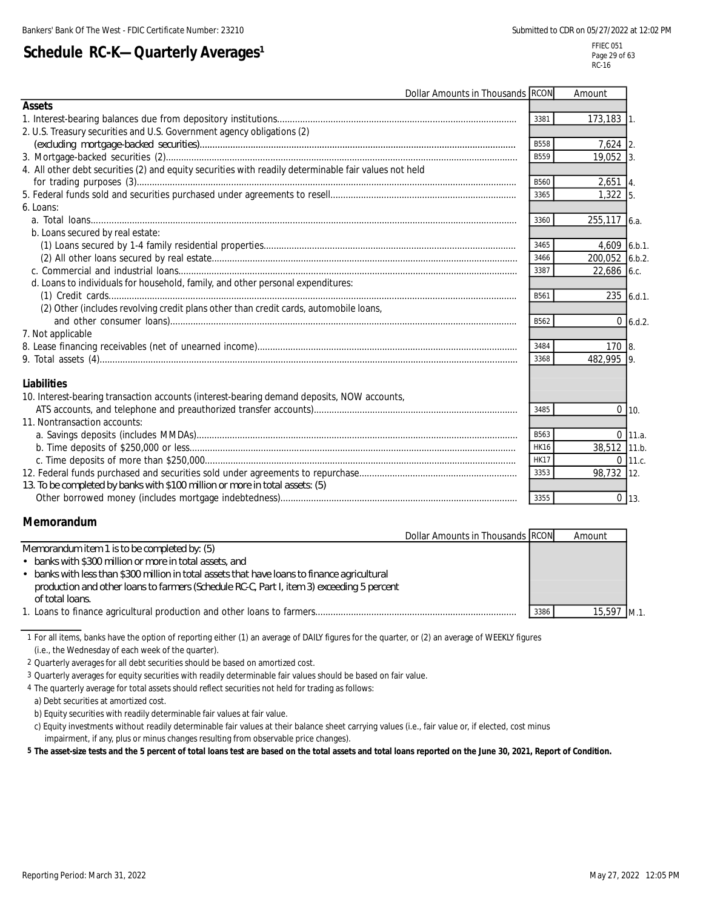# **Schedule RC-K-Quarterly Averages<sup>1</sup>**

FFIEC 051 Page 29 of 63 RC-16

| Dollar Amounts in Thousands RCON                                                                      |             | Amount         |              |
|-------------------------------------------------------------------------------------------------------|-------------|----------------|--------------|
| <b>Assets</b>                                                                                         |             |                |              |
|                                                                                                       | 3381        | $173,183$ 1.   |              |
| 2. U.S. Treasury securities and U.S. Government agency obligations (2)                                |             |                |              |
|                                                                                                       | <b>B558</b> | $7,624$ 2.     |              |
|                                                                                                       | B559        | 19,052 3.      |              |
| 4. All other debt securities (2) and equity securities with readily determinable fair values not held |             |                |              |
|                                                                                                       | B560        | $2,651$ 4.     |              |
|                                                                                                       | 3365        | $1,322$ 5.     |              |
| 6. Loans:                                                                                             |             |                |              |
|                                                                                                       | 3360        | 255,117 6.a.   |              |
| b. Loans secured by real estate:                                                                      |             |                |              |
|                                                                                                       | 3465        | 4,609 6.b.1.   |              |
|                                                                                                       | 3466        | 200,052 6.b.2. |              |
|                                                                                                       | 3387        | 22,686 6.c.    |              |
| d. Loans to individuals for household, family, and other personal expenditures:                       |             |                |              |
|                                                                                                       | B561        |                | 235 6.d.1.   |
| (2) Other (includes revolving credit plans other than credit cards, automobile loans,                 |             |                |              |
|                                                                                                       | B562        |                | 0, 6. d. 2.  |
| 7. Not applicable                                                                                     |             |                |              |
|                                                                                                       | 3484        | 170R           |              |
|                                                                                                       | 3368        | 482.995 9.     |              |
|                                                                                                       |             |                |              |
| <b>Liabilities</b>                                                                                    |             |                |              |
| 10. Interest-bearing transaction accounts (interest-bearing demand deposits, NOW accounts,            |             |                |              |
|                                                                                                       | 3485        |                | $0$ 10.      |
| 11. Nontransaction accounts:                                                                          |             |                |              |
|                                                                                                       | B563        |                | $0 \; 11.a.$ |
|                                                                                                       | <b>HK16</b> | 38,512 11.b.   |              |
|                                                                                                       | <b>HK17</b> |                | $0$ 11.c.    |
|                                                                                                       | 3353        | 98,732 12.     |              |
| 13. To be completed by banks with \$100 million or more in total assets: (5)                          |             |                |              |
|                                                                                                       | 3355        |                | $0$ 13.      |

### **Memorandum**

|                                                                                              | Dollar Amounts in Thousands RCON |      | Amount      |
|----------------------------------------------------------------------------------------------|----------------------------------|------|-------------|
| Memorandum item 1 is to be completed by: (5)                                                 |                                  |      |             |
| • banks with \$300 million or more in total assets, and                                      |                                  |      |             |
| • banks with less than \$300 million in total assets that have loans to finance agricultural |                                  |      |             |
| production and other loans to farmers (Schedule RC-C, Part I, item 3) exceeding 5 percent    |                                  |      |             |
| of total loans                                                                               |                                  |      |             |
|                                                                                              |                                  | 3386 | 15,597 M.1. |

1 For all items, banks have the option of reporting either (1) an average of DAILY figures for the quarter, or (2) an average of WEEKLY figures (i.e., the Wednesday of each week of the quarter).

2 Quarterly averages for all debt securities should be based on amortized cost.

3 Quarterly averages for equity securities with readily determinable fair values should be based on fair value.

4 The quarterly average for total assets should reflect securities not held for trading as follows:

a) Debt securities at amortized cost.

b) Equity securities with readily determinable fair values at fair value.

c) Equity investments without readily determinable fair values at their balance sheet carrying values (i.e., fair value or, if elected, cost minus impairment, if any, plus or minus changes resulting from observable price changes).

**5 The asset-size tests and the 5 percent of total loans test are based on the total assets and total loans reported on the June 30, 2021, Report of Condition.**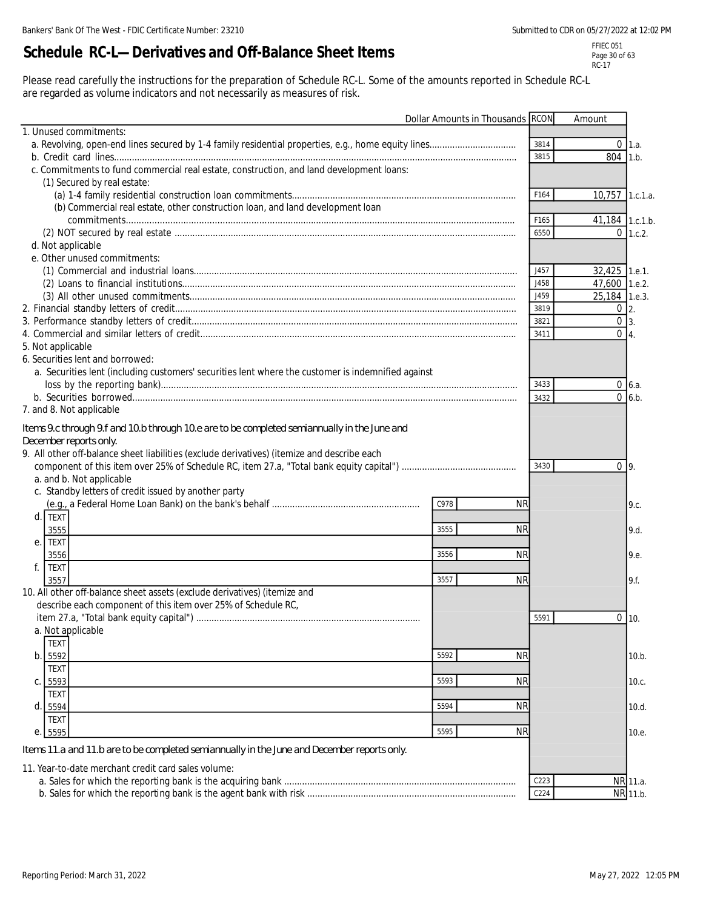# **Schedule RC-L—Derivatives and Off-Balance Sheet Items**

FFIEC 051 Page 30 of 63 RC-17

Please read carefully the instructions for the preparation of Schedule RC-L. Some of the amounts reported in Schedule RC-L are regarded as volume indicators and not necessarily as measures of risk.

|                                                                                                                                                                                                                                                   | Dollar Amounts in Thousands RCON |                  | Amount            |             |
|---------------------------------------------------------------------------------------------------------------------------------------------------------------------------------------------------------------------------------------------------|----------------------------------|------------------|-------------------|-------------|
| 1. Unused commitments:                                                                                                                                                                                                                            |                                  |                  |                   |             |
|                                                                                                                                                                                                                                                   |                                  | 3814             |                   | $0 \; 1.a.$ |
|                                                                                                                                                                                                                                                   |                                  | 3815             | 804 1.b.          |             |
| c. Commitments to fund commercial real estate, construction, and land development loans:                                                                                                                                                          |                                  |                  |                   |             |
| (1) Secured by real estate:                                                                                                                                                                                                                       |                                  |                  |                   |             |
|                                                                                                                                                                                                                                                   |                                  | F164             | 10,757 1.c.1.a.   |             |
| (b) Commercial real estate, other construction loan, and land development loan                                                                                                                                                                    |                                  |                  |                   |             |
|                                                                                                                                                                                                                                                   |                                  | F165             | 41,184 1.c.1.b.   |             |
|                                                                                                                                                                                                                                                   |                                  | 6550             |                   | $0$ 1.c.2.  |
| d. Not applicable                                                                                                                                                                                                                                 |                                  |                  |                   |             |
| e. Other unused commitments:                                                                                                                                                                                                                      |                                  |                  |                   |             |
|                                                                                                                                                                                                                                                   |                                  | J457             | 32,425 1.e.1.     |             |
|                                                                                                                                                                                                                                                   |                                  | J458             | 47,600 1.e.2.     |             |
|                                                                                                                                                                                                                                                   |                                  | J459             | 25,184 1.e.3.     |             |
|                                                                                                                                                                                                                                                   |                                  | 3819             | $0\,$ 2.          |             |
|                                                                                                                                                                                                                                                   |                                  | 3821             | $0\overline{3}$ . |             |
|                                                                                                                                                                                                                                                   |                                  | 3411             | $0\vert 4.$       |             |
| 5. Not applicable                                                                                                                                                                                                                                 |                                  |                  |                   |             |
| 6. Securities lent and borrowed:                                                                                                                                                                                                                  |                                  |                  |                   |             |
| a. Securities lent (including customers' securities lent where the customer is indemnified against                                                                                                                                                |                                  |                  |                   |             |
|                                                                                                                                                                                                                                                   |                                  | 3433             |                   | $0 \, 6.a.$ |
|                                                                                                                                                                                                                                                   |                                  | 3432             |                   | $0$ 6.b.    |
| 7. and 8. Not applicable                                                                                                                                                                                                                          |                                  |                  |                   |             |
| Items 9.c through 9.f and 10.b through 10.e are to be completed semiannually in the June and<br>December reports only.<br>9. All other off-balance sheet liabilities (exclude derivatives) (itemize and describe each<br>a. and b. Not applicable |                                  | 3430             | 0 <sub>9</sub>    |             |
| c. Standby letters of credit issued by another party                                                                                                                                                                                              |                                  |                  |                   |             |
|                                                                                                                                                                                                                                                   | C978<br><b>NR</b>                |                  |                   | 9.c.        |
| d. TEXT                                                                                                                                                                                                                                           |                                  |                  |                   |             |
| 3555                                                                                                                                                                                                                                              | 3555<br><b>NR</b>                |                  |                   | 9.d.        |
| e. TEXT                                                                                                                                                                                                                                           |                                  |                  |                   |             |
| 3556                                                                                                                                                                                                                                              | 3556<br><b>NR</b>                |                  |                   | 9.e.        |
| f.<br><b>TEXT</b>                                                                                                                                                                                                                                 |                                  |                  |                   |             |
| 3557                                                                                                                                                                                                                                              | 3557<br><b>NR</b>                |                  |                   | 9.f.        |
| 10. All other off-balance sheet assets (exclude derivatives) (itemize and                                                                                                                                                                         |                                  |                  |                   |             |
| describe each component of this item over 25% of Schedule RC,                                                                                                                                                                                     |                                  |                  |                   |             |
|                                                                                                                                                                                                                                                   |                                  | 5591             |                   | $0$ 10.     |
| a. Not applicable                                                                                                                                                                                                                                 |                                  |                  |                   |             |
| <b>TEXT</b>                                                                                                                                                                                                                                       |                                  |                  |                   |             |
| b. 5592                                                                                                                                                                                                                                           | <b>NR</b><br>5592                |                  |                   | 10.b.       |
| <b>TEXT</b>                                                                                                                                                                                                                                       |                                  |                  |                   |             |
| C. 5593                                                                                                                                                                                                                                           | 5593<br><b>NR</b>                |                  |                   | 10.c.       |
| <b>TEXT</b>                                                                                                                                                                                                                                       |                                  |                  |                   |             |
| d. 5594                                                                                                                                                                                                                                           | 5594<br>ΝR                       |                  |                   | 10.d.       |
| <b>TEXT</b>                                                                                                                                                                                                                                       |                                  |                  |                   |             |
| 5595<br>$\mathbf{e}$                                                                                                                                                                                                                              | 5595<br><b>NR</b>                |                  |                   | 10.e.       |
| Items 11.a and 11.b are to be completed semiannually in the June and December reports only.                                                                                                                                                       |                                  |                  |                   |             |
| 11. Year-to-date merchant credit card sales volume:                                                                                                                                                                                               |                                  |                  |                   |             |
|                                                                                                                                                                                                                                                   |                                  | C <sub>223</sub> |                   | NR 11.a.    |
|                                                                                                                                                                                                                                                   |                                  | C <sub>224</sub> |                   | NR 11.b.    |
|                                                                                                                                                                                                                                                   |                                  |                  |                   |             |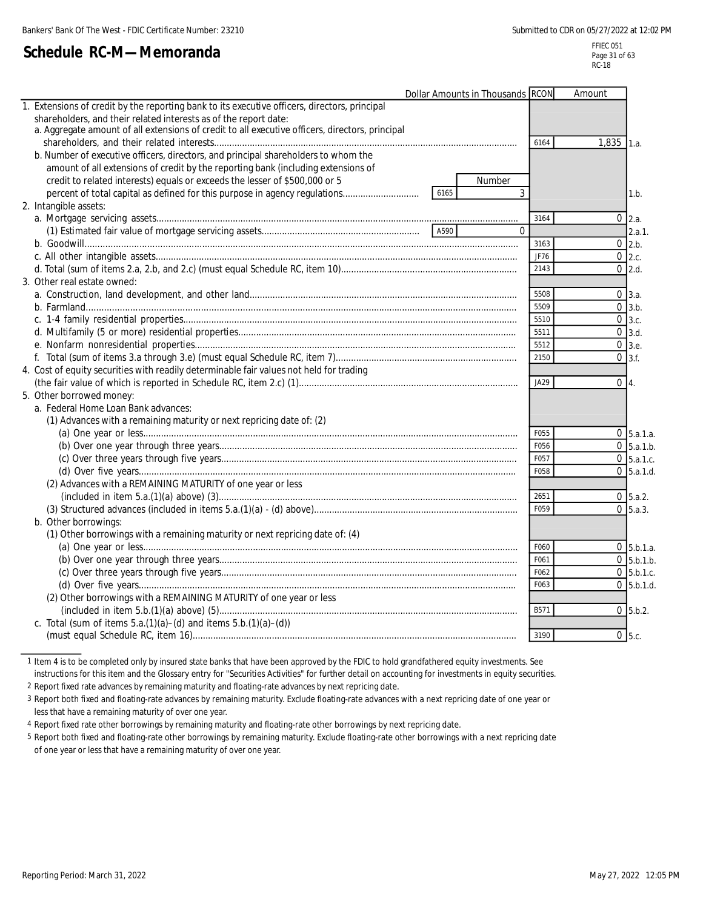# **Schedule RC-M—Memoranda**

|                                                                                                 | Dollar Amounts in Thousands RCON |          | Amount       |                   |
|-------------------------------------------------------------------------------------------------|----------------------------------|----------|--------------|-------------------|
| 1. Extensions of credit by the reporting bank to its executive officers, directors, principal   |                                  |          |              |                   |
| shareholders, and their related interests as of the report date:                                |                                  |          |              |                   |
| a. Aggregate amount of all extensions of credit to all executive officers, directors, principal |                                  |          |              |                   |
|                                                                                                 |                                  | 6164     | $1,835$ 1.a. |                   |
| b. Number of executive officers, directors, and principal shareholders to whom the              |                                  |          |              |                   |
| amount of all extensions of credit by the reporting bank (including extensions of               |                                  |          |              |                   |
| credit to related interests) equals or exceeds the lesser of \$500,000 or 5                     |                                  | Number   |              |                   |
| percent of total capital as defined for this purpose in agency regulations                      | 6165                             | 3        |              | 1.b.              |
| 2. Intangible assets:                                                                           |                                  |          |              |                   |
|                                                                                                 |                                  | 3164     |              | $0 \, 2.a.$       |
|                                                                                                 | A590                             | $\Omega$ |              | 2.a.1.            |
|                                                                                                 |                                  | 3163     |              | $0 \, 2.b.$       |
|                                                                                                 |                                  | JF76     |              | $0$ 2.c.          |
|                                                                                                 |                                  | 2143     |              | $0$ 2.d.          |
| 3. Other real estate owned:                                                                     |                                  |          |              |                   |
|                                                                                                 |                                  | 5508     |              | $0 \, 3.a.$       |
|                                                                                                 |                                  | 5509     |              | $0 \, 3.b.$       |
|                                                                                                 |                                  | 5510     |              | 0 <sub>3.c.</sub> |
|                                                                                                 |                                  | 5511     |              | $0 \vert 3.d.$    |
|                                                                                                 |                                  | 5512     |              | $0 \,$ 3.e.       |
|                                                                                                 |                                  | 2150     |              | $0 \vert 3.f.$    |
| 4. Cost of equity securities with readily determinable fair values not held for trading         |                                  |          |              |                   |
|                                                                                                 |                                  | JA29     | $0\vert 4.$  |                   |
| 5. Other borrowed money:                                                                        |                                  |          |              |                   |
| a. Federal Home Loan Bank advances:                                                             |                                  |          |              |                   |
| (1) Advances with a remaining maturity or next repricing date of: (2)                           |                                  |          |              |                   |
|                                                                                                 |                                  | F055     |              | $0\,$ 5.a.1.a.    |
|                                                                                                 |                                  | F056     |              | $0\,$ 5.a.1.b.    |
|                                                                                                 |                                  | F057     |              | $0\,$ 5.a.1.c.    |
|                                                                                                 |                                  | F058     |              | $0\,$ 5.a.1.d.    |
| (2) Advances with a REMAINING MATURITY of one year or less                                      |                                  |          |              |                   |
|                                                                                                 |                                  | 2651     |              | $0\,$ 5.a.2.      |
|                                                                                                 |                                  | F059     |              | $0\,$ 5.a.3.      |
| b. Other borrowings:                                                                            |                                  |          |              |                   |
| (1) Other borrowings with a remaining maturity or next repricing date of: (4)                   |                                  |          |              |                   |
|                                                                                                 |                                  | F060     |              | $0 \,$ 5.b.1.a.   |
|                                                                                                 |                                  | F061     |              | $0\,$ 5.b.1.b.    |
|                                                                                                 |                                  | F062     |              | $0\,$ 5.b.1.c.    |
|                                                                                                 |                                  | F063     |              | $0\,$ 5.b.1.d.    |
| (2) Other borrowings with a REMAINING MATURITY of one year or less                              |                                  |          |              |                   |
|                                                                                                 |                                  | B571     |              | $0\,$ 5.b.2.      |
| c. Total (sum of items $5.a.(1)(a) - (d)$ and items $5.b.(1)(a) - (d))$                         |                                  |          |              |                   |
|                                                                                                 |                                  | 3190     |              | $0$ 5.c.          |
|                                                                                                 |                                  |          |              |                   |

1 Item 4 is to be completed only by insured state banks that have been approved by the FDIC to hold grandfathered equity investments. See

instructions for this item and the Glossary entry for "Securities Activities" for further detail on accounting for investments in equity securities.

2 Report fixed rate advances by remaining maturity and floating-rate advances by next repricing date.

3 Report both fixed and floating-rate advances by remaining maturity. Exclude floating-rate advances with a next repricing date of one year or less that have a remaining maturity of over one year.

4 Report fixed rate other borrowings by remaining maturity and floating-rate other borrowings by next repricing date.

5 Report both fixed and floating-rate other borrowings by remaining maturity. Exclude floating-rate other borrowings with a next repricing date of one year or less that have a remaining maturity of over one year.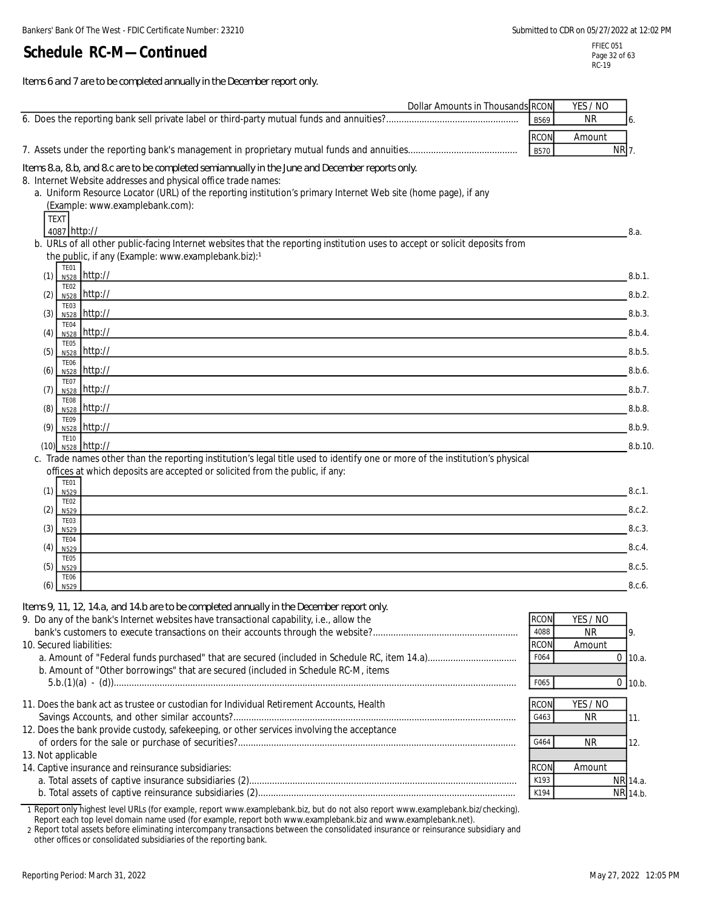*Items 6 and 7 are to be completed annually in the December report only.*

| Dollar Amounts in Thousands RCON                                                                                                                                  |                     | YES / NO         |
|-------------------------------------------------------------------------------------------------------------------------------------------------------------------|---------------------|------------------|
|                                                                                                                                                                   | B569                | <b>NR</b><br>6.  |
|                                                                                                                                                                   | <b>RCON</b>         | Amount           |
|                                                                                                                                                                   | <b>B570</b>         | NR 7.            |
|                                                                                                                                                                   |                     |                  |
| Items 8.a, 8.b, and 8.c are to be completed semiannually in the June and December reports only.<br>8. Internet Website addresses and physical office trade names: |                     |                  |
| a. Uniform Resource Locator (URL) of the reporting institution's primary Internet Web site (home page), if any                                                    |                     |                  |
| (Example: www.examplebank.com):                                                                                                                                   |                     |                  |
| <b>TEXT</b>                                                                                                                                                       |                     |                  |
| 4087 http://                                                                                                                                                      |                     | 8.a.             |
| b. URLs of all other public-facing Internet websites that the reporting institution uses to accept or solicit deposits from                                       |                     |                  |
| the public, if any (Example: www.examplebank.biz):1                                                                                                               |                     |                  |
| TE01<br>N528 http://<br>(1)                                                                                                                                       |                     | 8.b.1.           |
| TE <sub>02</sub>                                                                                                                                                  |                     |                  |
| $N528$ http://<br>(2)                                                                                                                                             |                     | 8.b.2.           |
| TE03<br>N528 http://<br>(3)                                                                                                                                       |                     | 8.b.3.           |
| TE04                                                                                                                                                              |                     |                  |
| N528 http://<br>(4)<br><b>TE05</b>                                                                                                                                |                     | 8.b.4.           |
| N528 http://<br>(5)                                                                                                                                               |                     | 8.b.5.           |
| <b>TE06</b><br>N528 http://<br>(6)                                                                                                                                |                     | 8.b.6.           |
| TE07                                                                                                                                                              |                     |                  |
| N528 http://<br>(7)                                                                                                                                               |                     | 8.b.7.           |
| TE08<br>N528 http://<br>(8)                                                                                                                                       |                     | 8.b.8.           |
| TE09<br>N528 http://<br>(9)                                                                                                                                       |                     | 8.b.9.           |
| <b>TE10</b>                                                                                                                                                       |                     |                  |
| $_{N528}$ http://<br>(10)                                                                                                                                         |                     | 8.b.10.          |
| c. Trade names other than the reporting institution's legal title used to identify one or more of the institution's physical                                      |                     |                  |
| offices at which deposits are accepted or solicited from the public, if any:<br><b>TE01</b>                                                                       |                     |                  |
| (1)<br>N <sub>529</sub>                                                                                                                                           |                     | 8.c.1.           |
| <b>TE02</b><br>(2)                                                                                                                                                |                     | 8.c.2.           |
| N529<br>TE03                                                                                                                                                      |                     |                  |
| (3)<br>N <sub>529</sub>                                                                                                                                           |                     | 8.c.3.           |
| TE04<br>(4)<br>N <sub>529</sub>                                                                                                                                   |                     | 8.c.4.           |
| TE05                                                                                                                                                              |                     |                  |
| (5)<br>N <sub>529</sub><br><b>TE06</b>                                                                                                                            |                     | 8.c.5.           |
| (6)<br>N529                                                                                                                                                       |                     | 8.c.6.           |
| Items 9, 11, 12, 14.a, and 14.b are to be completed annually in the December report only.                                                                         |                     |                  |
| 9. Do any of the bank's Internet websites have transactional capability, i.e., allow the                                                                          | <b>RCON</b>         | YES / NO         |
|                                                                                                                                                                   | 4088                | <b>NR</b><br>9.  |
| 10. Secured liabilities:                                                                                                                                          | <b>RCON</b>         | Amount           |
|                                                                                                                                                                   | F064                | $0$ 10.a.        |
| b. Amount of "Other borrowings" that are secured (included in Schedule RC-M, items                                                                                |                     |                  |
|                                                                                                                                                                   | F065                | $0$ 10.b.        |
| 11. Does the bank act as trustee or custodian for Individual Retirement Accounts, Health                                                                          |                     |                  |
|                                                                                                                                                                   | <b>RCON</b><br>G463 | YES / NO         |
| 12. Does the bank provide custody, safekeeping, or other services involving the acceptance                                                                        |                     | <b>NR</b><br>11. |
|                                                                                                                                                                   | G464                | <b>NR</b><br>12. |
| 13. Not applicable                                                                                                                                                |                     |                  |
| 14. Captive insurance and reinsurance subsidiaries:                                                                                                               | <b>RCON</b>         | Amount           |
|                                                                                                                                                                   | K193                | NR 14.a.         |
|                                                                                                                                                                   | K194                | NR 14.b.         |
| 1 Report only highest level URLs (for example, report www.examplebank.biz, but do not also report www.examplebank.biz/checking).                                  |                     |                  |

Report each top level domain name used (for example, report both www.examplebank.biz and www.examplebank.net). 2 Report total assets before eliminating intercompany transactions between the consolidated insurance or reinsurance subsidiary and other offices or consolidated subsidiaries of the reporting bank.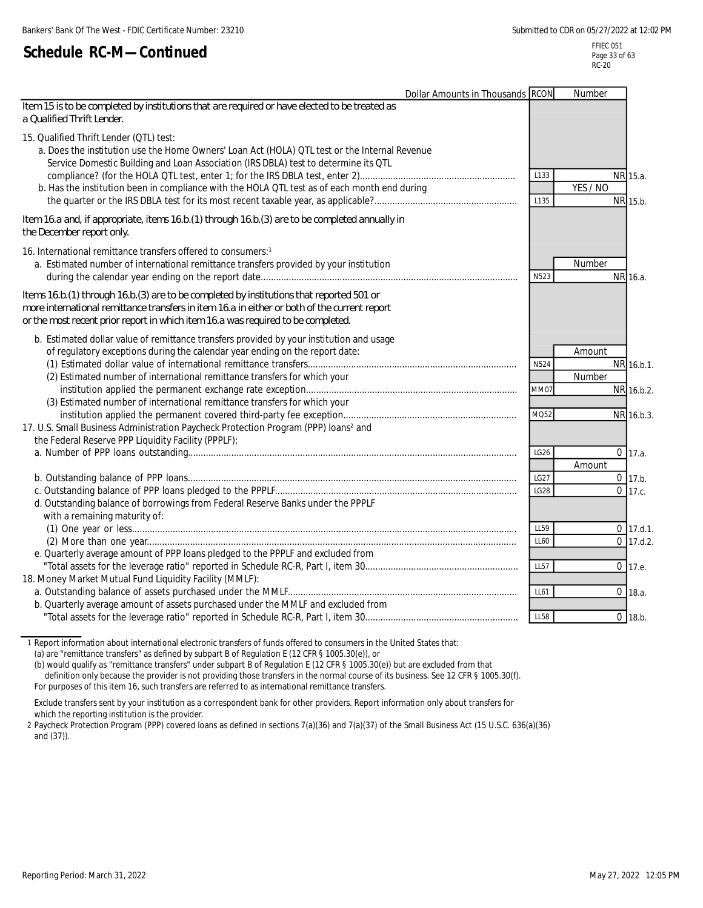FFIEC 051 Page 33 of 63 RC-20

| <b>Dollar Amounts in Thousands RCON</b>                                                                                                                                                                                                                                                                                            |                             | Number           |                                        |
|------------------------------------------------------------------------------------------------------------------------------------------------------------------------------------------------------------------------------------------------------------------------------------------------------------------------------------|-----------------------------|------------------|----------------------------------------|
| Item 15 is to be completed by institutions that are required or have elected to be treated as<br>a Qualified Thrift Lender.                                                                                                                                                                                                        |                             |                  |                                        |
| 15. Qualified Thrift Lender (QTL) test:<br>a. Does the institution use the Home Owners' Loan Act (HOLA) QTL test or the Internal Revenue<br>Service Domestic Building and Loan Association (IRS DBLA) test to determine its QTL<br>b. Has the institution been in compliance with the HOLA QTL test as of each month end during    | L <sub>133</sub><br>L135    | YES / NO         | NR 15.a.<br>NR 15.b.                   |
| Item 16.a and, if appropriate, items 16.b.(1) through 16.b.(3) are to be completed annually in<br>the December report only.                                                                                                                                                                                                        |                             |                  |                                        |
| 16. International remittance transfers offered to consumers: <sup>1</sup><br>a. Estimated number of international remittance transfers provided by your institution                                                                                                                                                                | N523                        | Number           | NR 16.a.                               |
| Items 16.b. (1) through 16.b. (3) are to be completed by institutions that reported 501 or<br>more international remittance transfers in item 16.a in either or both of the current report<br>or the most recent prior report in which item 16.a was required to be completed.                                                     |                             |                  |                                        |
| b. Estimated dollar value of remittance transfers provided by your institution and usage<br>of regulatory exceptions during the calendar year ending on the report date:<br>(2) Estimated number of international remittance transfers for which your<br>(3) Estimated number of international remittance transfers for which your | N524<br><b>MM07</b><br>MQ52 | Amount<br>Number | NR 16.b.1.<br>NR 16.b.2.<br>NR 16.b.3. |
| 17. U.S. Small Business Administration Paycheck Protection Program (PPP) loans <sup>2</sup> and<br>the Federal Reserve PPP Liquidity Facility (PPPLF):                                                                                                                                                                             | LG <sub>26</sub>            | Amount           | $0$ 17.a.                              |
| d. Outstanding balance of borrowings from Federal Reserve Banks under the PPPLF<br>with a remaining maturity of:                                                                                                                                                                                                                   | LG27<br>LG28                |                  | $0$ 17.b.<br>$0$ 17.c.                 |
| e. Quarterly average amount of PPP loans pledged to the PPPLF and excluded from                                                                                                                                                                                                                                                    | LL59<br>LL60<br><b>LL57</b> |                  | $0$ 17.d.1.<br>$0$ 17.d.2.<br>0 17.e.  |
| 18. Money Market Mutual Fund Liquidity Facility (MMLF):<br>b. Quarterly average amount of assets purchased under the MMLF and excluded from                                                                                                                                                                                        | LL61                        |                  | $0$ 18.a.                              |
|                                                                                                                                                                                                                                                                                                                                    | LL58                        |                  | $0$ 18.b.                              |

1 Report information about international electronic transfers of funds offered to consumers in the United States that: (a) are "remittance transfers" as defined by subpart B of Regulation E (12 CFR § 1005.30(e)), or

(b) would qualify as "remittance transfers" under subpart B of Regulation E (12 CFR § 1005.30(e)) but are excluded from that definition only because the provider is not providing those transfers in the normal course of its business. See 12 CFR § 1005.30(f). For purposes of this item 16, such transfers are referred to as international remittance transfers.

Exclude transfers sent by your institution as a correspondent bank for other providers. Report information only about transfers for which the reporting institution is the provider.

2 Paycheck Protection Program (PPP) covered loans as defined in sections 7(a)(36) and 7(a)(37) of the Small Business Act (15 U.S.C. 636(a)(36) and (37)).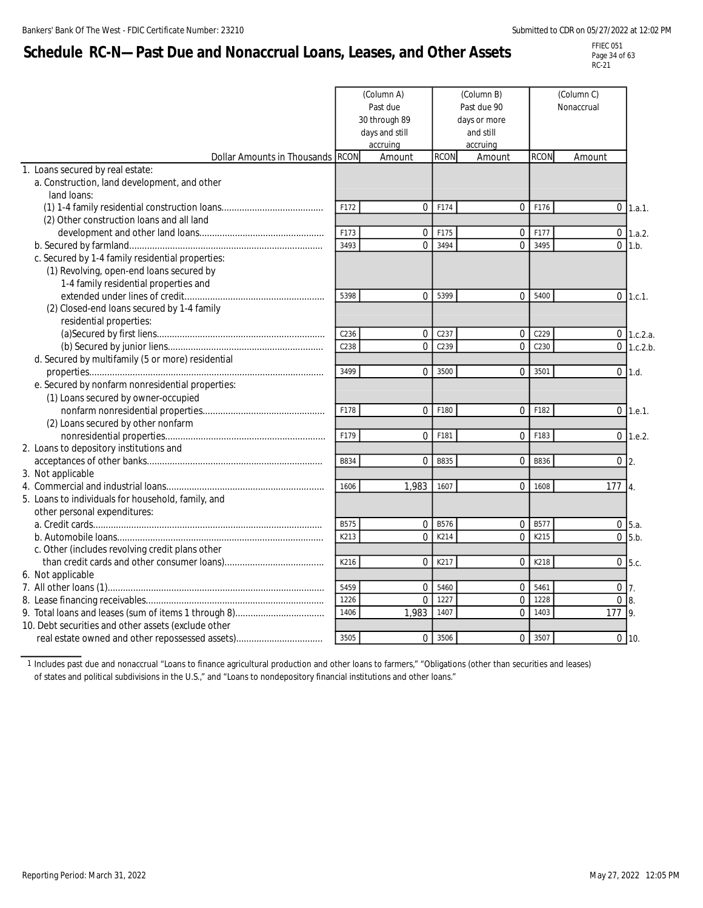# **Schedule RC-N—Past Due and Nonaccrual Loans, Leases, and Other Assets**

FFIEC 051 Page 34 of 63 RC-21

|                                                     | (Column B)<br>(Column A)<br>Past due<br>Past due 90<br>30 through 89<br>days or more<br>days and still<br>and still<br>accruing<br>accruing |                |             | (Column C)<br>Nonaccrual |                  |                   |                              |
|-----------------------------------------------------|---------------------------------------------------------------------------------------------------------------------------------------------|----------------|-------------|--------------------------|------------------|-------------------|------------------------------|
| <b>Dollar Amounts in Thousands RCON</b>             |                                                                                                                                             | Amount         | <b>RCON</b> | Amount                   | <b>RCON</b>      | Amount            |                              |
| 1. Loans secured by real estate:                    |                                                                                                                                             |                |             |                          |                  |                   |                              |
| a. Construction, land development, and other        |                                                                                                                                             |                |             |                          |                  |                   |                              |
| land loans:                                         |                                                                                                                                             |                |             |                          |                  |                   |                              |
|                                                     | F172                                                                                                                                        | $\mathbf 0$    | F174        | $\overline{0}$           | F176             | $\overline{0}$    | 1.a.1.                       |
| (2) Other construction loans and all land           |                                                                                                                                             |                |             |                          |                  |                   |                              |
|                                                     | F173                                                                                                                                        | $\Omega$       | F175        | 0                        | F177             | $\overline{0}$    | 1.a.2.                       |
|                                                     | 3493                                                                                                                                        | $\Omega$       | 3494        | $\Omega$                 | 3495             | $\Omega$          | 1.b.                         |
| c. Secured by 1-4 family residential properties:    |                                                                                                                                             |                |             |                          |                  |                   |                              |
| (1) Revolving, open-end loans secured by            |                                                                                                                                             |                |             |                          |                  |                   |                              |
| 1-4 family residential properties and               |                                                                                                                                             |                |             |                          |                  |                   |                              |
|                                                     | 5398                                                                                                                                        | $\Omega$       | 5399        | 0                        | 5400             | $\overline{0}$    | 1.c.1.                       |
| (2) Closed-end loans secured by 1-4 family          |                                                                                                                                             |                |             |                          |                  |                   |                              |
| residential properties:                             | C236                                                                                                                                        |                | C237        |                          | C <sub>229</sub> |                   |                              |
|                                                     | C238                                                                                                                                        | 0<br>$\Omega$  | C239        | 0<br>$\Omega$            | C230             |                   | $0$ 1.c.2.a.<br>$0$ 1.c.2.b. |
| d. Secured by multifamily (5 or more) residential   |                                                                                                                                             |                |             |                          |                  |                   |                              |
|                                                     | 3499                                                                                                                                        | $\Omega$       | 3500        | $\overline{0}$           | 3501             | $\overline{0}$    | 1.d.                         |
| e. Secured by nonfarm nonresidential properties:    |                                                                                                                                             |                |             |                          |                  |                   |                              |
| (1) Loans secured by owner-occupied                 |                                                                                                                                             |                |             |                          |                  |                   |                              |
|                                                     | F178                                                                                                                                        | $\mathbf 0$    | F180        | $\overline{0}$           | F182             | $\mathbf 0$       | 1.e.1.                       |
| (2) Loans secured by other nonfarm                  |                                                                                                                                             |                |             |                          |                  |                   |                              |
|                                                     | F179                                                                                                                                        | $\Omega$       | F181        | $\overline{0}$           | F183             |                   | $0$ 1.e.2.                   |
| 2. Loans to depository institutions and             |                                                                                                                                             |                |             |                          |                  |                   |                              |
|                                                     | B834                                                                                                                                        | 0              | <b>B835</b> | $\mathbf{0}$             | <b>B836</b>      | $0\overline{2}$ . |                              |
| 3. Not applicable                                   |                                                                                                                                             |                |             |                          |                  |                   |                              |
|                                                     | 1606                                                                                                                                        | 1.983          | 1607        | 0                        | 1608             | $177 \; 4.$       |                              |
| 5. Loans to individuals for household, family, and  |                                                                                                                                             |                |             |                          |                  |                   |                              |
| other personal expenditures:                        |                                                                                                                                             |                |             |                          |                  |                   |                              |
|                                                     | <b>B575</b>                                                                                                                                 | 0              | <b>B576</b> | 0                        | <b>B577</b>      |                   | 0 <sub>5.a.</sub>            |
|                                                     | K213                                                                                                                                        | $\Omega$       | K214        | $\Omega$                 | K215             |                   | $\overline{0}$ 5.b.          |
| c. Other (includes revolving credit plans other     |                                                                                                                                             |                |             |                          |                  |                   |                              |
|                                                     | K216                                                                                                                                        | 0              | K217        | 0                        | K218             |                   | $0\,$ 5.c.                   |
| 6. Not applicable                                   |                                                                                                                                             |                |             |                          |                  |                   |                              |
|                                                     | 5459                                                                                                                                        | $\Omega$       | 5460        | $\overline{0}$           | 5461             | $0\overline{7}$ . |                              |
|                                                     | 1226                                                                                                                                        | $\overline{0}$ | 1227        | $\mathbf 0$              | 1228             | $\overline{0}$    | 8.                           |
|                                                     | 1406                                                                                                                                        | 1,983          | 1407        | $\overline{0}$           | 1403             | 177 9.            |                              |
| 10. Debt securities and other assets (exclude other |                                                                                                                                             |                |             |                          |                  |                   |                              |
|                                                     | 3505                                                                                                                                        | $\Omega$       | 3506        | $\Omega$                 | 3507             |                   | $0$ 10.                      |

1 Includes past due and nonaccrual "Loans to finance agricultural production and other loans to farmers," "Obligations (other than securities and leases) of states and political subdivisions in the U.S.," and "Loans to nondepository financial institutions and other loans."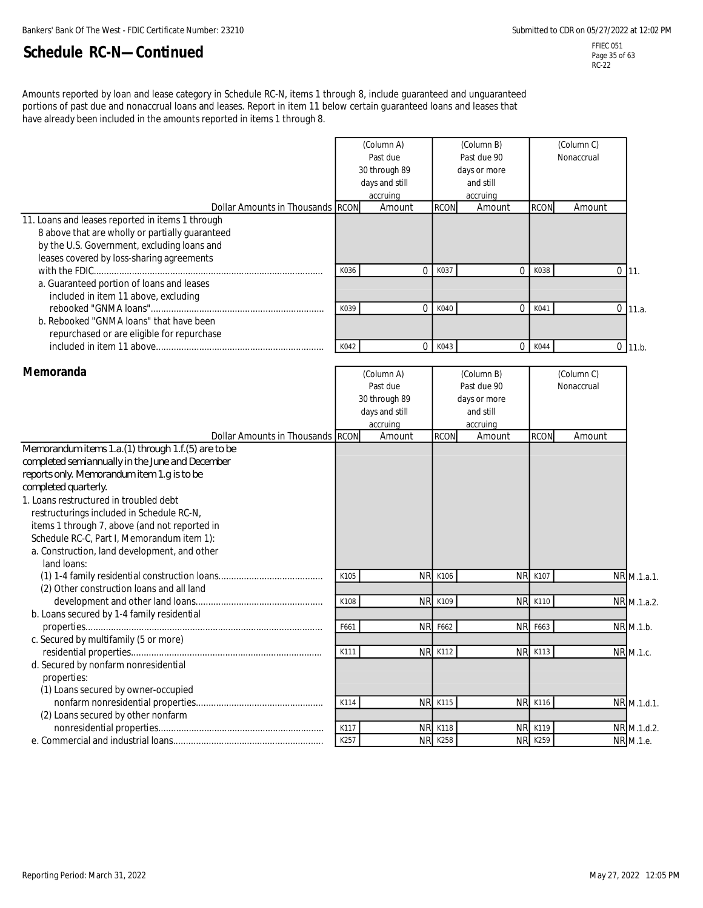FFIEC 051 Page 35 of 63 RC-22

Amounts reported by loan and lease category in Schedule RC-N, items 1 through 8, include guaranteed and unguaranteed portions of past due and nonaccrual loans and leases. Report in item 11 below certain guaranteed loans and leases that have already been included in the amounts reported in items 1 through 8.

| Dollar Amounts in Thousands RCON<br>11. Loans and leases reported in items 1 through                                                                                                                                                                                                                                                                                       |              | (Column A)<br>Past due<br>30 through 89<br>days and still<br>accruing<br>Amount | <b>RCON</b>                         | (Column B)<br>Past due 90<br>days or more<br>and still<br>accruing<br>Amount | <b>RCON</b>                      | (Column C)<br>Nonaccrual<br>Amount |                            |
|----------------------------------------------------------------------------------------------------------------------------------------------------------------------------------------------------------------------------------------------------------------------------------------------------------------------------------------------------------------------------|--------------|---------------------------------------------------------------------------------|-------------------------------------|------------------------------------------------------------------------------|----------------------------------|------------------------------------|----------------------------|
| 8 above that are wholly or partially guaranteed<br>by the U.S. Government, excluding loans and<br>leases covered by loss-sharing agreements                                                                                                                                                                                                                                |              |                                                                                 |                                     |                                                                              |                                  |                                    |                            |
| a. Guaranteed portion of loans and leases<br>included in item 11 above, excluding                                                                                                                                                                                                                                                                                          | K036         |                                                                                 | 0<br>K037                           | $\mathbf 0$                                                                  | K038                             |                                    | $0$ 11.                    |
| b. Rebooked "GNMA loans" that have been<br>repurchased or are eligible for repurchase                                                                                                                                                                                                                                                                                      | K039         |                                                                                 | 0<br>K040                           | $\mathbf 0$                                                                  | K041                             |                                    | $0$ 11.a.                  |
|                                                                                                                                                                                                                                                                                                                                                                            | K042         |                                                                                 | 0<br>K043                           | $\mathbf 0$                                                                  | K044                             |                                    | $0$ 11.b.                  |
| Memoranda                                                                                                                                                                                                                                                                                                                                                                  |              | (Column A)<br>Past due<br>30 through 89<br>days and still<br>accruing           |                                     | (Column B)<br>Past due 90<br>days or more<br>and still<br>accruing           |                                  | (Column C)<br>Nonaccrual           |                            |
| Dollar Amounts in Thousands RCON<br>Memorandum items 1.a. (1) through 1.f. (5) are to be                                                                                                                                                                                                                                                                                   |              | Amount                                                                          | <b>RCON</b>                         | Amount                                                                       | <b>RCON</b>                      | Amount                             |                            |
| completed semiannually in the June and December<br>reports only. Memorandum item 1.g is to be<br>completed quarterly.<br>1. Loans restructured in troubled debt<br>restructurings included in Schedule RC-N,<br>items 1 through 7, above (and not reported in<br>Schedule RC-C, Part I, Memorandum item 1):<br>a. Construction, land development, and other<br>land loans: |              |                                                                                 |                                     |                                                                              |                                  |                                    |                            |
|                                                                                                                                                                                                                                                                                                                                                                            | K105         |                                                                                 | <b>NR</b><br>K106                   | <b>NR</b>                                                                    | K107                             |                                    | NR M.1.a.1.                |
| (2) Other construction loans and all land<br>b. Loans secured by 1-4 family residential                                                                                                                                                                                                                                                                                    | K108         |                                                                                 | <b>NR</b><br>K109                   | <b>NR</b>                                                                    | K110                             |                                    | NR M.1.a.2.                |
| c. Secured by multifamily (5 or more)                                                                                                                                                                                                                                                                                                                                      | F661<br>K111 |                                                                                 | <b>NR</b><br>F662<br><b>NR K112</b> | <b>NR</b>                                                                    | F663<br><b>NR K113</b>           |                                    | NR M.1.b.<br>NR M.1.c.     |
| d. Secured by nonfarm nonresidential<br>properties:<br>(1) Loans secured by owner-occupied                                                                                                                                                                                                                                                                                 |              |                                                                                 |                                     |                                                                              |                                  |                                    |                            |
| (2) Loans secured by other nonfarm                                                                                                                                                                                                                                                                                                                                         | K114<br>K117 |                                                                                 | <b>NR K115</b><br><b>NR</b><br>K118 |                                                                              | <b>NR K116</b><br><b>NR K119</b> |                                    | NR M.1.d.1.<br>NR M.1.d.2. |
|                                                                                                                                                                                                                                                                                                                                                                            | K257         |                                                                                 | <b>NR K258</b>                      |                                                                              | <b>NR K259</b>                   |                                    | NR M.1.e.                  |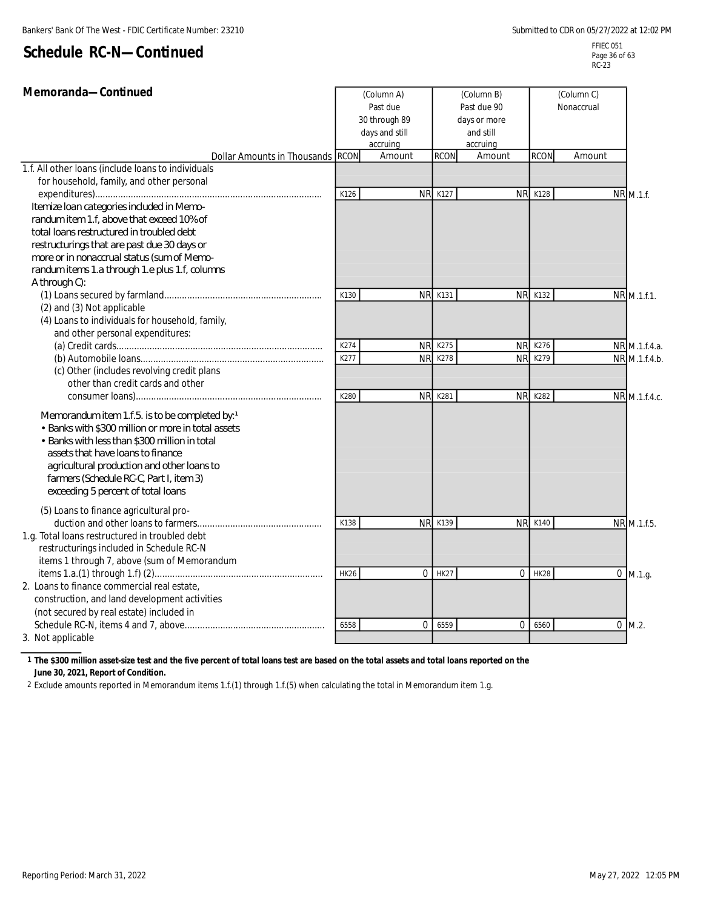| Memoranda-Continued<br>(Column A)<br>Past due      |              |                        | (Column B)<br>(Column C)<br>Past due 90<br>Nonaccrual |                        |                |             |                                |
|----------------------------------------------------|--------------|------------------------|-------------------------------------------------------|------------------------|----------------|-------------|--------------------------------|
|                                                    |              | 30 through 89          |                                                       | days or more           |                |             |                                |
|                                                    |              | days and still         |                                                       | and still              |                |             |                                |
|                                                    |              | accruing               |                                                       | accruing               |                |             |                                |
| <b>Dollar Amounts in Thousands RCON</b>            |              | Amount                 | <b>RCON</b>                                           | Amount                 | <b>RCON</b>    | Amount      |                                |
| 1.f. All other loans (include loans to individuals |              |                        |                                                       |                        |                |             |                                |
| for household, family, and other personal          | K126         | <b>NR</b>              | K127                                                  | <b>NR</b>              | K128           |             | NR M.1.f.                      |
| Itemize Ioan categories induded in Memo-           |              |                        |                                                       |                        |                |             |                                |
| randum item 1.f, above that exceed 10% of          |              |                        |                                                       |                        |                |             |                                |
| total loans restructured in troubled debt          |              |                        |                                                       |                        |                |             |                                |
| restructurings that are past due 30 days or        |              |                        |                                                       |                        |                |             |                                |
| more or in nonaccrual status (sum of Memo-         |              |                        |                                                       |                        |                |             |                                |
| randum items 1.a through 1.e plus 1.f, columns     |              |                        |                                                       |                        |                |             |                                |
| A through C):                                      |              |                        |                                                       |                        |                |             |                                |
|                                                    | K130         |                        | <b>NR K131</b>                                        |                        | <b>NR K132</b> |             | NR M.1.f.1.                    |
| (2) and (3) Not applicable                         |              |                        |                                                       |                        |                |             |                                |
| (4) Loans to individuals for household, family,    |              |                        |                                                       |                        |                |             |                                |
| and other personal expenditures:                   |              |                        |                                                       |                        |                |             |                                |
|                                                    | K274<br>K277 | <b>NR</b><br><b>NR</b> | K275<br>K278                                          | <b>NR</b><br><b>NR</b> | K276<br>K279   |             | NR M.1.f.4.a.<br>NR M.1.f.4.b. |
| (c) Other (includes revolving credit plans         |              |                        |                                                       |                        |                |             |                                |
| other than credit cards and other                  |              |                        |                                                       |                        |                |             |                                |
|                                                    | K280         |                        | <b>NR K281</b>                                        | <b>NR</b>              | K282           |             | NR M.1.f.4.c.                  |
|                                                    |              |                        |                                                       |                        |                |             |                                |
| Memorandum item 1.f.5. is to be completed by: 1    |              |                        |                                                       |                        |                |             |                                |
| • Banks with \$300 million or more in total assets |              |                        |                                                       |                        |                |             |                                |
| • Banks with less than \$300 million in total      |              |                        |                                                       |                        |                |             |                                |
| assets that have loans to finance                  |              |                        |                                                       |                        |                |             |                                |
| agricultural production and other loans to         |              |                        |                                                       |                        |                |             |                                |
| farmers (Schedule RC-C, Part I, item 3)            |              |                        |                                                       |                        |                |             |                                |
| exceeding 5 percent of total loans                 |              |                        |                                                       |                        |                |             |                                |
| (5) Loans to finance agricultural pro-             |              |                        |                                                       |                        |                |             |                                |
|                                                    | K138         |                        | <b>NR K139</b>                                        |                        | <b>NR K140</b> |             | NR M.1.f.5.                    |
| 1.g. Total loans restructured in troubled debt     |              |                        |                                                       |                        |                |             |                                |
| restructurings included in Schedule RC-N           |              |                        |                                                       |                        |                |             |                                |
| items 1 through 7, above (sum of Memorandum        |              |                        |                                                       |                        |                |             |                                |
|                                                    | <b>HK26</b>  | $\Omega$               | <b>HK27</b>                                           | $\Omega$               | <b>HK28</b>    |             | $0$ M.1.g.                     |
| 2. Loans to finance commercial real estate,        |              |                        |                                                       |                        |                |             |                                |
| construction, and land development activities      |              |                        |                                                       |                        |                |             |                                |
| (not secured by real estate) included in           |              |                        |                                                       |                        |                |             |                                |
|                                                    | 6558         | 0                      | 6559                                                  | $\mathbf 0$            | 6560           | $\mathbf 0$ | M.2                            |
| 3. Not applicable                                  |              |                        |                                                       |                        |                |             |                                |

**1 The \$300 million asset-size test and the five percent of total loans test are based on the total assets and total loans reported on the June 30, 2021, Report of Condition.**

2 Exclude amounts reported in Memorandum items 1.f.(1) through 1.f.(5) when calculating the total in Memorandum item 1.g.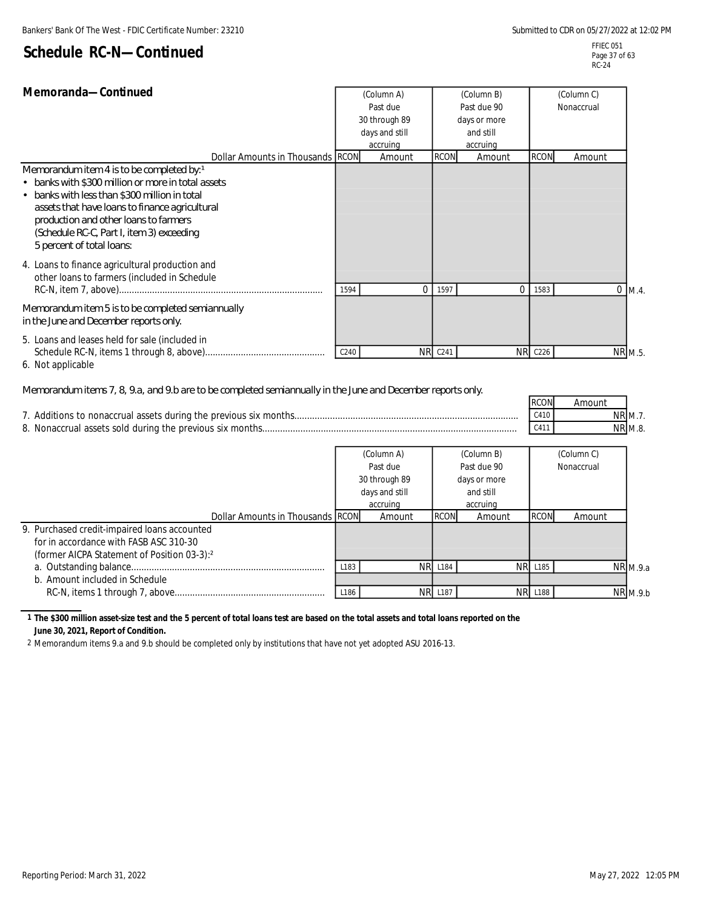| Memoranda-Continued                                                                                                                                                                                                                                                                                                                                       |      | (Column A)<br>Past due          |                | (Column B)<br>Past due 90 |                | (Column C)<br>Nonaccrual |  |
|-----------------------------------------------------------------------------------------------------------------------------------------------------------------------------------------------------------------------------------------------------------------------------------------------------------------------------------------------------------|------|---------------------------------|----------------|---------------------------|----------------|--------------------------|--|
|                                                                                                                                                                                                                                                                                                                                                           |      | 30 through 89<br>days and still |                | days or more<br>and still |                |                          |  |
|                                                                                                                                                                                                                                                                                                                                                           |      | accruing                        |                | accruing                  |                |                          |  |
| Dollar Amounts in Thousands RCON<br>Memorandum item 4 is to be completed by: 1<br>• banks with \$300 million or more in total assets<br>• banks with less than \$300 million in total<br>assets that have loans to finance agricultural<br>production and other loans to farmers<br>(Schedule RC-C, Part I, item 3) exceeding<br>5 percent of total loans |      | Amount                          | <b>RCON</b>    | Amount                    | <b>RCON</b>    | Amount                   |  |
| 4. Loans to finance agricultural production and<br>other loans to farmers (included in Schedule<br>Memorandum item 5 is to be completed semiannually                                                                                                                                                                                                      | 1594 | $\Omega$                        | 1597           | $\Omega$                  | 1583           | $0 \, M.4.$              |  |
| in the June and December reports only.                                                                                                                                                                                                                                                                                                                    |      |                                 |                |                           |                |                          |  |
| 5. Loans and leases held for sale (included in                                                                                                                                                                                                                                                                                                            | C240 |                                 | <b>NR C241</b> |                           | <b>NR C226</b> | NR M.5.                  |  |

6. Not applicable

#### *Memorandum items 7, 8, 9.a, and 9.b are to be completed semiannually in the June and December reports only.*

|                                                          | <b>RCON</b> | Amount              |  |
|----------------------------------------------------------|-------------|---------------------|--|
|                                                          | C410        | $NR$ M. $\lambda$ . |  |
| 8. Nonaccrual assets sold during the previous six months | C411        | <b>NR M.8.</b>      |  |

|                                                         | (Column A)<br>Past due<br>30 through 89<br>days and still |          |                | (Column B)   |                | (Column C) |                 |
|---------------------------------------------------------|-----------------------------------------------------------|----------|----------------|--------------|----------------|------------|-----------------|
|                                                         |                                                           |          | Past due 90    |              |                | Nonaccrual |                 |
|                                                         |                                                           |          |                | days or more |                |            |                 |
|                                                         |                                                           |          |                | and still    |                |            |                 |
|                                                         |                                                           | accruing |                | accruing     |                |            |                 |
| Dollar Amounts in Thousands RCON                        |                                                           | Amount   | <b>RCON</b>    | Amount       | <b>RCON</b>    | Amount     |                 |
| 9. Purchased credit-impaired loans accounted            |                                                           |          |                |              |                |            |                 |
| for in accordance with FASB ASC 310-30                  |                                                           |          |                |              |                |            |                 |
| (former AICPA Statement of Position 03-3): <sup>2</sup> |                                                           |          |                |              |                |            |                 |
|                                                         | L183                                                      | NR.      | L184           |              | <b>NR L185</b> |            | <b>NR</b> M.9.a |
| b. Amount included in Schedule                          |                                                           |          |                |              |                |            |                 |
|                                                         | L <sub>186</sub>                                          |          | <b>NR L187</b> |              | <b>NR L188</b> |            | $NR$ M.9.b      |

#### **1 The \$300 million asset-size test and the 5 percent of total loans test are based on the total assets and total loans reported on the June 30, 2021, Report of Condition.**

2 Memorandum items 9.a and 9.b should be completed only by institutions that have not yet adopted ASU 2016-13.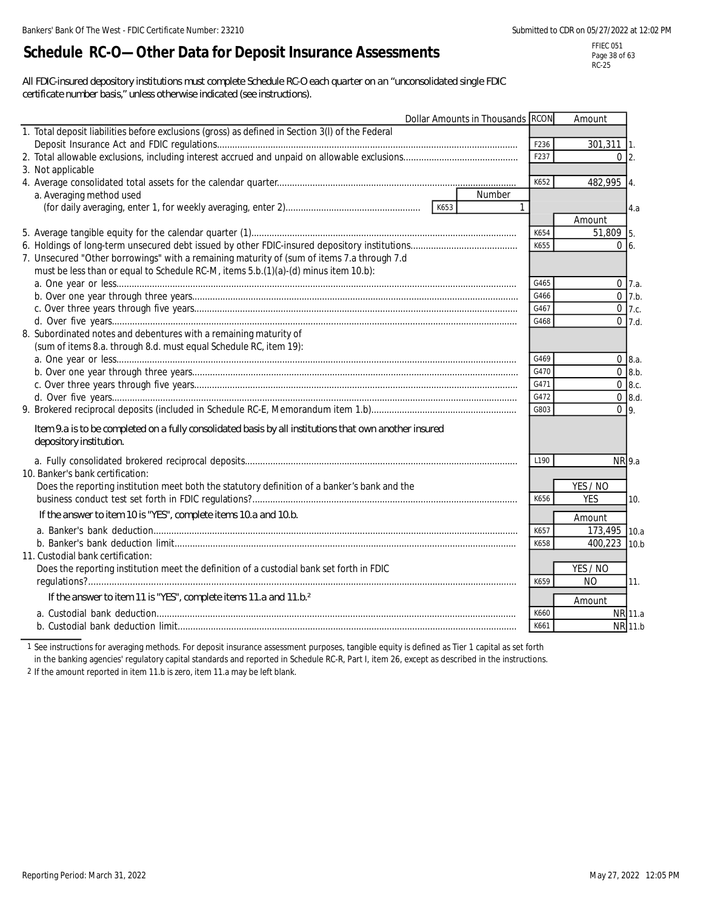# **Schedule RC-O—Other Data for Deposit Insurance Assessments**

FFIEC 051 Page 38 of 63 RC-25

*All FDIC-insured depository institutions must complete Schedule RC-O each quarter on an "unconsolidated single FDIC certificate number basis," unless otherwise indicated (see instructions).*

| Dollar Amounts in Thousands RCON                                                                        |              | Amount                 |             |
|---------------------------------------------------------------------------------------------------------|--------------|------------------------|-------------|
| 1. Total deposit liabilities before exclusions (gross) as defined in Section 3(I) of the Federal        |              |                        |             |
|                                                                                                         | F236         | $301,311$ 1.           |             |
|                                                                                                         | F237         | $0\vert 2$ .           |             |
| 3. Not applicable                                                                                       |              |                        |             |
|                                                                                                         | K652         | 482,995 4.             |             |
| a. Averaging method used<br>Number                                                                      |              |                        |             |
|                                                                                                         | $\mathbf{1}$ |                        | 4.a         |
|                                                                                                         |              | Amount                 |             |
|                                                                                                         | K654         | 51,809 5.              |             |
|                                                                                                         | K655         | $0\,6$                 |             |
| 7. Unsecured "Other borrowings" with a remaining maturity of (sum of items 7.a through 7.d              |              |                        |             |
| must be less than or equal to Schedule RC-M, items 5.b.(1)(a)-(d) minus item 10.b):                     |              |                        |             |
|                                                                                                         | G465         |                        | $0 \, 7.a.$ |
|                                                                                                         | G466         |                        | $0$ 7.b.    |
|                                                                                                         | G467         |                        | $0$ 7.c.    |
|                                                                                                         | G468         |                        | $0$ 7.d.    |
| 8. Subordinated notes and debentures with a remaining maturity of                                       |              |                        |             |
| (sum of items 8.a. through 8.d. must equal Schedule RC, item 19):                                       |              |                        |             |
|                                                                                                         | G469         |                        | 08.a.       |
|                                                                                                         | G470         |                        | 0 8.b.      |
|                                                                                                         | G471         |                        | $0\,8.c.$   |
|                                                                                                         | G472         |                        | $0$ 8.d.    |
|                                                                                                         | G803         | 0 <sup>q</sup>         |             |
| I tem 9.a is to be completed on a fully consolidated basis by all institutions that own another insured |              |                        |             |
| depository institution.                                                                                 |              |                        |             |
|                                                                                                         | L190         | NR 9.a                 |             |
| 10. Banker's bank certification:                                                                        |              |                        |             |
| Does the reporting institution meet both the statutory definition of a banker's bank and the            |              | YES / NO               |             |
|                                                                                                         | K656         | <b>YES</b>             | 10.         |
| If the answer to item 10 is "YES", complete items 10.a and 10.b.                                        |              |                        |             |
|                                                                                                         | K657         | Amount<br>173,495 10.a |             |
|                                                                                                         | K658         | 400,223 10.b           |             |
| 11. Custodial bank certification:                                                                       |              |                        |             |
| Does the reporting institution meet the definition of a custodial bank set forth in FDIC                |              | YES / NO               |             |
|                                                                                                         | K659         | <b>NO</b>              | 11.         |
|                                                                                                         |              |                        |             |
| If the answer to item 11 is "YES", complete items 11.a and 11.b. <sup>2</sup>                           |              | Amount                 |             |
|                                                                                                         | K660         |                        | NR 11.a     |
|                                                                                                         | K661         |                        | NR 11.b     |

1 See instructions for averaging methods. For deposit insurance assessment purposes, tangible equity is defined as Tier 1 capital as set forth in the banking agencies' regulatory capital standards and reported in Schedule RC-R, Part I, item 26, except as described in the instructions.

2 If the amount reported in item 11.b is zero, item 11.a may be left blank.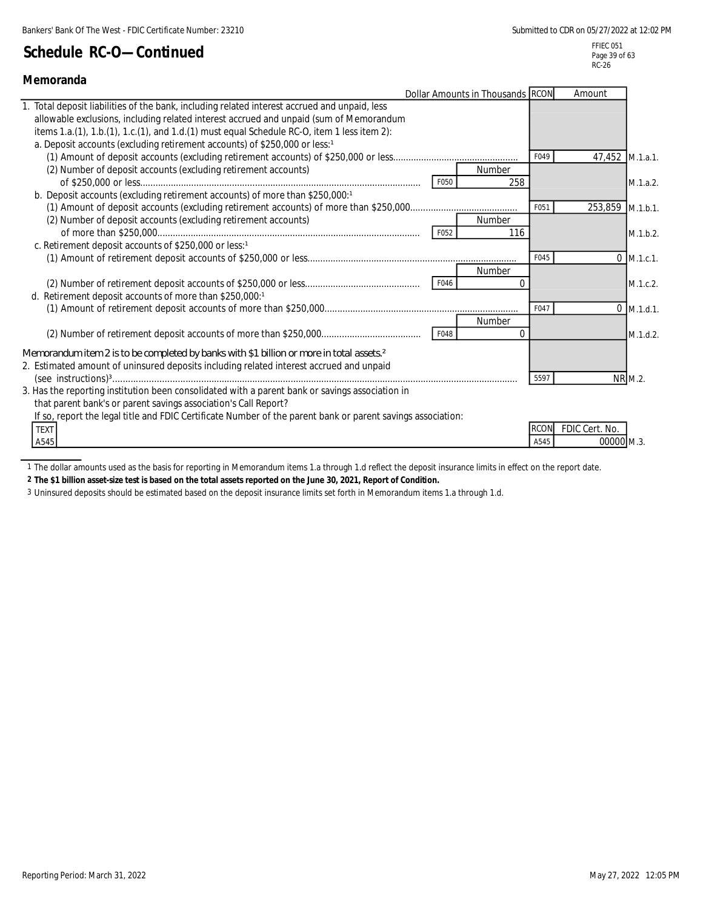| Memoranda                                                                                                                                                                                                                                                                                                                                                         |      |               |                     |                              |              |
|-------------------------------------------------------------------------------------------------------------------------------------------------------------------------------------------------------------------------------------------------------------------------------------------------------------------------------------------------------------------|------|---------------|---------------------|------------------------------|--------------|
| Dollar Amounts in Thousands RCON                                                                                                                                                                                                                                                                                                                                  |      |               |                     | Amount                       |              |
| Total deposit liabilities of the bank, including related interest accrued and unpaid, less<br>allowable exclusions, including related interest accrued and unpaid (sum of Memorandum<br>items 1.a.(1), 1.b.(1), 1.c.(1), and 1.d.(1) must equal Schedule RC-O, item 1 less item 2):<br>a. Deposit accounts (excluding retirement accounts) of \$250,000 or less:1 |      |               | F049                | 47,452 M.1.a.1.              |              |
| (2) Number of deposit accounts (excluding retirement accounts)                                                                                                                                                                                                                                                                                                    | F050 | Number<br>258 |                     |                              | M.1.a.2.     |
| b. Deposit accounts (excluding retirement accounts) of more than \$250,000:1                                                                                                                                                                                                                                                                                      |      |               |                     |                              |              |
|                                                                                                                                                                                                                                                                                                                                                                   |      |               | F051                | 253,859 M.1.b.1.             |              |
| (2) Number of deposit accounts (excluding retirement accounts)                                                                                                                                                                                                                                                                                                    |      | Number        |                     |                              |              |
|                                                                                                                                                                                                                                                                                                                                                                   | F052 | 116           |                     |                              | M.1.b.2.     |
| c. Retirement deposit accounts of \$250,000 or less:1                                                                                                                                                                                                                                                                                                             |      |               |                     |                              |              |
|                                                                                                                                                                                                                                                                                                                                                                   |      |               | F045                |                              | $0$ M.1.c.1. |
|                                                                                                                                                                                                                                                                                                                                                                   |      | Number        |                     |                              |              |
|                                                                                                                                                                                                                                                                                                                                                                   | F046 |               |                     |                              | M.1.c.2.     |
| d. Retirement deposit accounts of more than \$250,000:1                                                                                                                                                                                                                                                                                                           |      |               | F047                |                              | $0$ M.1.d.1. |
|                                                                                                                                                                                                                                                                                                                                                                   |      | Number        |                     |                              |              |
|                                                                                                                                                                                                                                                                                                                                                                   | F048 | $\Omega$      |                     |                              | M.1.d.2.     |
| Memorandum item 2 is to be completed by banks with \$1 billion or more in total assets. <sup>2</sup>                                                                                                                                                                                                                                                              |      |               |                     |                              |              |
| 2. Estimated amount of uninsured deposits including related interest accrued and unpaid                                                                                                                                                                                                                                                                           |      |               | 5597                |                              | NR M.2.      |
| 3. Has the reporting institution been consolidated with a parent bank or savings association in<br>that parent bank's or parent savings association's Call Report?<br>If so, report the legal title and FDIC Certificate Number of the parent bank or parent savings association:                                                                                 |      |               |                     |                              |              |
| <b>TEXT</b><br>A545                                                                                                                                                                                                                                                                                                                                               |      |               | <b>RCON</b><br>A545 | FDIC Cert. No.<br>00000 M.3. |              |

1 The dollar amounts used as the basis for reporting in Memorandum items 1.a through 1.d reflect the deposit insurance limits in effect on the report date.

**2 The \$1 billion asset-size test is based on the total assets reported on the June 30, 2021, Report of Condition.**

3 Uninsured deposits should be estimated based on the deposit insurance limits set forth in Memorandum items 1.a through 1.d.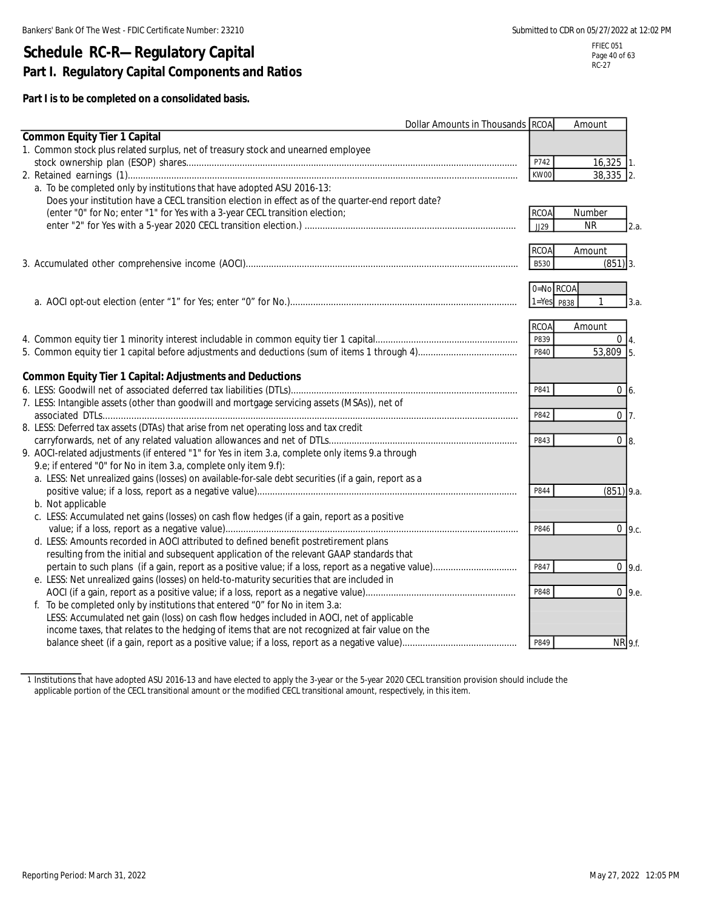# **Schedule RC-R—Regulatory Capital Part I. Regulatory Capital Components and Ratios**

**Part I is to be completed on a consolidated basis.**

| <b>Dollar Amounts in Thousands RCOA</b>                                                              |                | Amount        |      |
|------------------------------------------------------------------------------------------------------|----------------|---------------|------|
| <b>Common Equity Tier 1 Capital</b>                                                                  |                |               |      |
| 1. Common stock plus related surplus, net of treasury stock and unearned employee                    |                |               |      |
|                                                                                                      | P742           | $16,325$ 1.   |      |
|                                                                                                      | KW00           | 38,335 2.     |      |
| a. To be completed only by institutions that have adopted ASU 2016-13:                               |                |               |      |
| Does your institution have a CECL transition election in effect as of the quarter-end report date?   |                |               |      |
| (enter "0" for No; enter "1" for Yes with a 3-year CECL transition election;                         | <b>RCOA</b>    | Number        |      |
|                                                                                                      | JJ29           | <b>NR</b>     | 2.a. |
|                                                                                                      |                |               |      |
|                                                                                                      | <b>RCOA</b>    | Amount        |      |
|                                                                                                      | <b>B530</b>    | $(851)$ 3.    |      |
|                                                                                                      |                |               |      |
|                                                                                                      | 0=No RCOA      |               |      |
|                                                                                                      | $1 = Yes$ P838 |               | 3.a. |
|                                                                                                      |                |               |      |
|                                                                                                      | <b>RCOA</b>    | Amount        |      |
|                                                                                                      | P839           | $0\vert 4.$   |      |
|                                                                                                      | P840           | 53,809 5.     |      |
|                                                                                                      |                |               |      |
| <b>Common Equity Tier 1 Capital: Adjustments and Deductions</b>                                      |                |               |      |
|                                                                                                      | P841           | $0\,6.$       |      |
| 7. LESS: Intangible assets (other than goodwill and mortgage servicing assets (MSAs)), net of        |                |               |      |
|                                                                                                      | P842           | $0\vert 7.$   |      |
| 8. LESS: Deferred tax assets (DTAs) that arise from net operating loss and tax credit                |                |               |      |
|                                                                                                      | P843           | $0 \vert 8$ . |      |
| 9. AOCI-related adjustments (if entered "1" for Yes in item 3.a, complete only items 9.a through     |                |               |      |
| 9.e; if entered "0" for No in item 3.a, complete only item 9.f):                                     |                |               |      |
| a. LESS: Net unrealized gains (losses) on available-for-sale debt securities (if a gain, report as a |                |               |      |
|                                                                                                      | P844           | $(851)$ 9.a.  |      |
| b. Not applicable                                                                                    |                |               |      |
| c. LESS: Accumulated net gains (losses) on cash flow hedges (if a gain, report as a positive         |                |               |      |
|                                                                                                      | P846           | $0\,9.c.$     |      |
| d. LESS: Amounts recorded in AOCI attributed to defined benefit postretirement plans                 |                |               |      |
| resulting from the initial and subsequent application of the relevant GAAP standards that            |                |               |      |
|                                                                                                      | P847           | $0$ 9.d.      |      |
| e. LESS: Net unrealized gains (losses) on held-to-maturity securities that are included in           |                |               |      |
|                                                                                                      | P848           | $0\,9.e.$     |      |
| f. To be completed only by institutions that entered "0" for No in item 3.a:                         |                |               |      |
| LESS: Accumulated net gain (loss) on cash flow hedges included in AOCI, net of applicable            |                |               |      |
| income taxes, that relates to the hedging of items that are not recognized at fair value on the      |                |               |      |
|                                                                                                      | P849           | NR 9.f.       |      |

1 Institutions that have adopted ASU 2016-13 and have elected to apply the 3-year or the 5-year 2020 CECL transition provision should include the applicable portion of the CECL transitional amount or the modified CECL transitional amount, respectively, in this item.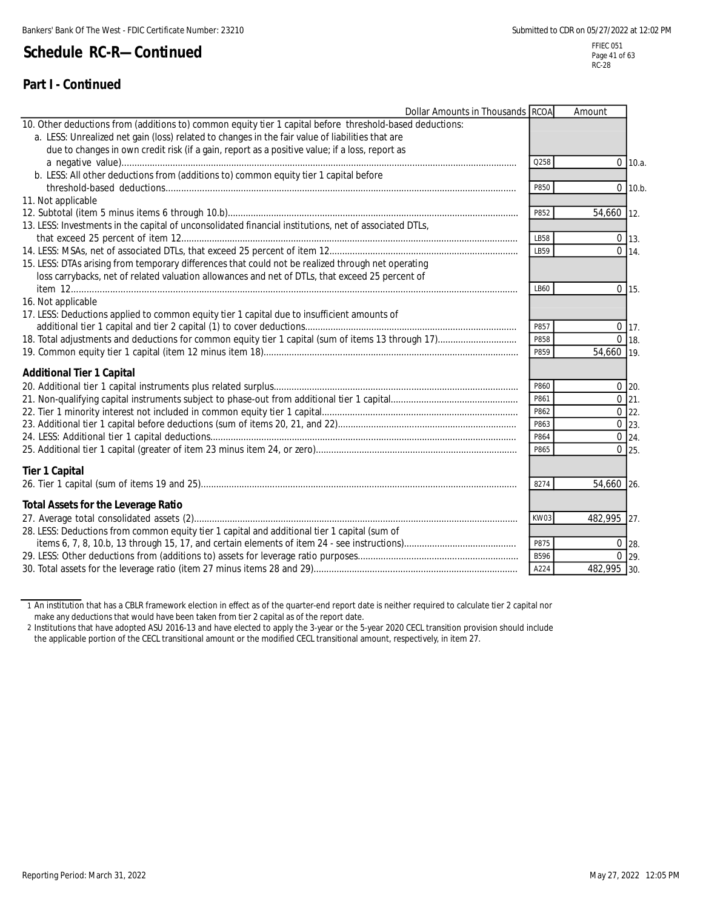Page 41 of 63 RC-28

| Dollar Amounts in Thousands RCOA                                                                         |      | Amount      |               |
|----------------------------------------------------------------------------------------------------------|------|-------------|---------------|
| 10. Other deductions from (additions to) common equity tier 1 capital before threshold-based deductions: |      |             |               |
| a. LESS: Unrealized net gain (loss) related to changes in the fair value of liabilities that are         |      |             |               |
| due to changes in own credit risk (if a gain, report as a positive value; if a loss, report as           |      |             |               |
|                                                                                                          | Q258 |             | $0$ 10.a.     |
| b. LESS: All other deductions from (additions to) common equity tier 1 capital before                    |      |             |               |
|                                                                                                          | P850 |             | $0$ 10.b.     |
| 11. Not applicable                                                                                       |      |             |               |
|                                                                                                          | P852 | 54,660 12.  |               |
| 13. LESS: Investments in the capital of unconsolidated financial institutions, net of associated DTLs,   |      |             |               |
|                                                                                                          | LB58 |             | $0 \vert 13.$ |
|                                                                                                          | LB59 |             | $0 \t14.$     |
| 15. LESS: DTAs arising from temporary differences that could not be realized through net operating       |      |             |               |
| loss carrybacks, net of related valuation allowances and net of DTLs, that exceed 25 percent of          |      |             |               |
|                                                                                                          | LB60 |             | $0$ 15.       |
| 16. Not applicable                                                                                       |      |             |               |
| 17. LESS: Deductions applied to common equity tier 1 capital due to insufficient amounts of              |      |             |               |
|                                                                                                          | P857 |             | $0$ 17.       |
|                                                                                                          | P858 |             | $0 \vert 18$  |
|                                                                                                          | P859 | 54,660 19.  |               |
| <b>Additional Tier 1 Capital</b>                                                                         |      |             |               |
|                                                                                                          | P860 |             | $0$ 20.       |
|                                                                                                          | P861 |             | $0 \ 21.$     |
|                                                                                                          | P862 |             | $0$ 22.       |
|                                                                                                          | P863 |             | $0$ 23.       |
|                                                                                                          | P864 |             | $0 \; 24.$    |
|                                                                                                          | P865 |             | $0\,25.$      |
| <b>Tier 1 Capital</b>                                                                                    |      |             |               |
|                                                                                                          | 8274 | 54,660 26.  |               |
| <b>Total Assets for the Leverage Ratio</b>                                                               |      |             |               |
|                                                                                                          | KW03 | 482,995 27. |               |
| 28. LESS: Deductions from common equity tier 1 capital and additional tier 1 capital (sum of             |      |             |               |
|                                                                                                          | P875 |             | $0$ 28.       |
|                                                                                                          | B596 |             | $0$ 29.       |
|                                                                                                          | A224 | 482,995 30. |               |

1 An institution that has a CBLR framework election in effect as of the quarter-end report date is neither required to calculate tier 2 capital nor make any deductions that would have been taken from tier 2 capital as of the report date.

2 Institutions that have adopted ASU 2016-13 and have elected to apply the 3-year or the 5-year 2020 CECL transition provision should include the applicable portion of the CECL transitional amount or the modified CECL transitional amount, respectively, in item 27.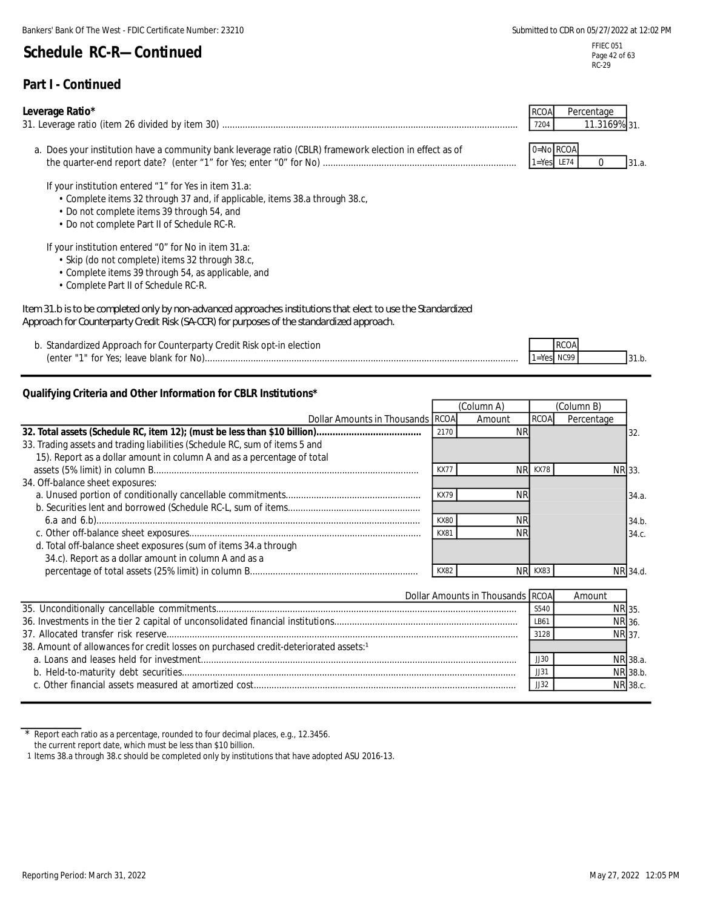### **Part I - Continued**

#### **Leverage Ratio\***

| 31. Leverage ratio (item 26 divided by item 30) | /204 | 1 <sub>4</sub> 00/ |
|-------------------------------------------------|------|--------------------|
|                                                 |      |                    |

a. Does your institution have a community bank leverage ratio (CBLR) framework election in effect as of **channel** 0=No RCOA the quarter-end report date? (enter "1" for Yes; enter "0" for No) ............................................................................ 1=Yes LE74 0

If your institution entered "1" for Yes in item 31.a:

- Complete items 32 through 37 and, if applicable, items 38.a through 38.c,
- Do not complete items 39 through 54, and
- Do not complete Part II of Schedule RC-R.

If your institution entered "0" for No in item 31.a:

- Skip (do not complete) items 32 through 38.c,
- Complete items 39 through 54, as applicable, and
- Complete Part II of Schedule RC-R.

#### *Item 31.b is to be completed only by non-advanced approaches institutions that elect to use the Standardized Approach for Counterparty Credit Risk (SA-CCR) for purposes of the standardized approach.*

b. Standardized Approach for Counterparty Credit Risk opt-in election (enter "1" for Yes; leave blank for No)........................................................................................................................... 1=Yes NC99

### **Qualifying Criteria and Other Information for CBLR Institutions\***

|                                                                             | (Column A)       |                |             | (Column B) |          |
|-----------------------------------------------------------------------------|------------------|----------------|-------------|------------|----------|
| Dollar Amounts in Thousands RCOA                                            |                  | Amount         | <b>RCOA</b> | Percentage |          |
|                                                                             | 2170             | ΝR             |             |            | 32       |
| 33. Trading assets and trading liabilities (Schedule RC, sum of items 5 and |                  |                |             |            |          |
| 15). Report as a dollar amount in column A and as a percentage of total     |                  |                |             |            |          |
|                                                                             | KX7              | NR.            | <b>KX78</b> |            | NR 33    |
| 34. Off-balance sheet exposures:                                            |                  |                |             |            |          |
|                                                                             | <b>KX79</b>      |                |             |            | 34.a.    |
|                                                                             |                  |                |             |            |          |
|                                                                             | KX80             | ΝR             |             |            | 34.b.    |
|                                                                             | KX8 <sup>-</sup> | <b>NR</b>      |             |            | 34.c.    |
| d. Total off-balance sheet exposures (sum of items 34.a through             |                  |                |             |            |          |
| 34.c). Report as a dollar amount in column A and as a                       |                  |                |             |            |          |
|                                                                             | KX82             | N <sub>R</sub> | KX83        |            | NR 34.d. |

| Dollar Amounts in Thousands RCOA                                                                 |      | Amount       |          |
|--------------------------------------------------------------------------------------------------|------|--------------|----------|
|                                                                                                  | S540 | NR 35.       |          |
|                                                                                                  | LB61 | NR 36.       |          |
|                                                                                                  | 3128 | <b>NR</b> 37 |          |
| 38. Amount of allowances for credit losses on purchased credit-deteriorated assets: <sup>1</sup> |      |              |          |
|                                                                                                  | II30 |              | NR 38.a. |
|                                                                                                  | JJ31 |              | NR 38.b. |
|                                                                                                  | JJ32 |              | NR 38.c. |

Report each ratio as a percentage, rounded to four decimal places, e.g., 12.3456. the current report date, which must be less than \$10 billion.

RCOA Percentage

RCO/

FFIEC 051 Page 42 of 63

31.

31.a.

31.b.

<sup>1</sup> Items 38.a through 38.c should be completed only by institutions that have adopted ASU 2016-13.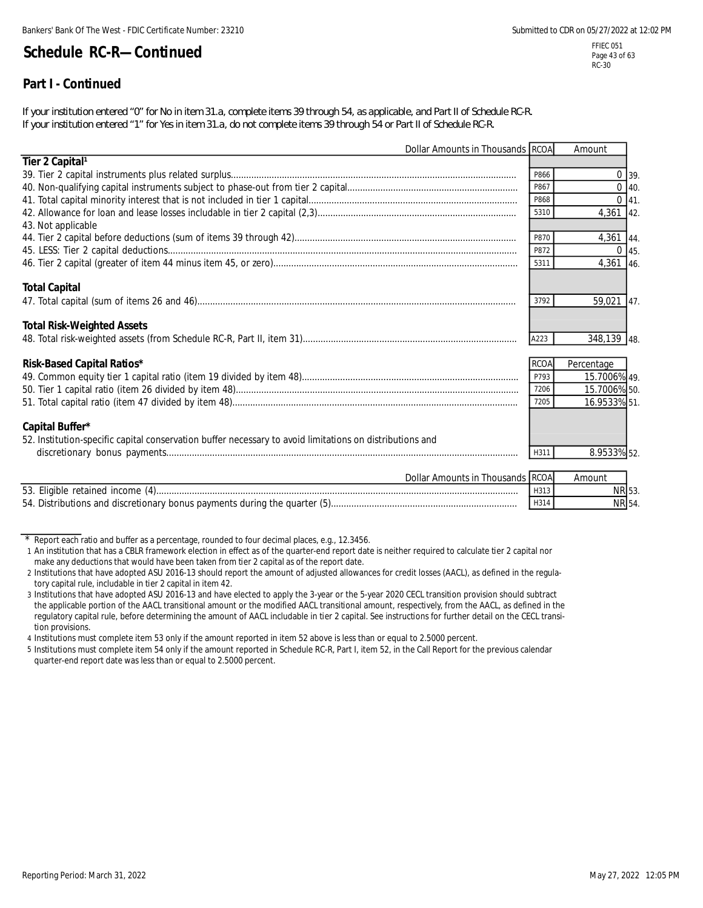### **Part I - Continued**

*If your institution entered "0" for No in item 31.a, complete items 39 through 54, as applicable, and Part II of Schedule RC-R. If your institution entered "1" for Yes in item 31.a, do not complete items 39 through 54 or Part II of Schedule RC-R.*

| Dollar Amounts in Thousands RCOA                                                                         |               | Amount       |  |
|----------------------------------------------------------------------------------------------------------|---------------|--------------|--|
| Tier 2 Capital <sup>1</sup>                                                                              |               |              |  |
|                                                                                                          | P866          | $0$ 39.      |  |
|                                                                                                          | P867          | $0$ 40.      |  |
|                                                                                                          | P868          | $0$ 41.      |  |
| 43. Not applicable                                                                                       | 5310          | 4,361 42.    |  |
|                                                                                                          | P870          | 4,361 44.    |  |
|                                                                                                          | P872          | $0$ 45.      |  |
|                                                                                                          | 5311          | 4,361 46.    |  |
| <b>Total Capital</b>                                                                                     |               |              |  |
|                                                                                                          | 3792          | 59,021 47.   |  |
| <b>Total Risk-Weighted Assets</b>                                                                        |               |              |  |
|                                                                                                          | A223          | 348,139 48.  |  |
| <b>Risk-Based Capital Ratios*</b>                                                                        | <b>RCOA</b>   | Percentage   |  |
|                                                                                                          | P793          | 15.7006% 49. |  |
|                                                                                                          | 7206          | 15.7006% 50. |  |
|                                                                                                          | 7205          | 16.9533% 51. |  |
| Capital Buffer*                                                                                          |               |              |  |
| 52. Institution-specific capital conservation buffer necessary to avoid limitations on distributions and |               |              |  |
|                                                                                                          | H311          | 8.9533% 52.  |  |
|                                                                                                          | <b>Lassel</b> |              |  |

| r Amounts in Thousands IRCOAL<br>Dollar i                                  |   | Amouni |  |
|----------------------------------------------------------------------------|---|--------|--|
| 53. Eligible retained income (4)                                           | . | NRI5J  |  |
| 54. Distributions and discretionary bonus payments during the quarter (5). |   | NRI    |  |

Report each ratio and buffer as a percentage, rounded to four decimal places, e.g., 12.3456.

4 Institutions must complete item 53 only if the amount reported in item 52 above is less than or equal to 2.5000 percent.

5 Institutions must complete item 54 only if the amount reported in Schedule RC-R, Part I, item 52, in the Call Report for the previous calendar quarter-end report date was less than or equal to 2.5000 percent.

<sup>1</sup> An institution that has a CBLR framework election in effect as of the quarter-end report date is neither required to calculate tier 2 capital nor make any deductions that would have been taken from tier 2 capital as of the report date.

<sup>2</sup> Institutions that have adopted ASU 2016-13 should report the amount of adjusted allowances for credit losses (AACL), as defined in the regulatory capital rule, includable in tier 2 capital in item 42.

<sup>3</sup> Institutions that have adopted ASU 2016-13 and have elected to apply the 3-year or the 5-year 2020 CECL transition provision should subtract the applicable portion of the AACL transitional amount or the modified AACL transitional amount, respectively, from the AACL, as defined in the regulatory capital rule, before determining the amount of AACL includable in tier 2 capital. See instructions for further detail on the CECL transition provisions.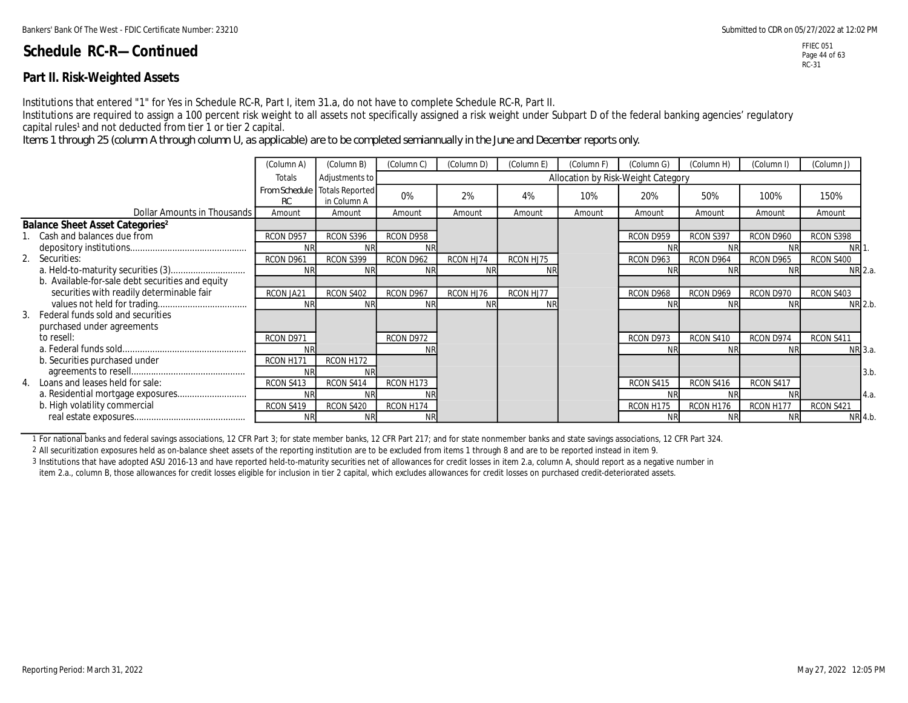### **Part II. Risk-Weighted Assets**

Institutions that entered "1" for Yes in Schedule RC-R, Part I, item 31.a, do not have to complete Schedule RC-R, Part II.

Institutions are required to assign a 100 percent risk weight to all assets not specifically assigned a risk weight under Subpart D of the federal banking agencies' regulatory capital rules<sup>1</sup> and not deducted from tier 1 or tier 2 capital.

*Items 1 through 25 (column A through column U, as applicable) are to be completed semiannually in the June and December reports only.*

|                                                   | (Column A) | (Column B)                                   | (Column C) | (Column D) | (Column E) | (Column F) | (Column G)                         | (Column H) | (Column I) | (Column J) |
|---------------------------------------------------|------------|----------------------------------------------|------------|------------|------------|------------|------------------------------------|------------|------------|------------|
|                                                   | Totals     | Adjustments to                               |            |            |            |            | Allocation by Risk-Weight Category |            |            |            |
|                                                   | RC         | From Schedule Totals Reported<br>in Column A | 0%         | 2%         | 4%         | 10%        | 20%                                | 50%        | 100%       | 150%       |
| Dollar Amounts in Thousands                       | Amount     | Amount                                       | Amount     | Amount     | Amount     | Amount     | Amount                             | Amount     | Amount     | Amount     |
| <b>Balance Sheet Asset Categories<sup>2</sup></b> |            |                                              |            |            |            |            |                                    |            |            |            |
| 1. Cash and balances due from                     | RCON D957  | RCON S396                                    | RCON D958  |            |            |            | RCON D959                          | RCON S397  | RCON D960  | RCON S398  |
|                                                   |            | <b>NF</b>                                    |            |            |            |            | ΝF                                 |            | <b>NF</b>  | <b>NR</b>  |
| 2. Securities:                                    | RCON D961  | RCON S399                                    | RCON D962  | RCON HJ74  | RCON HJ75  |            | RCON D963                          | RCON D964  | RCON D965  | RCON S400  |
|                                                   |            | <b>NR</b>                                    | <b>NR</b>  |            |            |            | <b>NR</b>                          | <b>NR</b>  | <b>NR</b>  | NR 2.a.    |
| b. Available-for-sale debt securities and equity  |            |                                              |            |            |            |            |                                    |            |            |            |
| securities with readily determinable fair         | RCON JA21  | RCON S402                                    | RCON D967  | RCON HJ76  | RCON HJ77  |            | RCON D968                          | RCON D969  | RCON D970  | RCON S403  |
|                                                   | <b>NR</b>  | <b>NR</b>                                    | <b>NR</b>  | <b>NR</b>  | <b>NR</b>  |            | <b>NR</b>                          | <b>NR</b>  | <b>NR</b>  | NR 2.b.    |
| 3. Federal funds sold and securities              |            |                                              |            |            |            |            |                                    |            |            |            |
| purchased under agreements                        |            |                                              |            |            |            |            |                                    |            |            |            |
| to resell:                                        | RCON D971  |                                              | RCON D972  |            |            |            | RCON D973                          | RCON S410  | RCON D974  | RCON S411  |
|                                                   |            |                                              |            |            |            |            | <b>NF</b>                          | <b>NR</b>  | <b>NR</b>  | NR 3.a.    |
| b. Securities purchased under                     | RCON H171  | RCON H172                                    |            |            |            |            |                                    |            |            |            |
|                                                   |            | ΝR                                           |            |            |            |            |                                    |            |            | 3.b        |
| 4. Loans and leases held for sale:                | RCON S413  | RCON S414                                    | RCON H173  |            |            |            | RCON S415                          | RCON S416  | RCON S417  |            |
|                                                   | <b>NR</b>  | <b>NR</b>                                    |            |            |            |            | ΝR                                 | ΝR         | <b>NF</b>  | 4.a.       |
| b. High volatility commercial                     | RCON S419  | RCON S420                                    | RCON H174  |            |            |            | RCON H175                          | RCON H176  | RCON H177  | RCON S421  |
|                                                   | <b>NR</b>  | <b>NR</b>                                    | <b>NR</b>  |            |            |            |                                    | <b>NR</b>  | <b>NR</b>  | NR 4.b.    |

1 For national banks and federal savings associations, 12 CFR Part 3; for state member banks, 12 CFR Part 217; and for state nonmember banks and state savings associations, 12 CFR Part 324.

2 All securitization exposures held as on-balance sheet assets of the reporting institution are to be excluded from items 1 through 8 and are to be reported instead in item 9.

3 Institutions that have adopted ASU 2016-13 and have reported held-to-maturity securities net of allowances for credit losses in item 2.a, column A, should report as a negative number in

item 2.a., column B, those allowances for credit losses eligible for inclusion in tier 2 capital, which excludes allowances for credit losses on purchased credit-deteriorated assets.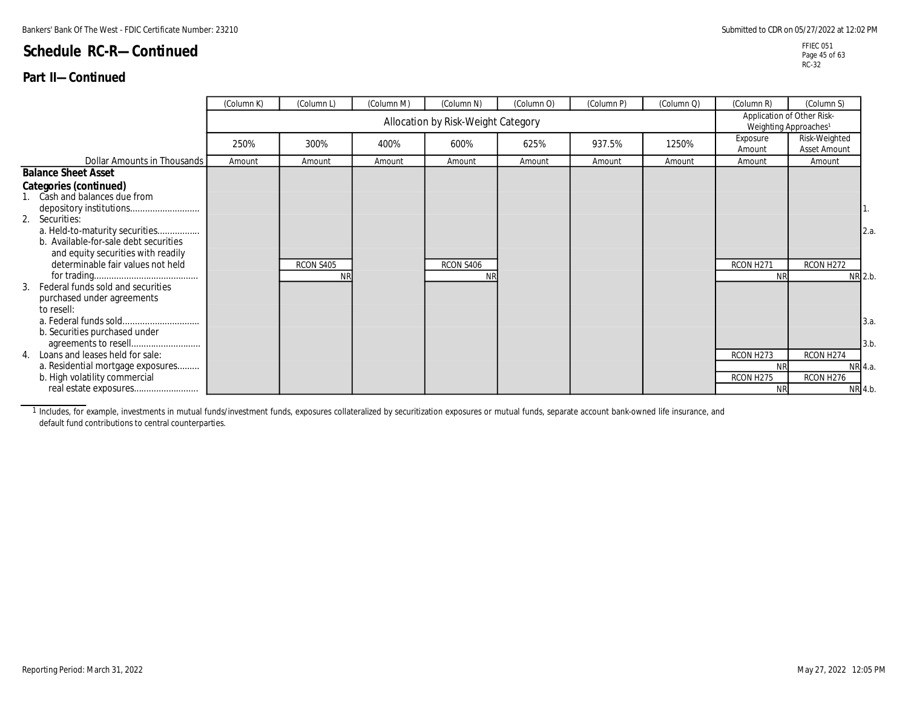### **Part II—Continued**

|                                                                              | (Column K) | (Column L)             | (Column M) | (Column N)                         | (Column O) | (Column P) | (Column Q) | (Column R)                                                      | (Column S)                    |      |
|------------------------------------------------------------------------------|------------|------------------------|------------|------------------------------------|------------|------------|------------|-----------------------------------------------------------------|-------------------------------|------|
|                                                                              |            |                        |            | Allocation by Risk-Weight Category |            |            |            | Application of Other Risk-<br>Weighting Approaches <sup>1</sup> |                               |      |
|                                                                              | 250%       | 300%                   | 400%       | 600%                               | 625%       | 937.5%     | 1250%      | Exposure<br>Amount                                              | Risk-Weighted<br>Asset Amount |      |
| Dollar Amounts in Thousands                                                  | Amount     | Amount                 | Amount     | Amount                             | Amount     | Amount     | Amount     | Amount                                                          | Amount                        |      |
| <b>Balance Sheet Asset</b>                                                   |            |                        |            |                                    |            |            |            |                                                                 |                               |      |
| Categories (continued)<br>1. Cash and balances due from                      |            |                        |            |                                    |            |            |            |                                                                 |                               | Ι.   |
| 2. Securities:<br>a. Held-to-maturity securities                             |            |                        |            |                                    |            |            |            |                                                                 |                               | 2.a. |
| b. Available-for-sale debt securities<br>and equity securities with readily  |            |                        |            |                                    |            |            |            |                                                                 |                               |      |
| determinable fair values not held<br>Federal funds sold and securities<br>3. |            | RCON S405<br><b>NR</b> |            | RCON S406                          |            |            |            | RCON H271<br><b>NF</b>                                          | RCON H272<br>NR 2.b.          |      |
| purchased under agreements<br>to resell:                                     |            |                        |            |                                    |            |            |            |                                                                 |                               |      |
| b. Securities purchased under                                                |            |                        |            |                                    |            |            |            |                                                                 |                               | 3.a. |
| 4. Loans and leases held for sale:                                           |            |                        |            |                                    |            |            |            | RCON H273                                                       | RCON H274                     | 3.b  |
| a. Residential mortgage exposures                                            |            |                        |            |                                    |            |            |            | <b>NR</b>                                                       | NR 4.a.                       |      |
| b. High volatility commercial                                                |            |                        |            |                                    |            |            |            | RCON H275                                                       | RCON H276                     |      |
|                                                                              |            |                        |            |                                    |            |            |            | <b>NR</b>                                                       | NR 4.b.                       |      |

1 Includes, for example, investments in mutual funds/investment funds, exposures collateralized by securitization exposures or mutual funds, separate account bank-owned life insurance, and default fund contributions to central counterparties.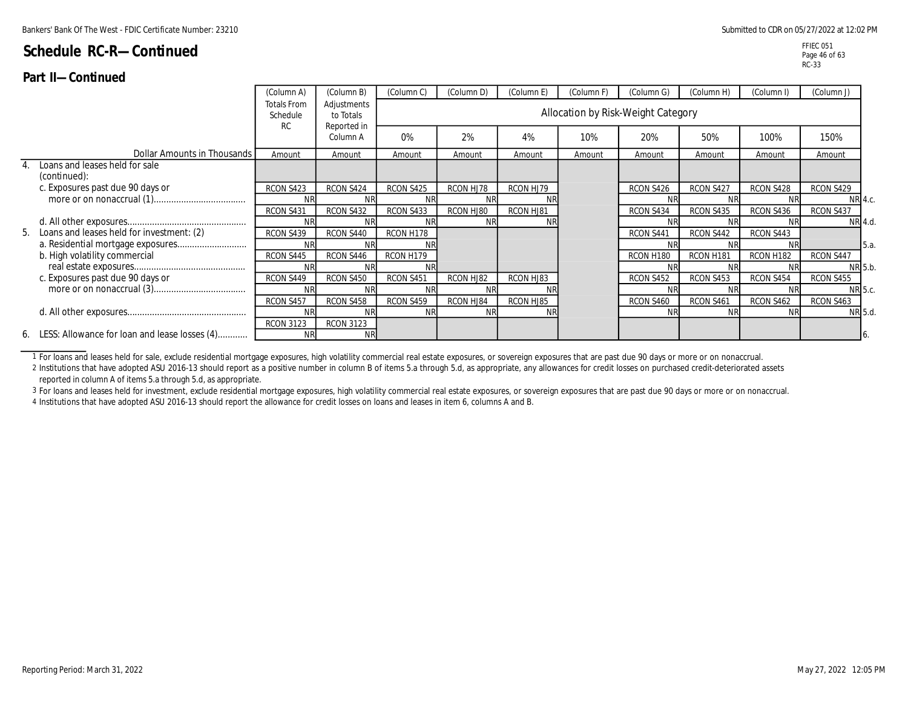### **Part II—Continued**

|     |                                                  | (Column A)                                  | (Column B)               | (Column C) | (Column D) | (Column E) | (Column F) | (Column G)                         | (Column H) | (Column I) | (Column J) |
|-----|--------------------------------------------------|---------------------------------------------|--------------------------|------------|------------|------------|------------|------------------------------------|------------|------------|------------|
|     |                                                  | <b>Totals From</b><br>Schedule<br><b>RC</b> | Adjustments<br>to Totals |            |            |            |            | Allocation by Risk-Weight Category |            |            |            |
|     |                                                  |                                             | Reported in<br>Column A  | 0%         | 2%         | 4%         | 10%        | 20%                                | 50%        | 100%       | 150%       |
|     | Dollar Amounts in Thousands                      | Amount                                      | Amount                   | Amount     | Amount     | Amount     | Amount     | Amount                             | Amount     | Amount     | Amount     |
|     | Loans and leases held for sale<br>(continued):   |                                             |                          |            |            |            |            |                                    |            |            |            |
|     | c. Exposures past due 90 days or                 | RCON S423                                   | RCON S424                | RCON S425  | RCON HJ78  | RCON HJ79  |            | RCON S426                          | RCON S427  | RCON S428  | RCON S429  |
|     |                                                  | <b>NR</b>                                   |                          |            |            |            |            | NR                                 | ΝR         |            | NR 4.c.    |
|     |                                                  | RCON S431                                   | RCON S432                | RCON S433  | RCON HJ80  | RCON HJ81  |            | RCON S434                          | RCON S435  | RCON S436  | RCON S437  |
|     |                                                  | <b>NR</b>                                   | <b>NF</b>                |            |            | <b>NR</b>  |            | NR                                 | <b>NR</b>  |            | NR 4.d.    |
| -5. | Loans and leases held for investment: (2)        | RCON S439                                   | RCON S440                | RCON H178  |            |            |            | RCON S441                          | RCON S442  | RCON S443  |            |
|     |                                                  | <b>NR</b>                                   |                          |            |            |            |            |                                    |            |            | 5.a.       |
|     | b. High volatility commercial                    | RCON S445                                   | RCON S446                | RCON H179  |            |            |            | RCON H180                          | RCON H181  | RCON H182  | RCON S447  |
|     |                                                  | <b>NR</b>                                   |                          |            |            |            |            | ΝR                                 | ΝR         |            | NR 5.b.    |
|     | c. Exposures past due 90 days or                 | RCON S449                                   | RCON S450                | RCON S451  | RCON HJ82  | RCON HJ83  |            | RCON S452                          | RCON S453  | RCON S454  | RCON S455  |
|     |                                                  | <b>NR</b>                                   |                          |            |            |            |            | NR                                 | <b>NR</b>  |            | NR 5.c.    |
|     |                                                  | RCON S457                                   | RCON S458                | RCON S459  | RCON HJ84  | RCON HJ85  |            | RCON S460                          | RCON S461  | RCON S462  | RCON S463  |
|     |                                                  | <b>NR</b>                                   | <b>NF</b>                | <b>NR</b>  |            | <b>NR</b>  |            | <b>NR</b>                          | <b>NR</b>  | <b>NR</b>  | NR 5.d.    |
|     |                                                  | <b>RCON 3123</b>                            | <b>RCON 3123</b>         |            |            |            |            |                                    |            |            |            |
|     | 6. LESS: Allowance for loan and lease losses (4) | <b>NR</b>                                   | <b>NR</b>                |            |            |            |            |                                    |            |            |            |

1 For loans and leases held for sale, exclude residential mortgage exposures, high volatility commercial real estate exposures, or sovereign exposures that are past due 90 days or more or on nonaccrual.

2 Institutions that have adopted ASU 2016-13 should report as a positive number in column B of items 5.a through 5.d, as appropriate, any allowances for credit losses on purchased credit-deteriorated assets reported in column A of items 5.a through 5.d, as appropriate.

3 For loans and leases held for investment, exclude residential mortgage exposures, high volatility commercial real estate exposures, or sovereign exposures that are past due 90 days or more or on nonaccrual.

4 Institutions that have adopted ASU 2016-13 should report the allowance for credit losses on loans and leases in item 6, columns A and B.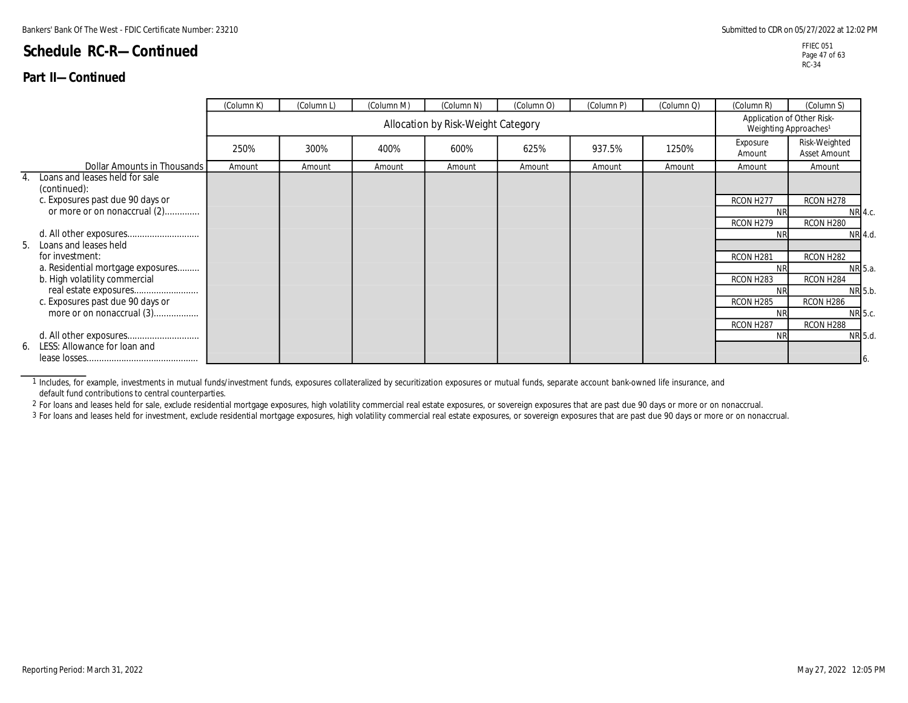### **Part II—Continued**

|    |                                                | (Column K) | (Column L) | (Column M) | (Column N)                         | (Column O) | (Column P) | (Column Q) | (Column R)                                                      | (Column S)                    |                   |
|----|------------------------------------------------|------------|------------|------------|------------------------------------|------------|------------|------------|-----------------------------------------------------------------|-------------------------------|-------------------|
|    |                                                |            |            |            | Allocation by Risk-Weight Category |            |            |            | Application of Other Risk-<br>Weighting Approaches <sup>1</sup> |                               |                   |
|    |                                                | 250%       | 300%       | 400%       | 600%                               | 625%       | 937.5%     | 1250%      | Exposure<br>Amount                                              | Risk-Weighted<br>Asset Amount |                   |
|    | Dollar Amounts in Thousands                    | Amount     | Amount     | Amount     | Amount                             | Amount     | Amount     | Amount     | Amount                                                          | Amount                        |                   |
|    | Loans and leases held for sale<br>(continued): |            |            |            |                                    |            |            |            |                                                                 |                               |                   |
|    | c. Exposures past due 90 days or               |            |            |            |                                    |            |            |            | RCON H277                                                       | RCON H278                     |                   |
|    | or more or on nonaccrual (2)                   |            |            |            |                                    |            |            |            | <b>NR</b>                                                       | NR 4.c.                       |                   |
|    |                                                |            |            |            |                                    |            |            |            | RCON H279                                                       | RCON H280                     |                   |
| 5. | Loans and leases held                          |            |            |            |                                    |            |            |            | <b>NR</b>                                                       | NR 4.d.                       |                   |
|    | for investment:                                |            |            |            |                                    |            |            |            | RCON H281                                                       | RCON H282                     |                   |
|    | a. Residential mortgage exposures              |            |            |            |                                    |            |            |            | <b>NR</b>                                                       | NR 5.a.                       |                   |
|    | b. High volatility commercial                  |            |            |            |                                    |            |            |            | RCON H283                                                       | RCON H284                     |                   |
|    | real estate exposures                          |            |            |            |                                    |            |            |            | <b>NR</b>                                                       | NR 5.b.                       |                   |
|    | c. Exposures past due 90 days or               |            |            |            |                                    |            |            |            | RCON H285                                                       | RCON H286                     |                   |
|    | more or on nonaccrual (3)                      |            |            |            |                                    |            |            |            | <b>NR</b>                                                       | NR 5.c.                       |                   |
|    |                                                |            |            |            |                                    |            |            |            | RCON H287<br><b>NR</b>                                          | RCON H288<br>NR 5.d.          |                   |
| 6. | LESS: Allowance for loan and                   |            |            |            |                                    |            |            |            |                                                                 |                               |                   |
|    |                                                |            |            |            |                                    |            |            |            |                                                                 |                               | $\blacksquare$ 6. |

1 Includes, for example, investments in mutual funds/investment funds, exposures collateralized by securitization exposures or mutual funds, separate account bank-owned life insurance, and default fund contributions to central counterparties.

2 For loans and leases held for sale, exclude residential mortgage exposures, high volatility commercial real estate exposures, or sovereign exposures that are past due 90 days or more or on nonaccrual.

3 For loans and leases held for investment, exclude residential mortgage exposures, high volatility commercial real estate exposures, or sovereign exposures that are past due 90 days or more or on nonaccrual.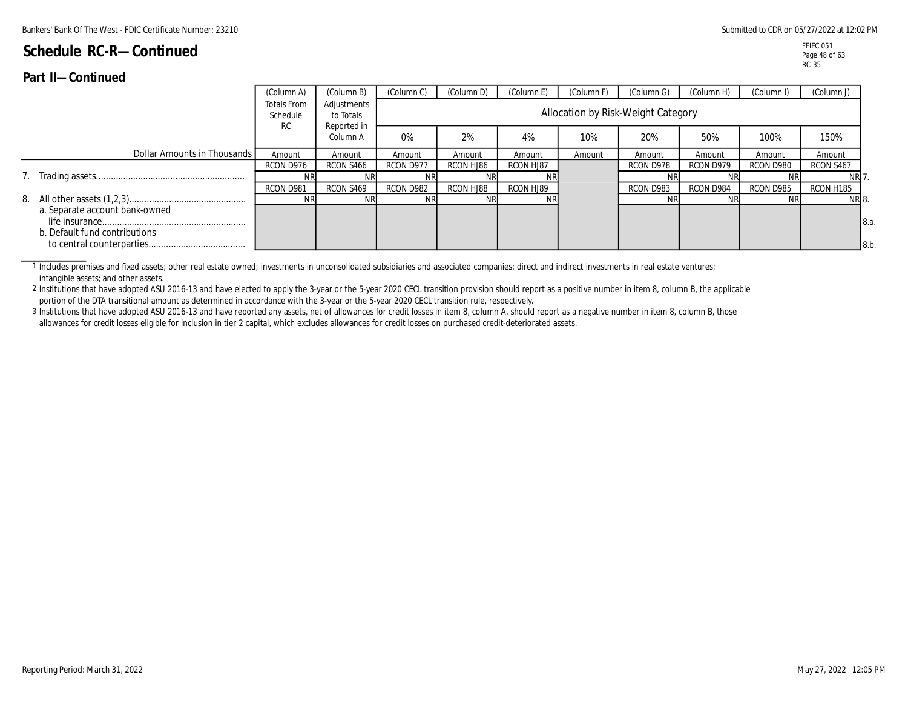| .<br><b>VVIINIIWV</b>                                           |                                             |                                         |            |            |            |            |                                    |            |            |             |
|-----------------------------------------------------------------|---------------------------------------------|-----------------------------------------|------------|------------|------------|------------|------------------------------------|------------|------------|-------------|
|                                                                 | (Column A)                                  | (Column B)                              | (Column C) | (Column D) | (Column E) | (Column F) | (Column G)                         | (Column H) | (Column I) | (Column J)  |
|                                                                 | <b>Totals From</b><br>Schedule<br><b>RC</b> | Adjustments<br>to Totals<br>Reported in |            |            |            |            | Allocation by Risk-Weight Category |            |            |             |
|                                                                 |                                             | Column A                                | 0%         | 2%         | 4%         | 10%        | 20%                                | 50%        | 100%       | 150%        |
| Dollar Amounts in Thousands I                                   | Amount                                      | Amount                                  | Amount     | Amount     | Amount     | Amount     | Amount                             | Amount     | Amount     | Amount      |
|                                                                 | RCON D976                                   | RCON S466                               | RCON D977  | RCON HJ86  | RCON HJ87  |            | RCON D978                          | RCON D979  | RCON D980  | RCON S467   |
|                                                                 | ΝR                                          |                                         |            |            | <b>NR</b>  |            |                                    |            |            | NR 7.       |
|                                                                 | RCON D981                                   | RCON S469                               | RCON D982  | RCON HJ88  | RCON HJ89  |            | RCON D983                          | RCON D984  | RCON D985  | RCON H185   |
|                                                                 | ΝR                                          | ΝR                                      | NR'        |            | <b>NR</b>  |            |                                    | ΝR         |            | NR 8.       |
| a. Separate account bank-owned<br>b. Default fund contributions |                                             |                                         |            |            |            |            |                                    |            |            | 8.a.<br>8.b |

1 Includes premises and fixed assets; other real estate owned; investments in unconsolidated subsidiaries and associated companies; direct and indirect investments in real estate ventures; intangible assets; and other assets.

2 Institutions that have adopted ASU 2016-13 and have elected to apply the 3-year or the 5-year 2020 CECL transition provision should report as a positive number in item 8, column B, the applicable portion of the DTA transitional amount as determined in accordance with the 3-year or the 5-year 2020 CECL transition rule, respectively.

3 Institutions that have adopted ASU 2016-13 and have reported any assets, net of allowances for credit losses in item 8, column A, should report as a negative number in item 8, column B, those allowances for credit losses eligible for inclusion in tier 2 capital, which excludes allowances for credit losses on purchased credit-deteriorated assets.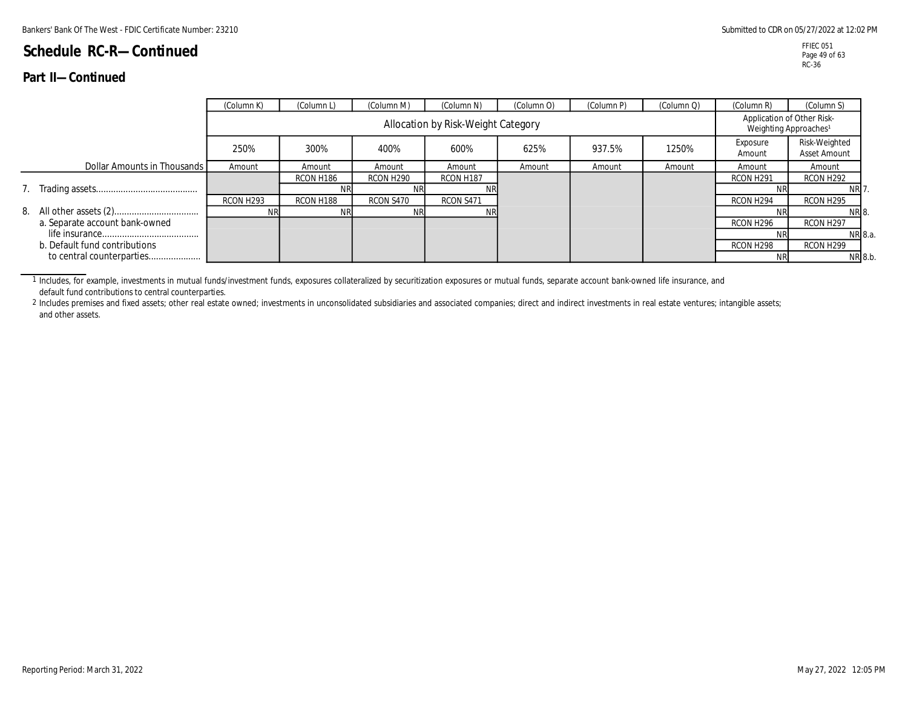### **Part II—Continued**

|                                | (Column K) | (Column L) | (Column M)            | (Column N)                         | (Column O) | (Column P) | (Column Q) | (Column R)                                                      | (Column S)                    |
|--------------------------------|------------|------------|-----------------------|------------------------------------|------------|------------|------------|-----------------------------------------------------------------|-------------------------------|
|                                |            |            |                       | Allocation by Risk-Weight Category |            |            |            | Application of Other Risk-<br>Weighting Approaches <sup>1</sup> |                               |
|                                | 250%       | 300%       | 400%                  | 600%                               | 625%       | 937.5%     | 1250%      | Exposure<br>Amount                                              | Risk-Weighted<br>Asset Amount |
| Dollar Amounts in Thousands    | Amount     | Amount     | Amount                | Amount                             | Amount     | Amount     | Amount     | Amount                                                          | Amount                        |
|                                |            | RCON H186  | RCON H <sub>290</sub> | RCON H187                          |            |            |            | RCON H <sub>291</sub>                                           | RCON H292                     |
|                                |            | NR.        |                       |                                    |            |            |            | ΝR                                                              | NRI <sup>.</sup>              |
|                                | RCON H293  | RCON H188  | RCON S470             | RCON S471                          |            |            |            | RCON H294                                                       | RCON H295                     |
|                                | <b>NRI</b> | NR.        | ΝR                    | NR                                 |            |            |            | ΝR                                                              | NR 8.                         |
| a. Separate account bank-owned |            |            |                       |                                    |            |            |            | RCON H <sub>296</sub>                                           | RCON H <sub>297</sub>         |
|                                |            |            |                       |                                    |            |            |            |                                                                 | NR 8.a.                       |
| b. Default fund contributions  |            |            |                       |                                    |            |            |            | RCON H298                                                       | RCON H <sub>299</sub>         |
| to central counterparties      |            |            |                       |                                    |            |            |            | <b>NR</b>                                                       | NR 8.b.                       |

1 Includes, for example, investments in mutual funds/investment funds, exposures collateralized by securitization exposures or mutual funds, separate account bank-owned life insurance, and default fund contributions to central counterparties.

<sup>2</sup> Includes premises and fixed assets; other real estate owned; investments in unconsolidated subsidiaries and associated companies; direct and indirect investments in real estate ventures; intangible assets; and other assets.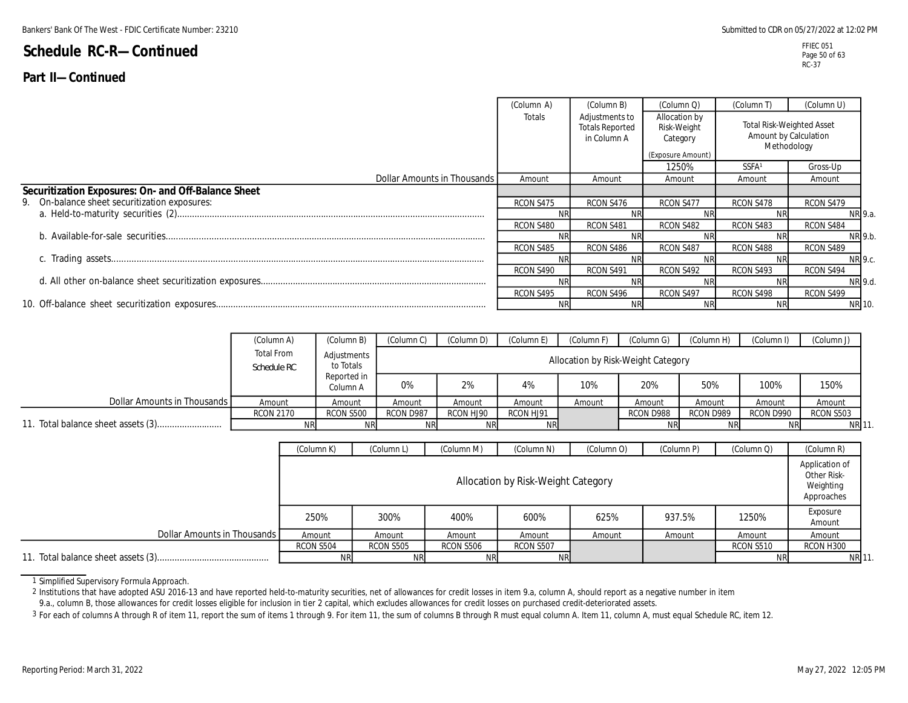### **Part II—Continued**

|                                                     | (Column A) | (Column B)                                              | (Column Q)                                                    | (Column T)                                                               | (Column U) |
|-----------------------------------------------------|------------|---------------------------------------------------------|---------------------------------------------------------------|--------------------------------------------------------------------------|------------|
|                                                     | Totals     | Adjustments to<br><b>Totals Reported</b><br>in Column A | Allocation by<br>Risk-Weight<br>Category<br>(Exposure Amount) | <b>Total Risk-Weighted Asset</b><br>Amount by Calculation<br>Methodology |            |
|                                                     |            |                                                         | 1250%                                                         | <b>SSFA</b>                                                              | Gross-Up   |
| Dollar Amounts in Thousands                         | Amount     | Amount                                                  | Amount                                                        | Amount                                                                   | Amount     |
| Securitization Exposures: On- and Off-Balance Sheet |            |                                                         |                                                               |                                                                          |            |
| 9. On-balance sheet securitization exposures:       | RCON S475  | RCON S476                                               | RCON S477                                                     | RCON S478                                                                | RCON S479  |
|                                                     |            |                                                         |                                                               |                                                                          | NR 9.a.    |
|                                                     | RCON S480  | RCON S481                                               | RCON S482                                                     | RCON S483                                                                | RCON S484  |
|                                                     | ΝR         | ΝR                                                      |                                                               |                                                                          | NR 9.b.    |
|                                                     | RCON S485  | RCON S486                                               | RCON S487                                                     | RCON S488                                                                | RCON S489  |
|                                                     | <b>NR</b>  |                                                         |                                                               |                                                                          | NR 9.c.    |
|                                                     | RCON S490  | RCON S491                                               | RCON S492                                                     | RCON S493                                                                | RCON S494  |
|                                                     |            |                                                         |                                                               |                                                                          | NR 9.d.    |
|                                                     | RCON S495  | RCON S496                                               | RCON S497                                                     | RCON S498                                                                | RCON S499  |
|                                                     | <b>NR</b>  |                                                         |                                                               |                                                                          | NR 10.     |

|                             | (Column A)                | (Column B)               | Column C) | (Column D) | (Column E) | (Column F) | (Column G)                         | (Column H) | (Column I) | (Column J)  |
|-----------------------------|---------------------------|--------------------------|-----------|------------|------------|------------|------------------------------------|------------|------------|-------------|
|                             | Total From<br>Schedule RC | Adjustments<br>to Totals |           |            |            |            | Allocation by Risk-Weight Category |            |            |             |
|                             |                           | Reported in<br>Column A  | 0%        | 2%         | 4%         | 10%        | 20%                                | 50%        | 100%       | 150%        |
| Dollar Amounts in Thousands | Amount                    | Amount                   | Amount    | Amount     | Amount     | Amount     | Amount                             | Amount     | Amount     | Amount      |
|                             | <b>RCON 2170</b>          | RCON S500                | RCON D987 | RCON HJ90  | RCON HJ91  |            | RCON D988                          | RCON D989  | RCON D990  | RCON S503   |
|                             |                           | <b>NR</b>                | <b>NR</b> | <b>NRI</b> | <b>NR</b>  |            |                                    | <b>NR</b>  | <b>NR</b>  | <b>NR11</b> |

|                             | (Column K) | (Column L) | (Column M) | (Column N)                         | (Column O) | (Column P) | (Column Q) | (Column R)                                               |
|-----------------------------|------------|------------|------------|------------------------------------|------------|------------|------------|----------------------------------------------------------|
|                             |            |            |            | Allocation by Risk-Weight Category |            |            |            | Application of<br>Other Risk-<br>Weighting<br>Approaches |
|                             | 250%       | 300%       | 400%       | 600%                               | 625%       | 937.5%     | 1250%      | Exposure<br>Amount                                       |
| Dollar Amounts in Thousands | Amount     | Amount     | Amount     | Amount                             | Amount     | Amount     | Amount     | Amount                                                   |
|                             | RCON S504  | RCON S505  | RCON S506  | RCON S507                          |            |            | RCON S510  | RCON H300                                                |
|                             | <b>NR</b>  |            | <b>NRI</b> | <b>NRI</b>                         |            |            |            | <b>NR 11</b>                                             |

1 Simplified Supervisory Formula Approach.

2 Institutions that have adopted ASU 2016-13 and have reported held-to-maturity securities, net of allowances for credit losses in item 9.a, column A, should report as a negative number in item

9.a., column B, those allowances for credit losses eligible for inclusion in tier 2 capital, which excludes allowances for credit losses on purchased credit-deteriorated assets.

3 For each of columns A through R of item 11, report the sum of items 1 through 9. For item 11, the sum of columns B through R must equal column A. Item 11, column A, must equal Schedule RC, item 12.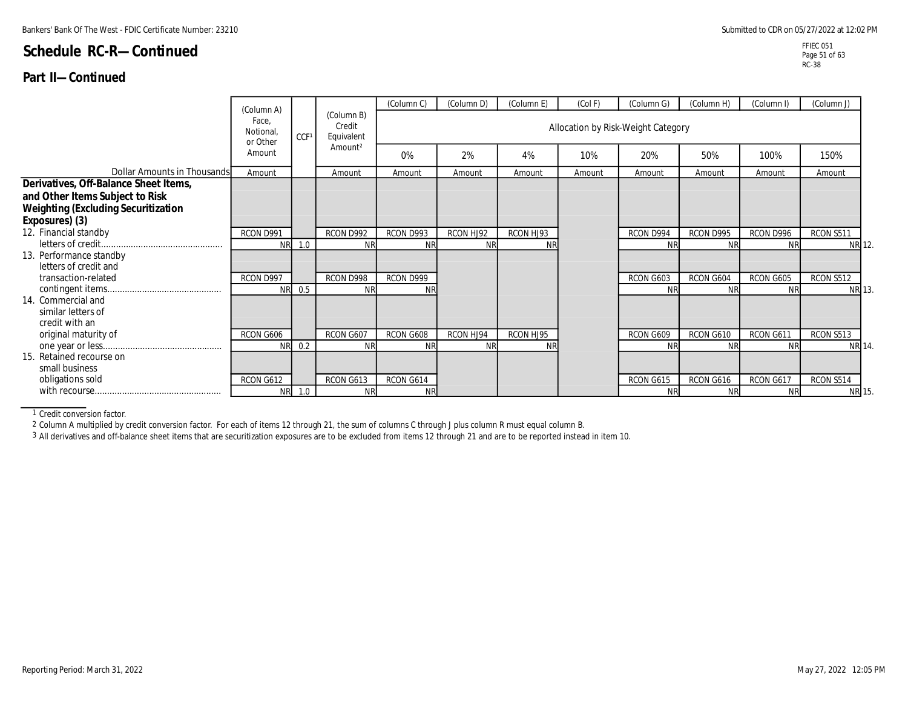### **Part II—Continued**

|                                                                                                                        | (Column A)                    |        |                                    | (Column C)      | (Column D)             | (Column E)             | (Col F) | (Column G)                         | (Column H)             | (Column I)             | (Column J)          |
|------------------------------------------------------------------------------------------------------------------------|-------------------------------|--------|------------------------------------|-----------------|------------------------|------------------------|---------|------------------------------------|------------------------|------------------------|---------------------|
|                                                                                                                        | Face.<br>Notional<br>or Other | CCF1   | (Column B)<br>Credit<br>Equivalent |                 |                        |                        |         | Allocation by Risk-Weight Category |                        |                        |                     |
|                                                                                                                        | Amount                        |        | Amount <sup>2</sup>                | 0%              | 2%                     | 4%                     | 10%     | 20%                                | 50%                    | 100%                   | 150%                |
| Dollar Amounts in Thousands                                                                                            | Amount                        |        | Amount                             | Amount          | Amount                 | Amount                 | Amount  | Amount                             | Amount                 | Amount                 | Amount              |
| Derivatives, Off-Balance Sheet Items,<br>and Other Items Subject to Risk<br><b>Weighting (Excluding Securitization</b> |                               |        |                                    |                 |                        |                        |         |                                    |                        |                        |                     |
| Exposures) (3)<br>12. Financial standby                                                                                |                               |        |                                    |                 |                        |                        |         |                                    |                        |                        |                     |
|                                                                                                                        | RCON D991<br><b>NR</b>        | 1.0    | RCON D992<br><b>NR</b>             | RCON D993<br>NR | RCON HJ92<br><b>NR</b> | RCON HJ93<br><b>NR</b> |         | RCON D994                          | RCON D995<br><b>NR</b> | RCON D996<br><b>NF</b> | RCON S511<br>NR 12. |
| 13. Performance standby<br>letters of credit and                                                                       |                               |        |                                    |                 |                        |                        |         |                                    |                        |                        |                     |
| transaction-related                                                                                                    | RCON D997<br><b>NR</b>        | 0.5    | RCON D998<br><b>NR</b>             | RCON D999       |                        |                        |         | RCON G603<br>NF                    | RCON G604<br><b>NR</b> | RCON G605<br><b>NR</b> | RCON S512<br>NR 13. |
| 14. Commercial and<br>similar letters of<br>credit with an                                                             |                               |        |                                    |                 |                        |                        |         |                                    |                        |                        |                     |
| original maturity of                                                                                                   | RCON G606                     |        | RCON G607                          | RCON G608       | RCON HJ94              | RCON HJ95              |         | RCON G609                          | RCON G610              | RCON G611              | RCON S513           |
| 15. Retained recourse on                                                                                               | <b>NR</b>                     | 0.2    | <b>NR</b>                          | NR              | <b>NR</b>              | <b>NR</b>              |         | ΝF                                 | <b>NR</b>              | <b>NR</b>              | <b>NR 14</b>        |
| small business                                                                                                         |                               |        |                                    |                 |                        |                        |         |                                    |                        |                        |                     |
| obligations sold                                                                                                       | RCON G612                     |        | RCON G613                          | RCON G614       |                        |                        |         | RCON G615                          | RCON G616              | RCON G617              | RCON S514           |
|                                                                                                                        |                               | NR 1.0 | <b>NR</b>                          | <b>NR</b>       |                        |                        |         | ΝR                                 | <b>NR</b>              | <b>NR</b>              | NR 15.              |

1 Credit conversion factor.

2 Column A multiplied by credit conversion factor. For each of items 12 through 21, the sum of columns C through J plus column R must equal column B.

3 All derivatives and off-balance sheet items that are securitization exposures are to be excluded from items 12 through 21 and are to be reported instead in item 10.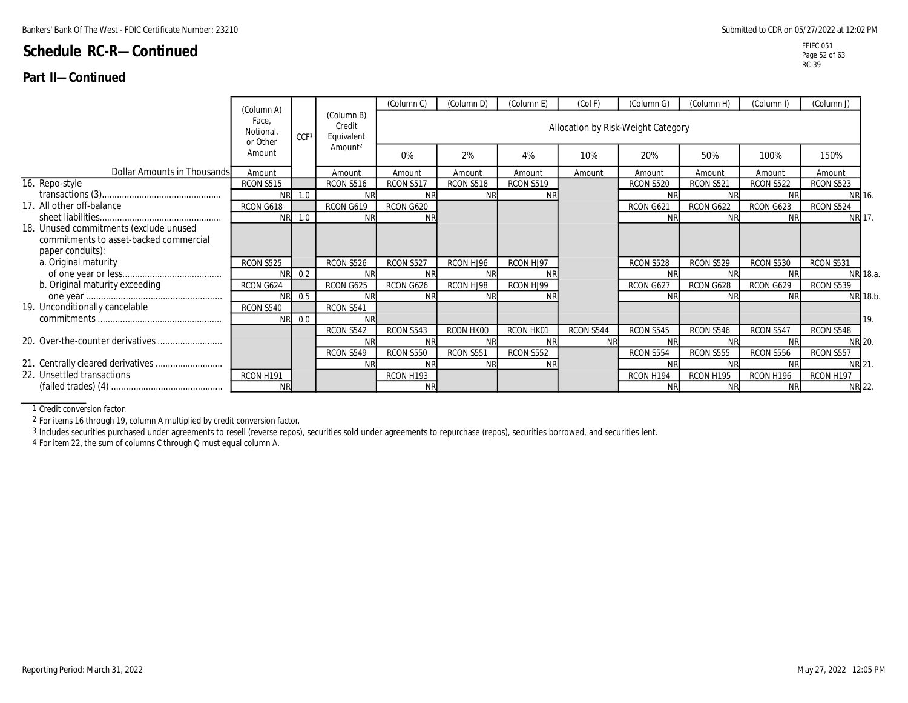### **Part II—Continued**

|                                                                                  |                                             |        |                                    | (Column C)       | (Column D) | (Column E) | (Col F)                            | (Column G)       | (Column H) | (Column I)       | (Column J)       |                 |
|----------------------------------------------------------------------------------|---------------------------------------------|--------|------------------------------------|------------------|------------|------------|------------------------------------|------------------|------------|------------------|------------------|-----------------|
|                                                                                  | (Column A)<br>Face.<br>Notional<br>or Other | CCF1   | (Column B)<br>Credit<br>Equivalent |                  |            |            | Allocation by Risk-Weight Category |                  |            |                  |                  |                 |
|                                                                                  | Amount                                      |        | Amount <sup>2</sup>                | 0%               | 2%         | 4%         | 10%                                | 20%              | 50%        | 100%             | 150%             |                 |
| Dollar Amounts in Thousands                                                      | Amount                                      |        | Amount                             | Amount           | Amount     | Amount     | Amount                             | Amount           | Amount     | Amount           | Amount           |                 |
| 16. Repo-style                                                                   | <b>RCON S515</b>                            |        | RCON S516                          | RCON S517        | RCON S518  | RCON S519  |                                    | <b>RCON S520</b> | RCON S521  | <b>RCON S522</b> | RCON S523        |                 |
|                                                                                  | <b>NR</b>                                   | 1.0    | <b>NR</b>                          | NF               | <b>NR</b>  |            |                                    | Νŀ               | <b>NF</b>  |                  | NR 16.           |                 |
| 17. All other off-balance                                                        | RCON G618                                   |        | RCON G619                          | RCON G620        |            |            |                                    | RCON G621        | RCON G622  | RCON G623        | RCON S524        |                 |
|                                                                                  |                                             | NR 1.0 | <b>NR</b>                          | <b>NF</b>        |            |            |                                    | <b>NR</b>        | <b>NR</b>  | <b>NR</b>        | NR 17.           |                 |
| 18. Unused commitments (exclude unused<br>commitments to asset-backed commercial |                                             |        |                                    |                  |            |            |                                    |                  |            |                  |                  |                 |
| paper conduits):<br>a. Original maturity                                         | RCON S525                                   |        | RCON S526                          | RCON S527        | RCON HJ96  | RCON HJ97  |                                    | RCON S528        | RCON S529  | RCON S530        | RCON S531        |                 |
|                                                                                  |                                             | NR 0.2 | NR                                 | NI               | <b>NR</b>  |            |                                    | Νŀ               |            |                  |                  | NR 18.a.        |
| b. Original maturity exceeding                                                   | RCON G624                                   |        | RCON G625                          | RCON G626        | RCON HJ98  | RCON HJ99  |                                    | RCON G627        | RCON G628  | RCON G629        | <b>RCON S539</b> |                 |
|                                                                                  | <b>NR</b>                                   | 0.5    | <b>NR</b>                          | <b>NF</b>        | <b>NR</b>  |            |                                    | <b>NF</b>        | <b>NR</b>  | ΝR               |                  | NR 18.b.        |
| 19. Unconditionally cancelable                                                   | RCON S540                                   |        | RCON S541                          |                  |            |            |                                    |                  |            |                  |                  |                 |
|                                                                                  |                                             | NR 0.0 | <b>NR</b>                          |                  |            |            |                                    |                  |            |                  |                  | I <sub>19</sub> |
|                                                                                  |                                             |        | RCON S542                          | RCON S543        | RCON HK00  | RCON HK01  | RCON S544                          | RCON S545        | RCON S546  | RCON S547        | RCON S548        |                 |
|                                                                                  |                                             |        | <b>NR</b>                          | NI               |            |            | <b>NR</b>                          | Νŀ               |            |                  | NR 20.           |                 |
|                                                                                  |                                             |        | RCON S549                          | <b>RCON S550</b> | RCON S551  | RCON S552  |                                    | RCON S554        | RCON S555  | RCON S556        | RCON S557        |                 |
|                                                                                  |                                             |        | <b>NR</b>                          | NF               | <b>NR</b>  |            |                                    | NF               | <b>NR</b>  |                  | <b>NR 21</b>     |                 |
| 22. Unsettled transactions                                                       | RCON H191                                   |        |                                    | RCON H193        |            |            |                                    | RCON H194        | RCON H195  | RCON H196        | RCON H197        |                 |
|                                                                                  | <b>NR</b>                                   |        |                                    | <b>NR</b>        |            |            |                                    | N <sub>R</sub>   | <b>NR</b>  | <b>NR</b>        | NR 22.           |                 |

1 Credit conversion factor.

2 For items 16 through 19, column A multiplied by credit conversion factor.

3 Includes securities purchased under agreements to resell (reverse repos), securities sold under agreements to repurchase (repos), securities borrowed, and securities lent.

4 For item 22, the sum of columns C through Q must equal column A.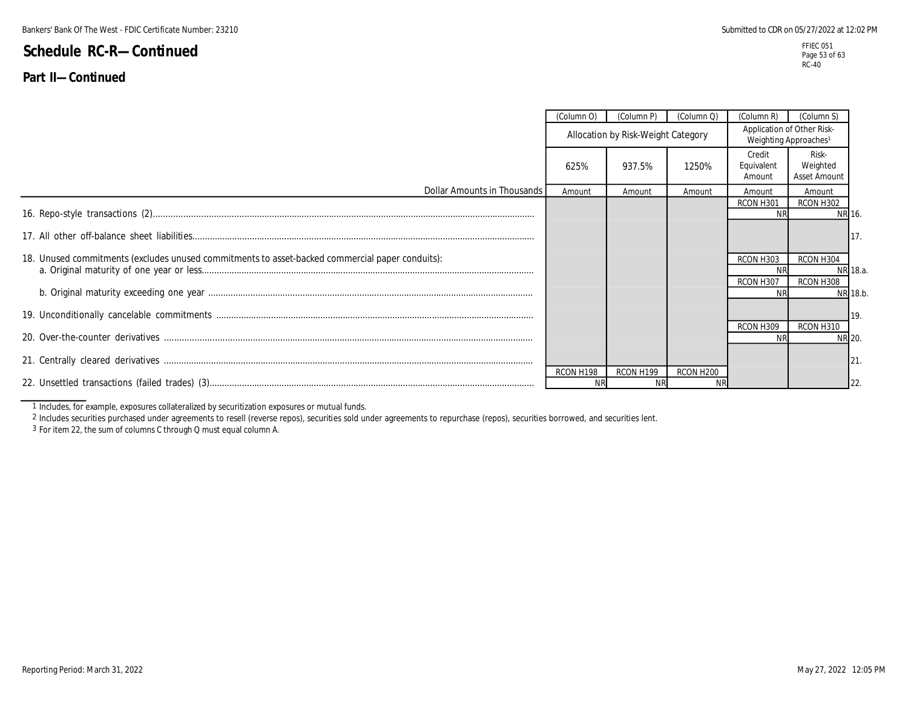### **Part II—Continued**

|                                                                                                 | (Column O)                         | (Column P) | (Column Q)             | (Column R)                     | (Column S)                                                      |          |
|-------------------------------------------------------------------------------------------------|------------------------------------|------------|------------------------|--------------------------------|-----------------------------------------------------------------|----------|
|                                                                                                 | Allocation by Risk-Weight Category |            |                        |                                | Application of Other Risk-<br>Weighting Approaches <sup>1</sup> |          |
|                                                                                                 | 625%                               | 937.5%     | 1250%                  | Credit<br>Equivalent<br>Amount | Risk-<br>Weighted<br>Asset Amount                               |          |
| Dollar Amounts in Thousands                                                                     | Amount                             | Amount     | Amount                 | Amount                         | Amount                                                          |          |
|                                                                                                 |                                    |            |                        | RCON H301<br><b>NR</b>         | RCON H302                                                       | NR 16.   |
|                                                                                                 |                                    |            |                        |                                |                                                                 | 117.     |
| 18. Unused commitments (excludes unused commitments to asset-backed commercial paper conduits): |                                    |            |                        | RCON H303                      | RCON H304                                                       | NR 18.a. |
|                                                                                                 |                                    |            |                        | RCON H307                      | RCON H308                                                       | NR 18.b. |
|                                                                                                 |                                    |            |                        |                                |                                                                 | 119.     |
|                                                                                                 |                                    |            |                        | RCON H309                      | RCON H310                                                       | NR 20.   |
|                                                                                                 |                                    |            |                        |                                |                                                                 | 21       |
|                                                                                                 | RCON H198                          | RCON H199  | RCON H200<br><b>NR</b> |                                |                                                                 | 122      |

1 Includes, for example, exposures collateralized by securitization exposures or mutual funds.

2 Includes securities purchased under agreements to resell (reverse repos), securities sold under agreements to repurchase (repos), securities borrowed, and securities lent.

3 For item 22, the sum of columns C through Q must equal column A.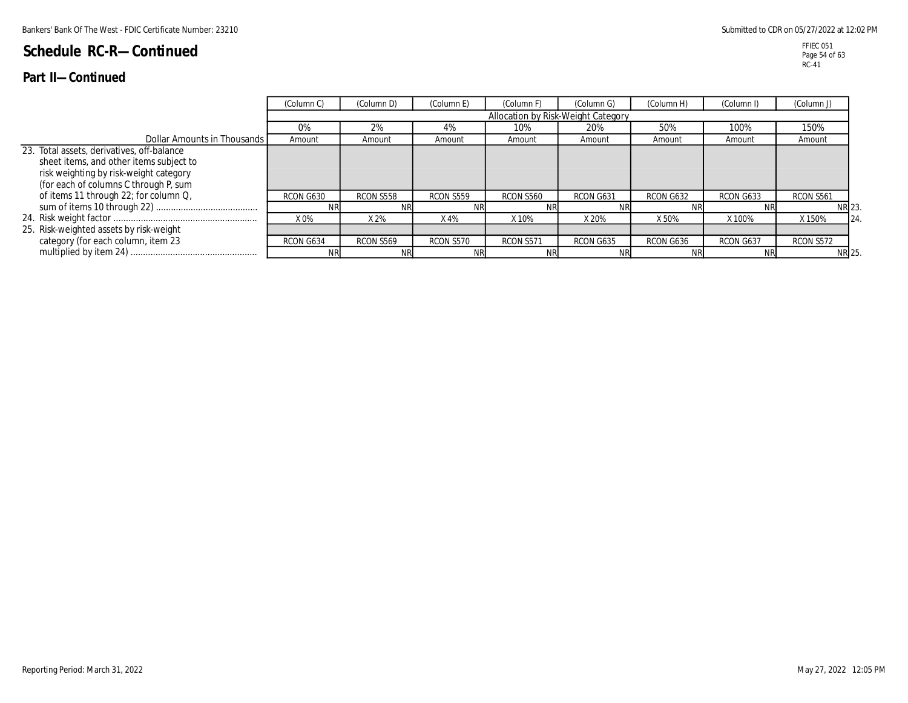|                                                                                                                                                                                                                   | (Column C) | (Column D) | (Column E) | (Column F)                         | (Column G) | (Column H) | (Column I) | (Column J)   |
|-------------------------------------------------------------------------------------------------------------------------------------------------------------------------------------------------------------------|------------|------------|------------|------------------------------------|------------|------------|------------|--------------|
|                                                                                                                                                                                                                   |            |            |            | Allocation by Risk-Weight Category |            |            |            |              |
|                                                                                                                                                                                                                   | 0%         | 2%         | 4%         | 10%                                | 20%        | 50%        | 100%       | 150%         |
| Dollar Amounts in Thousands I                                                                                                                                                                                     | Amount     | Amount     | Amount     | Amount                             | Amount     | Amount     | Amount     | Amount       |
| 23. Total assets, derivatives, off-balance<br>sheet items, and other items subject to<br>risk weighting by risk-weight category<br>(for each of columns C through P, sum<br>of items 11 through 22; for column Q, | RCON G630  | RCON S558  | RCON S559  | RCON S560                          | RCON G631  | RCON G632  | RCON G633  | RCON S561    |
|                                                                                                                                                                                                                   |            |            |            |                                    |            |            | NR         | <b>NR 23</b> |
|                                                                                                                                                                                                                   | X0%        | X 2%       | X 4%       | X 10%                              | X 20%      | X 50%      | X 100%     | X 150%<br>24 |
| 25. Risk-weighted assets by risk-weight                                                                                                                                                                           |            |            |            |                                    |            |            |            |              |
| category (for each column, item 23                                                                                                                                                                                | RCON G634  | RCON S569  | RCON S570  | RCON S571                          | RCON G635  | RCON G636  | RCON G637  | RCON S572    |
|                                                                                                                                                                                                                   | NRI        | <b>NR</b>  |            |                                    |            | <b>NR</b>  | <b>NR</b>  | <b>NR 25</b> |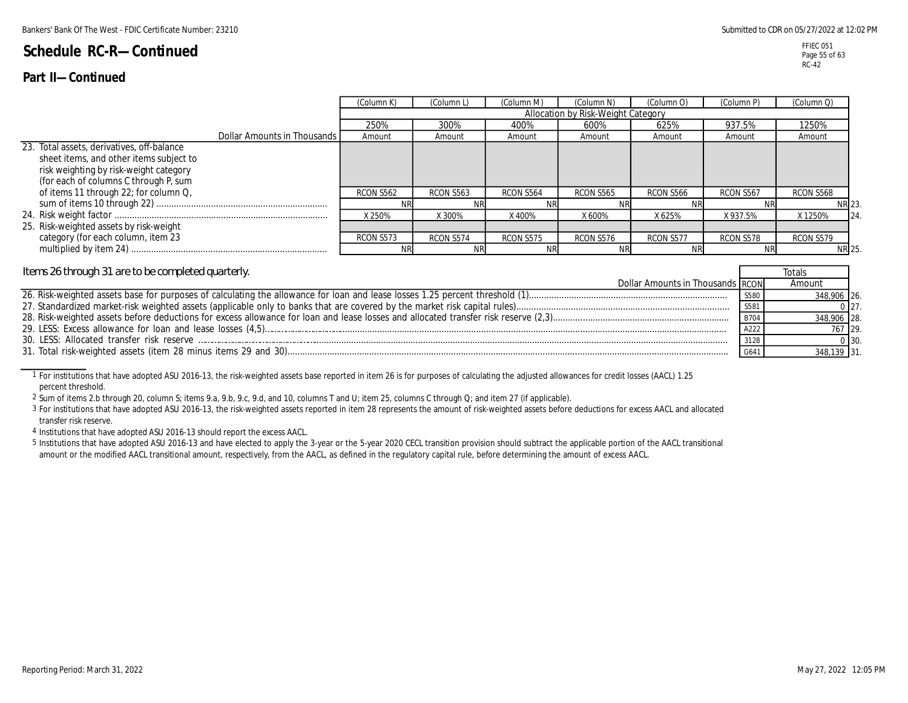### **Part II—Continued**

**Totals** 

FFIEC 051 Page 55 of 63 RC-42

|                                                                                                                                                                                                                   |                             | (Column K)       | (Column L' | (Column M) | (Column N)                         | (Column O) | (Column P) | (Column Q)    |
|-------------------------------------------------------------------------------------------------------------------------------------------------------------------------------------------------------------------|-----------------------------|------------------|------------|------------|------------------------------------|------------|------------|---------------|
|                                                                                                                                                                                                                   |                             |                  |            |            | Allocation by Risk-Weight Category |            |            |               |
|                                                                                                                                                                                                                   |                             | 250%             | 300%       | 400%       | 600%                               | 625%       | 937.5%     | 1250%         |
|                                                                                                                                                                                                                   | Dollar Amounts in Thousands | Amount           | Amount     | Amount     | Amount                             | Amount     | Amount     | Amount        |
| 23. Total assets, derivatives, off-balance<br>sheet items, and other items subject to<br>risk weighting by risk-weight category<br>(for each of columns C through P, sum<br>of items 11 through 22; for column Q, |                             | <b>RCON S562</b> | RCON S563  | RCON S564  | RCON S565                          | RCON S566  | RCON S567  | RCON S568     |
|                                                                                                                                                                                                                   |                             |                  | NI         |            |                                    |            |            | NR 23         |
|                                                                                                                                                                                                                   |                             | X 250%           | X 300%     | X 400%     | X 600%                             | X 625%     | X937.5%    | X 1250%<br>24 |
| 25. Risk-weighted assets by risk-weight                                                                                                                                                                           |                             |                  |            |            |                                    |            |            |               |
| category (for each column, item 23                                                                                                                                                                                |                             | RCON S573        | RCON S574  | RCON S575  | RCON S576                          | RCON S577  | RCON S578  | RCON S579     |
|                                                                                                                                                                                                                   |                             |                  | NF         |            |                                    | ΝF         | <b>NR</b>  | <b>NR 25</b>  |

#### *Items 26 through 31 are to be completed quarterly.*

| Dollar Amounts in Thousands RCON | Amount      |            |
|----------------------------------|-------------|------------|
|                                  | 348.906 26. |            |
|                                  |             |            |
|                                  | 348.906 28. |            |
|                                  | 767 29.     |            |
|                                  |             | $0 \, 30.$ |
|                                  |             |            |
|                                  |             |            |

1 For institutions that have adopted ASU 2016-13, the risk-weighted assets base reported in item 26 is for purposes of calculating the adjusted allowances for credit losses (AACL) 1.25 percent threshold.

2 Sum of items 2.b through 20, column S; items 9.a, 9.b, 9.c, 9.d, and 10, columns T and U; item 25, columns C through Q; and item 27 (if applicable).

3 For institutions that have adopted ASU 2016-13, the risk-weighted assets reported in item 28 represents the amount of risk-weighted assets before deductions for excess AACL and allocated transfer risk reserve.

4 Institutions that have adopted ASU 2016-13 should report the excess AACL.

5 Institutions that have adopted ASU 2016-13 and have elected to apply the 3-year or the 5-year 2020 CECL transition provision should subtract the applicable portion of the AACL transitional amount or the modified AACL transitional amount, respectively, from the AACL, as defined in the regulatory capital rule, before determining the amount of excess AACL.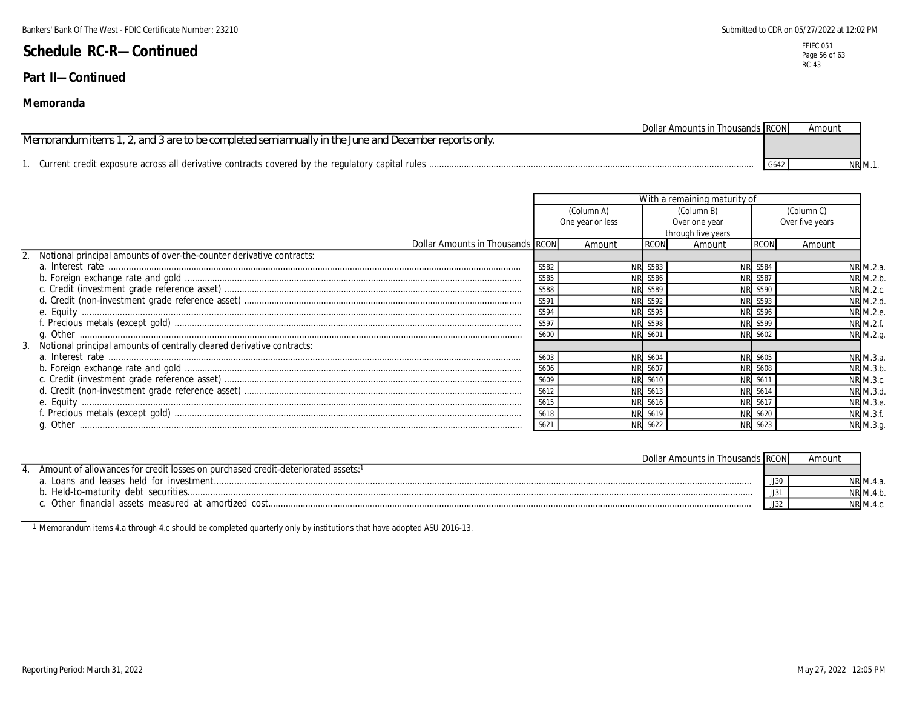### **Part II—Continued**

### **Memoranda**

| <b>Dollar Amounts in Thousands RCON</b>                                                              |      | Amount        |
|------------------------------------------------------------------------------------------------------|------|---------------|
| Memorandum items 1, 2, and 3 are to be completed semiannually in the June and December reports only. |      |               |
|                                                                                                      |      |               |
|                                                                                                      | G642 | <b>NR M.1</b> |

|                                                                                                                                                                                                            | With a remaining maturity of |                  |                  |                    |                |                 |           |  |
|------------------------------------------------------------------------------------------------------------------------------------------------------------------------------------------------------------|------------------------------|------------------|------------------|--------------------|----------------|-----------------|-----------|--|
|                                                                                                                                                                                                            |                              | (Column A)       |                  | (Column B)         |                | (Column C)      |           |  |
|                                                                                                                                                                                                            |                              | One year or less |                  | Over one year      |                | Over five years |           |  |
|                                                                                                                                                                                                            |                              |                  |                  | through five years |                |                 |           |  |
| <b>Dollar Amounts in Thousands RCON</b>                                                                                                                                                                    |                              | Amount           | <b>RCON</b>      | Amount             | <b>RCON</b>    | Amount          |           |  |
| Notional principal amounts of over-the-counter derivative contracts:                                                                                                                                       |                              |                  |                  |                    |                |                 |           |  |
|                                                                                                                                                                                                            | S582                         | <b>NR</b>        | S583             | <b>NR</b>          | S584           |                 | NR M.2.a. |  |
|                                                                                                                                                                                                            | S585                         |                  | NR S586          |                    | NR S587        |                 | NR M.2.b. |  |
|                                                                                                                                                                                                            | S588                         |                  | <b>NR S589</b>   |                    | NR S590        |                 | NR M.2.c. |  |
| d. Credit (non-investment grade reference asset)<br>e. Equity<br>f. Precious metals (except gold)<br>g. Other<br>Motional principal amounts of centrally cleared derivative contracts:                     | S591                         |                  | NR S592          |                    | NR S593        |                 | NR M.2.d. |  |
|                                                                                                                                                                                                            | S594                         |                  | <b>NR S595</b>   |                    | NR S596        |                 | NR M.2.e. |  |
|                                                                                                                                                                                                            | S597                         |                  | S598             |                    | NR S599        |                 | NR M.2.f. |  |
|                                                                                                                                                                                                            | S600                         |                  | S60 <sup>-</sup> |                    | <b>NR S602</b> |                 | NR M.2.g. |  |
|                                                                                                                                                                                                            |                              |                  |                  |                    |                |                 |           |  |
|                                                                                                                                                                                                            | S603                         |                  | S604             |                    | NR S605        |                 | NR M.3.a. |  |
|                                                                                                                                                                                                            | S606                         |                  | <b>NR S607</b>   |                    | NR S608        |                 | NR M.3.b. |  |
|                                                                                                                                                                                                            | S609                         |                  | S610             |                    | <b>NR S611</b> |                 | NR M.3.c. |  |
|                                                                                                                                                                                                            | S612                         |                  | <b>NR</b> S613   |                    | <b>NR S614</b> |                 | NR M.3.d. |  |
| a. Interest rate<br>b. Foreign exchange rate and gold<br>c. Credit (investment grade reference asset)<br>d. Credit (non-investment grade reference asset)<br>e. Equity<br>f. Precious metals (except gold) | S615                         |                  | S616             |                    | NR S617        |                 | NR M.3.e. |  |
|                                                                                                                                                                                                            | S618                         |                  | NR S619          |                    | NR S620        |                 | NR M.3.f. |  |
|                                                                                                                                                                                                            | S621                         |                  | NR S622          |                    | NR S623        |                 | NR M.3.g. |  |

| Dollar Amounts in Thousands IRCON                                                |       | Amount |          |
|----------------------------------------------------------------------------------|-------|--------|----------|
| Amount of allowances for credit losses on purchased credit-deteriorated assets:1 |       |        |          |
|                                                                                  | JJ30. |        |          |
|                                                                                  |       |        | NR M.4.b |
| Other financial assets measured at amortized cost                                | JJ32  |        |          |

1 Memorandum items 4.a through 4.c should be completed quarterly only by institutions that have adopted ASU 2016-13.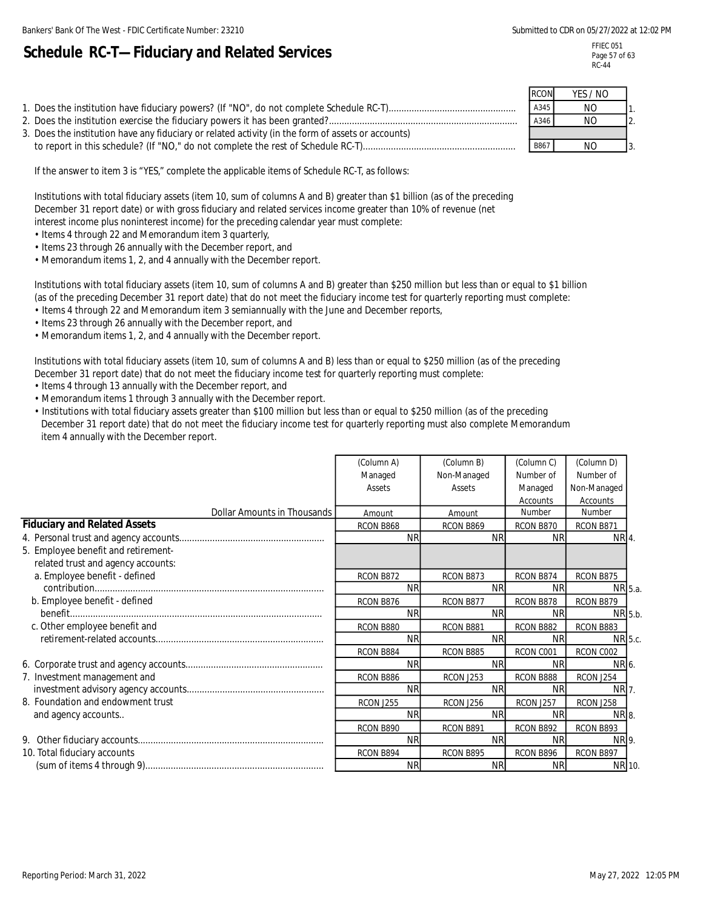# **Schedule RC-T—Fiduciary and Related Services**

FFIEC 051 Page 57 of 63 RC-44

|                                                                                                    | <b>RCON</b> | YES / NO       |  |
|----------------------------------------------------------------------------------------------------|-------------|----------------|--|
|                                                                                                    | A345        | N <sub>O</sub> |  |
|                                                                                                    | A346        | NO             |  |
| 3. Does the institution have any fiduciary or related activity (in the form of assets or accounts) |             |                |  |
|                                                                                                    | B867        | NO             |  |

If the answer to item 3 is "YES," complete the applicable items of Schedule RC-T, as follows:

Institutions with total fiduciary assets (item 10, sum of columns A and B) greater than \$1 billion (as of the preceding December 31 report date) or with gross fiduciary and related services income greater than 10% of revenue (net interest income plus noninterest income) for the preceding calendar year must complete:

- Items 4 through 22 and Memorandum item 3 quarterly,
- Items 23 through 26 annually with the December report, and

• Memorandum items 1, 2, and 4 annually with the December report.

Institutions with total fiduciary assets (item 10, sum of columns A and B) greater than \$250 million but less than or equal to \$1 billion (as of the preceding December 31 report date) that do not meet the fiduciary income test for quarterly reporting must complete:

- Items 4 through 22 and Memorandum item 3 semiannually with the June and December reports,
- Items 23 through 26 annually with the December report, and
- Memorandum items 1, 2, and 4 annually with the December report.

Institutions with total fiduciary assets (item 10, sum of columns A and B) less than or equal to \$250 million (as of the preceding December 31 report date) that do not meet the fiduciary income test for quarterly reporting must complete:

- Items 4 through 13 annually with the December report, and
- Memorandum items 1 through 3 annually with the December report.
- Institutions with total fiduciary assets greater than \$100 million but less than or equal to \$250 million (as of the preceding December 31 report date) that do not meet the fiduciary income test for quarterly reporting must also complete Memorandum item 4 annually with the December report.

|                                     | (Column A) | (Column B)       | (Column C) | (Column D)  |  |
|-------------------------------------|------------|------------------|------------|-------------|--|
|                                     | Managed    | Non-Managed      | Number of  | Number of   |  |
|                                     | Assets     | Assets           | Managed    | Non-Managed |  |
|                                     |            |                  | Accounts   | Accounts    |  |
| Dollar Amounts in Thousands         | Amount     | Amount           | Number     | Number      |  |
| <b>Fiduciary and Related Assets</b> | RCON B868  | RCON B869        | RCON B870  | RCON B871   |  |
|                                     | <b>NR</b>  | <b>NR</b>        | <b>NR</b>  | NR 4.       |  |
| 5. Employee benefit and retirement- |            |                  |            |             |  |
| related trust and agency accounts:  |            |                  |            |             |  |
| a. Employee benefit - defined       | RCON B872  | RCON B873        | RCON B874  | RCON B875   |  |
|                                     | <b>NR</b>  | <b>NR</b>        | <b>NR</b>  | NR 5.a.     |  |
| b. Employee benefit - defined       | RCON B876  | RCON B877        | RCON B878  | RCON B879   |  |
|                                     | <b>NR</b>  | <b>NR</b>        | <b>NR</b>  | NR 5.b.     |  |
| c. Other employee benefit and       | RCON B880  | RCON B881        | RCON B882  | RCON B883   |  |
|                                     | <b>NR</b>  | <b>NR</b>        | <b>NR</b>  | NR 5.c.     |  |
|                                     | RCON B884  | RCON B885        | RCON C001  | RCON C002   |  |
|                                     | <b>NR</b>  | <b>NR</b>        | <b>NR</b>  | NR 6.       |  |
| 7. Investment management and        | RCON B886  | <b>RCON J253</b> | RCON B888  | RCON J254   |  |
|                                     | <b>NR</b>  | <b>NR</b>        | <b>NR</b>  | NR 7.       |  |
| 8. Foundation and endowment trust   | RCON J255  | RCON J256        | RCON J257  | RCON J258   |  |
| and agency accounts                 | <b>NR</b>  | <b>NR</b>        | <b>NR</b>  | NR 8.       |  |
|                                     | RCON B890  | RCON B891        | RCON B892  | RCON B893   |  |
|                                     | <b>NR</b>  | <b>NR</b>        | <b>NR</b>  | NR 9.       |  |
| 10. Total fiduciary accounts        | RCON B894  | RCON B895        | RCON B896  | RCON B897   |  |
|                                     | <b>NR</b>  | <b>NR</b>        | <b>NR</b>  | NR 10.      |  |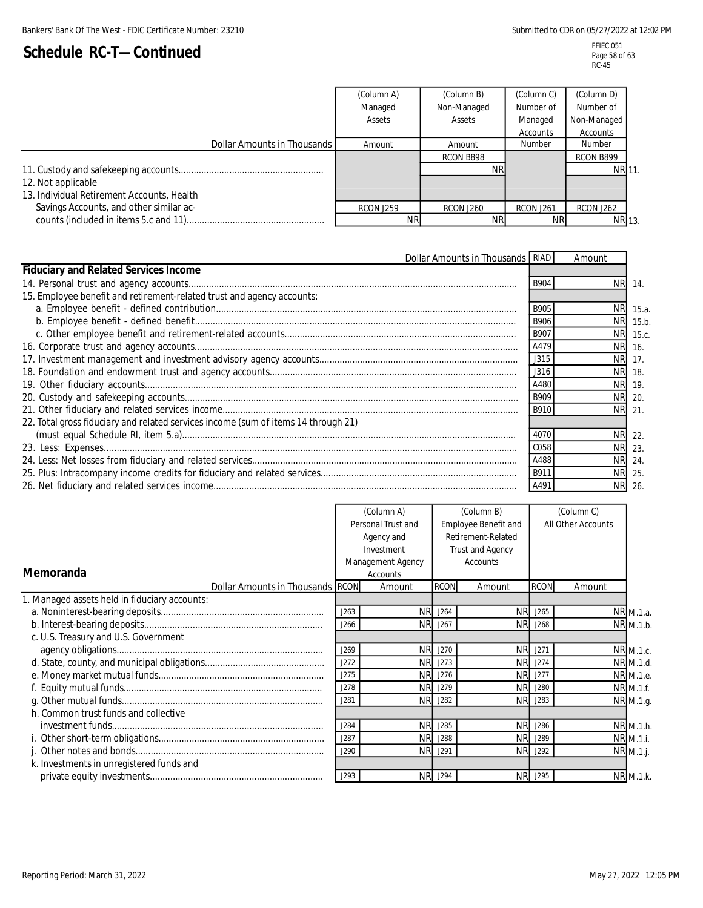|                                            | (Column A) | (Column B)  | (Column C)       | (Column D)    |
|--------------------------------------------|------------|-------------|------------------|---------------|
|                                            | Managed    | Non-Managed | Number of        | Number of     |
|                                            | Assets     | Assets      | Managed          | Non-Managed   |
|                                            |            |             | Accounts         | Accounts      |
| Dollar Amounts in Thousands                | Amount     | Amount      | Number           | <b>Number</b> |
|                                            |            | RCON B898   |                  | RCON B899     |
|                                            |            | NRI         |                  | NR 11.        |
| 12. Not applicable                         |            |             |                  |               |
| 13. Individual Retirement Accounts, Health |            |             |                  |               |
| Savings Accounts, and other similar ac-    | RCON J259  | RCON J260   | <b>RCON J261</b> | RCON J262     |
|                                            | ΝR         | <b>NR</b>   | NR.              | NR 13.        |

| Dollar Amounts in Thousands RIAD                                                   |             | Amount    |          |
|------------------------------------------------------------------------------------|-------------|-----------|----------|
| <b>Fiduciary and Related Services Income</b>                                       |             |           |          |
|                                                                                    | <b>B904</b> | NR.       | 14.      |
| 15. Employee benefit and retirement-related trust and agency accounts:             |             |           |          |
|                                                                                    | B905        | <b>NR</b> | 15.a.    |
|                                                                                    | <b>B906</b> | NR.       | 15.b.    |
|                                                                                    | <b>B907</b> |           | NR 15.c. |
|                                                                                    | A479        | <b>NR</b> | 16.      |
|                                                                                    | J315        | <b>NR</b> | 17.      |
|                                                                                    | J316        | <b>NR</b> | 18.      |
|                                                                                    | A480        | <b>NR</b> | 19.      |
|                                                                                    | B909        | NR.       | 20.      |
|                                                                                    | B910        | <b>NR</b> | 21       |
| 22. Total gross fiduciary and related services income (sum of items 14 through 21) |             |           |          |
|                                                                                    | 4070        |           | NR 22.   |
|                                                                                    | C058        | NR.       | 23.      |
|                                                                                    | A488        |           | NR 24.   |
|                                                                                    | B911        | <b>NR</b> | 25.      |
|                                                                                    | A49         | NR.       | 26       |

|                                               |                    | (Column A)        |             | (Column B)           |                | (Column C)         |           |
|-----------------------------------------------|--------------------|-------------------|-------------|----------------------|----------------|--------------------|-----------|
|                                               | Personal Trust and |                   |             | Employee Benefit and |                | All Other Accounts |           |
|                                               | Agency and         |                   |             | Retirement-Related   |                |                    |           |
|                                               |                    | Investment        |             | Trust and Agency     |                |                    |           |
|                                               |                    | Management Agency |             | <b>Accounts</b>      |                |                    |           |
| Memoranda                                     |                    | Accounts          |             |                      |                |                    |           |
| Dollar Amounts in Thousands RCON              |                    | Amount            | <b>RCON</b> | Amount               | <b>RCON</b>    | Amount             |           |
| 1. Managed assets held in fiduciary accounts: |                    |                   |             |                      |                |                    |           |
|                                               | J263               | NR.               | J264        | <b>NR</b>            | J265           |                    | NR M.1.a. |
|                                               | J266               |                   | NR J267     |                      | <b>NR</b> J268 |                    | NR M.1.b. |
| c. U.S. Treasury and U.S. Government          |                    |                   |             |                      |                |                    |           |
|                                               | J269               | <b>NR</b>         | J270        | <b>NR</b>            | J271           |                    | NR M.1.c. |
|                                               | J272               | <b>NR</b>         | J273        | <b>NR</b>            | J274           |                    | NR M.1.d. |
|                                               | J275               | NR.               | J276        | <b>NR</b>            | J277           |                    | NR M.1.e. |
|                                               | J278               | <b>NR</b>         | J279        |                      | NR J280        |                    | NR M.1.f. |
|                                               | J281               | <b>NR</b>         | J282        | <b>NR</b>            | J283           |                    | NR M.1.g. |
| h. Common trust funds and collective          |                    |                   |             |                      |                |                    |           |
|                                               | J284               | <b>NR</b>         | J285        | <b>NR</b>            | J286           |                    | NR M.1.h. |
|                                               | J287               | <b>NR</b>         | J288        | <b>NR</b>            | J289           |                    | NR M.1.i. |
|                                               | J290               | <b>NR</b>         | J291        | <b>NR</b>            | J292           |                    | NR M.1.j. |
| k. Investments in unregistered funds and      |                    |                   |             |                      |                |                    |           |
|                                               | J293               | <b>NR</b>         | J294        | <b>NR</b>            | J295           |                    | NR M.1.k. |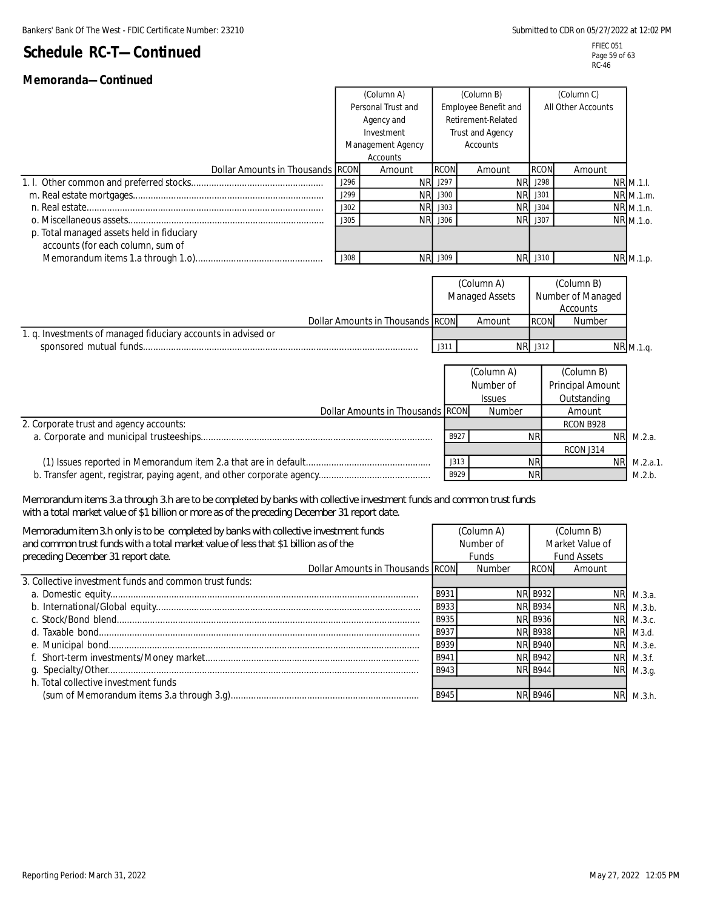| Memoranda-Continued                                                                                                                                                                                                    |                                  |                                  |                    |                       |                    |                  |                  |
|------------------------------------------------------------------------------------------------------------------------------------------------------------------------------------------------------------------------|----------------------------------|----------------------------------|--------------------|-----------------------|--------------------|------------------|------------------|
|                                                                                                                                                                                                                        |                                  | (Column A)<br>(Column B)         |                    |                       | (Column C)         |                  |                  |
|                                                                                                                                                                                                                        | Personal Trust and<br>Agency and |                                  |                    | Employee Benefit and  | All Other Accounts |                  |                  |
|                                                                                                                                                                                                                        |                                  |                                  | Retirement-Related |                       |                    |                  |                  |
|                                                                                                                                                                                                                        |                                  | Investment                       | Trust and Agency   |                       |                    |                  |                  |
|                                                                                                                                                                                                                        | Management Agency                |                                  | <b>Accounts</b>    |                       |                    |                  |                  |
| Dollar Amounts in Thousands                                                                                                                                                                                            | <b>RCON</b>                      | Accounts<br>Amount               | <b>RCON</b>        | Amount                | <b>RCON</b>        | Amount           |                  |
|                                                                                                                                                                                                                        | J296                             | <b>NR</b>                        | J297               | <b>NR</b>             | J298               |                  | <b>NR</b> M.1.I. |
|                                                                                                                                                                                                                        | J299                             | <b>NR</b>                        | J300               | NR.                   | J301               |                  | NR M.1.m.        |
|                                                                                                                                                                                                                        | J302                             | <b>NR</b>                        | J303               | <b>NR</b>             | J304               |                  | NR M.1.n.        |
|                                                                                                                                                                                                                        | J305                             | <b>NR</b>                        | J306               |                       | NR J307            |                  | NR M.1.0.        |
| p. Total managed assets held in fiduciary                                                                                                                                                                              |                                  |                                  |                    |                       |                    |                  |                  |
| accounts (for each column, sum of                                                                                                                                                                                      |                                  |                                  |                    |                       |                    |                  |                  |
|                                                                                                                                                                                                                        | J308                             |                                  | NR J309            |                       | NR J310            |                  | NR M.1.p.        |
|                                                                                                                                                                                                                        |                                  |                                  |                    |                       |                    |                  |                  |
|                                                                                                                                                                                                                        |                                  |                                  |                    | (Column A)            |                    | (Column B)       |                  |
|                                                                                                                                                                                                                        |                                  |                                  |                    | <b>Managed Assets</b> | Number of Managed  |                  |                  |
|                                                                                                                                                                                                                        |                                  |                                  |                    |                       |                    | Accounts         |                  |
|                                                                                                                                                                                                                        |                                  | Dollar Amounts in Thousands RCON |                    | Amount                | <b>RCON</b>        | Number           |                  |
| 1. q. Investments of managed fiduciary accounts in advised or                                                                                                                                                          |                                  |                                  |                    |                       |                    |                  |                  |
|                                                                                                                                                                                                                        |                                  |                                  | J311               |                       | NR J312            |                  | NR M.1.q.        |
|                                                                                                                                                                                                                        |                                  |                                  |                    | (Column A)            |                    | (Column B)       |                  |
|                                                                                                                                                                                                                        |                                  |                                  |                    | Number of             |                    | Principal Amount |                  |
|                                                                                                                                                                                                                        |                                  |                                  | <b>Issues</b>      |                       | Outstanding        |                  |                  |
|                                                                                                                                                                                                                        |                                  | Dollar Amounts in Thousands RCON |                    | Number                |                    | Amount           |                  |
| 2. Corporate trust and agency accounts:                                                                                                                                                                                |                                  |                                  |                    |                       |                    | RCON B928        |                  |
|                                                                                                                                                                                                                        |                                  |                                  | B927               |                       | <b>NR</b>          | <b>NR</b>        | M.2.a.           |
|                                                                                                                                                                                                                        |                                  |                                  |                    |                       |                    | RCON J314        |                  |
|                                                                                                                                                                                                                        |                                  |                                  | J313               |                       | <b>NR</b>          | <b>NR</b>        | M.2.a.1.         |
|                                                                                                                                                                                                                        |                                  |                                  | B929               |                       | <b>NR</b>          |                  | M.2.b.           |
|                                                                                                                                                                                                                        |                                  |                                  |                    |                       |                    |                  |                  |
| Memorandum items 3.a through 3.h are to be completed by banks with collective investment funds and common trust funds<br>with a total market value of \$1 billion or more as of the preceding December 31 report date. |                                  |                                  |                    |                       |                    |                  |                  |
| Memoradum item 3.h only is to be completed by banks with collective investment funds                                                                                                                                   |                                  |                                  |                    | (Column A)            |                    | (Column B)       |                  |
| and common trust funds with a total market value of less that \$1 billion as of the                                                                                                                                    |                                  |                                  | Number of          |                       | Market Value of    |                  |                  |
| preceding December 31 report date.                                                                                                                                                                                     |                                  | Funds                            |                    | <b>Fund Assets</b>    |                    |                  |                  |
|                                                                                                                                                                                                                        |                                  | Dollar Amounts in Thousands RCON |                    | Number                | <b>RCON</b>        | Amount           |                  |
| 3. Collective investment funds and common trust funds:                                                                                                                                                                 |                                  |                                  |                    |                       |                    |                  |                  |
|                                                                                                                                                                                                                        |                                  |                                  | B931               |                       | <b>NR B932</b>     | <b>NR</b>        | M.3.a.           |
|                                                                                                                                                                                                                        |                                  |                                  | B933               |                       | <b>NR B934</b>     | NR.              | M.3.b.           |

 c. Stock/Bond blend....................................................................................................................... B935 NR B936 NR d. Taxable bond.............................................................................................................................. B937 NR B938 NR e. Municipal bond.......................................................................................................................... B939 NR B940 NR f. Short-term investments/Money market.................................................................................... B941 NR B942 NR g. Specialty/Other.......................................................................................................................... B943 NR B944 NR

(sum of Memorandum items 3.a through 3.g).......................................................................... B945 NR B946 NR

h. Total collective investment funds

b. International/Global equity........................................................................................................ B933 NR B934 NR

 M.3.b. M.3.c. M3.d. M.3.e. M.3.f. M.3.g.

M.3.h.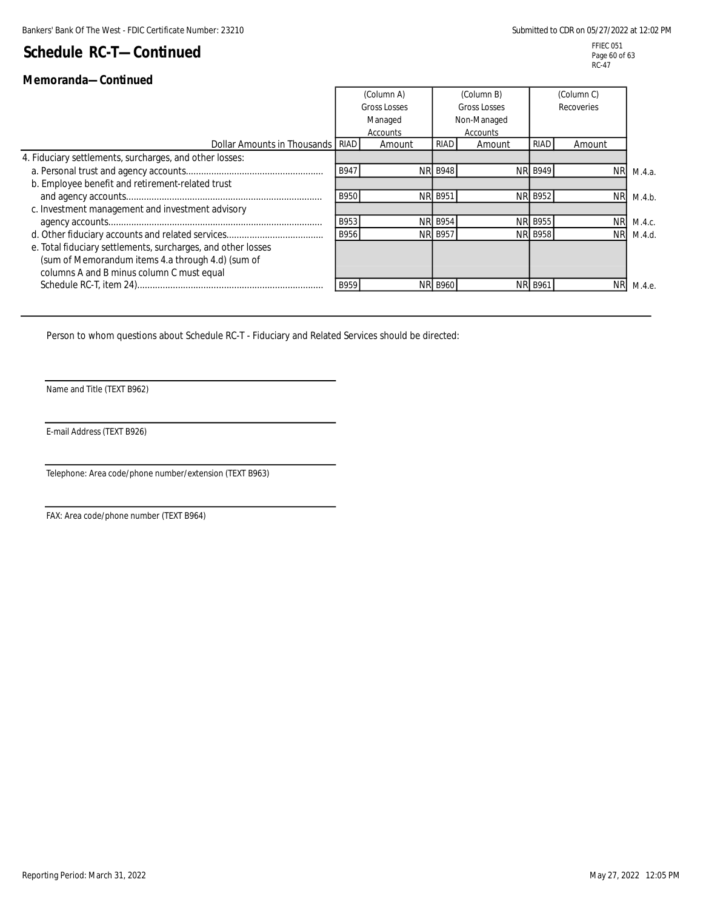### **Memoranda—Continued**

| 18161110181108—0011811060                                    |                                |            |                             |            |                |            |        |
|--------------------------------------------------------------|--------------------------------|------------|-----------------------------|------------|----------------|------------|--------|
|                                                              |                                | (Column A) |                             | (Column B) |                | (Column C) |        |
|                                                              | <b>Gross Losses</b><br>Managed |            | Gross Losses<br>Non-Managed |            | Recoveries     |            |        |
|                                                              |                                |            |                             |            |                |            |        |
|                                                              |                                | Accounts   |                             | Accounts   |                |            |        |
| Dollar Amounts in Thousands RIAD                             |                                | Amount     | <b>RIAD</b>                 | Amount     | RIAD           | Amount     |        |
| 4. Fiduciary settlements, surcharges, and other losses:      |                                |            |                             |            |                |            |        |
|                                                              | B947                           |            | <b>NR B948</b>              |            | <b>NR B949</b> | <b>NR</b>  | M.4.a. |
| b. Employee benefit and retirement-related trust             |                                |            |                             |            |                |            |        |
|                                                              | <b>B950</b>                    |            | NR B951                     |            | <b>NR B952</b> | <b>NR</b>  | M.4.b. |
| c. Investment management and investment advisory             |                                |            |                             |            |                |            |        |
|                                                              | B953                           |            | <b>NR B954</b>              |            | <b>NR B955</b> | <b>NR</b>  | M.4.c. |
|                                                              | B956                           |            | NR B957                     |            | <b>NR B958</b> | <b>NR</b>  | M.4.d. |
| e. Total fiduciary settlements, surcharges, and other losses |                                |            |                             |            |                |            |        |
| (sum of Memorandum items 4.a through 4.d) (sum of            |                                |            |                             |            |                |            |        |
| columns A and B minus column C must equal                    |                                |            |                             |            |                |            |        |
|                                                              | B959                           |            | <b>NR B960</b>              |            | <b>NR B961</b> | ΝR         | M.4.e. |

Person to whom questions about Schedule RC-T - Fiduciary and Related Services should be directed:

Name and Title (TEXT B962)

E-mail Address (TEXT B926)

Telephone: Area code/phone number/extension (TEXT B963)

FAX: Area code/phone number (TEXT B964)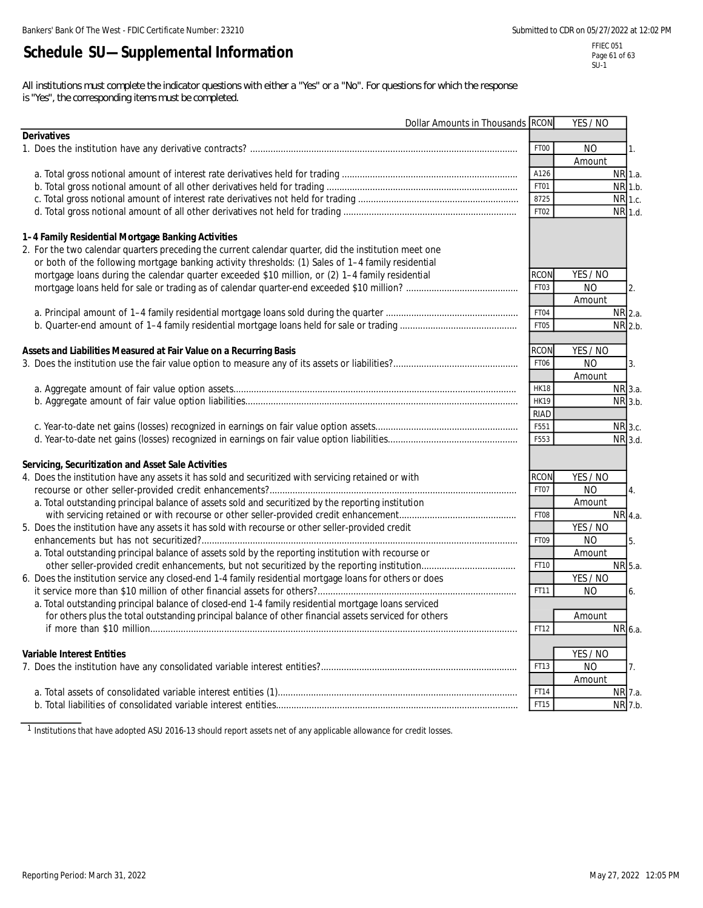# **Schedule SU—Supplemental Information**

FFIEC 051 Page 61 of 63  $SU-1$ 

*All institutions must complete the indicator questions with either a "Yes" or a "No". For questions for which the response is "Yes", the corresponding items must be completed.* 

| Dollar Amounts in Thousands RCON                                                                        |                  | YES / NO             |  |
|---------------------------------------------------------------------------------------------------------|------------------|----------------------|--|
| <b>Derivatives</b>                                                                                      |                  |                      |  |
|                                                                                                         | FT00             | <b>NO</b><br>1.      |  |
|                                                                                                         |                  | Amount               |  |
|                                                                                                         | A126             | NR 1.a.              |  |
|                                                                                                         | FT01             | NR 1.b.              |  |
|                                                                                                         | 8725             | NR 1.c.              |  |
|                                                                                                         | FT02             | NR 1.d.              |  |
| 1-4 Family Residential Mortgage Banking Activities                                                      |                  |                      |  |
| 2. For the two calendar quarters preceding the current calendar quarter, did the institution meet one   |                  |                      |  |
| or both of the following mortgage banking activity thresholds: (1) Sales of 1-4 family residential      |                  |                      |  |
| mortgage loans during the calendar quarter exceeded \$10 million, or (2) 1–4 family residential         | <b>RCON</b>      | YES / NO             |  |
|                                                                                                         | FT03             | <b>NO</b><br>2.      |  |
|                                                                                                         |                  | Amount               |  |
|                                                                                                         | FT04             | $NR$ 2.a.            |  |
|                                                                                                         |                  |                      |  |
|                                                                                                         | FT05             | NR 2.b.              |  |
| Assets and Liabilities Measured at Fair Value on a Recurring Basis                                      | <b>RCON</b>      | YES / NO             |  |
|                                                                                                         | FT06             | <b>NO</b><br>3.      |  |
|                                                                                                         |                  | Amount               |  |
|                                                                                                         | <b>HK18</b>      | NR 3.a.              |  |
|                                                                                                         | <b>HK19</b>      | NR 3.b.              |  |
|                                                                                                         | <b>RIAD</b>      |                      |  |
|                                                                                                         | F551             | NR 3.c.              |  |
|                                                                                                         |                  |                      |  |
|                                                                                                         | F553             | NR 3.d.              |  |
| Servicing, Securitization and Asset Sale Activities                                                     |                  |                      |  |
| 4. Does the institution have any assets it has sold and securitized with servicing retained or with     | <b>RCON</b>      | YES / NO             |  |
|                                                                                                         | FT07             | <b>NO</b><br>4.      |  |
| a. Total outstanding principal balance of assets sold and securitized by the reporting institution      |                  | Amount               |  |
|                                                                                                         | FT08             | NR 4.a.              |  |
| 5. Does the institution have any assets it has sold with recourse or other seller-provided credit       |                  | YES / NO             |  |
|                                                                                                         | FT <sub>09</sub> | N <sub>O</sub><br>5. |  |
| a. Total outstanding principal balance of assets sold by the reporting institution with recourse or     |                  | Amount               |  |
|                                                                                                         | FT10             | NR 5.a.              |  |
| 6. Does the institution service any closed-end 1-4 family residential mortgage loans for others or does |                  | YES / NO             |  |
|                                                                                                         | FT11             | <b>NO</b><br>6.      |  |
| a. Total outstanding principal balance of closed-end 1-4 family residential mortgage loans serviced     |                  |                      |  |
| for others plus the total outstanding principal balance of other financial assets serviced for others   |                  | Amount               |  |
|                                                                                                         | FT12             | NR 6.a.              |  |
|                                                                                                         |                  |                      |  |
| <b>Variable Interest Entities</b>                                                                       |                  | YES / NO             |  |
|                                                                                                         | FT13             | NO<br>7.             |  |
|                                                                                                         |                  | Amount               |  |
|                                                                                                         | FT14             | NR 7.a.              |  |
|                                                                                                         | FT15             | NR 7.b.              |  |

<sup>1</sup> Institutions that have adopted ASU 2016-13 should report assets net of any applicable allowance for credit losses.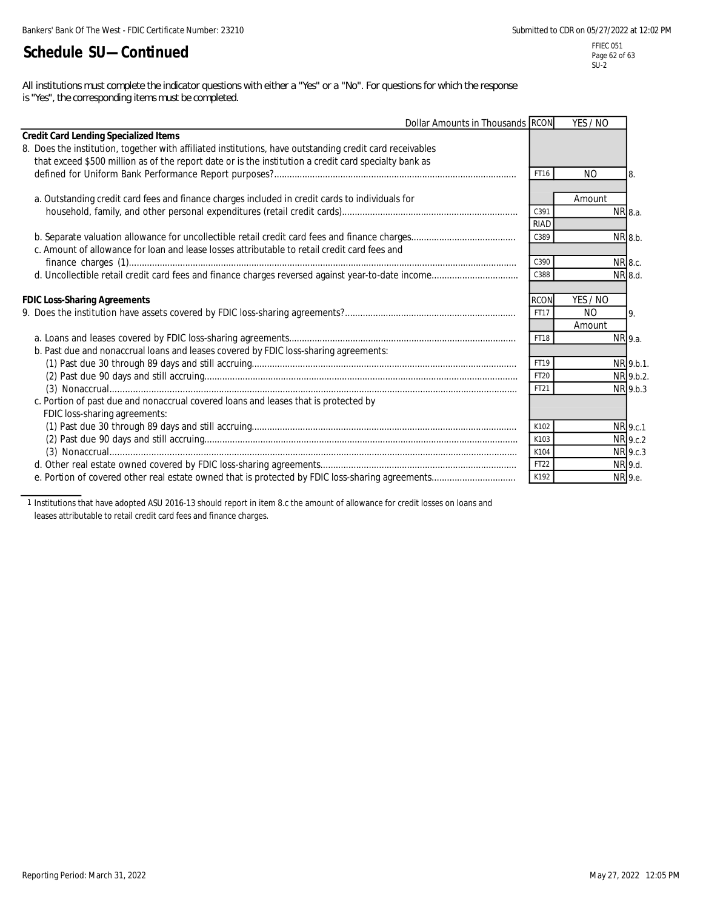# **Schedule SU—Continued**

*All institutions must complete the indicator questions with either a "Yes" or a "No". For questions for which the response is "Yes", the corresponding items must be completed.*

| Dollar Amounts in Thousands RCON                                                                         |             | YES / NO       |           |
|----------------------------------------------------------------------------------------------------------|-------------|----------------|-----------|
| <b>Credit Card Lending Specialized Items</b>                                                             |             |                |           |
| 8. Does the institution, together with affiliated institutions, have outstanding credit card receivables |             |                |           |
| that exceed \$500 million as of the report date or is the institution a credit card specialty bank as    |             |                |           |
|                                                                                                          | FT16        | <b>NO</b>      | 8.        |
| a. Outstanding credit card fees and finance charges included in credit cards to individuals for          |             | Amount         |           |
|                                                                                                          | C391        |                | NR 8.a.   |
|                                                                                                          | <b>RIAD</b> |                |           |
|                                                                                                          | C389        |                | NR 8.b.   |
| c. Amount of allowance for loan and lease losses attributable to retail credit card fees and             |             |                |           |
|                                                                                                          | C390        |                | NR 8.c.   |
|                                                                                                          | C388        |                | NR 8.d.   |
|                                                                                                          |             |                |           |
| <b>FDIC Loss-Sharing Agreements</b>                                                                      | <b>RCON</b> | YES / NO       |           |
|                                                                                                          | FT17        | N <sub>O</sub> | 9.        |
|                                                                                                          |             | Amount         |           |
|                                                                                                          | FT18        |                | NR 9.a.   |
| b. Past due and nonaccrual loans and leases covered by FDIC loss-sharing agreements:                     |             |                |           |
|                                                                                                          | FT19        |                | NR 9.b.1. |
|                                                                                                          | FT20        |                | NR 9.b.2. |
|                                                                                                          | FT21        |                | NR 9.b.3  |
| c. Portion of past due and nonaccrual covered loans and leases that is protected by                      |             |                |           |
| FDIC loss-sharing agreements:                                                                            |             |                |           |
|                                                                                                          | K102        |                | NR 9.c.1  |
|                                                                                                          | K103        |                | NR 9.c.2  |
|                                                                                                          | K104        |                | NR 9.c.3  |
|                                                                                                          | FT22        |                | NR 9.d.   |
|                                                                                                          | K192        |                | NR 9.e.   |

1 Institutions that have adopted ASU 2016-13 should report in item 8.c the amount of allowance for credit losses on loans and leases attributable to retail credit card fees and finance charges.